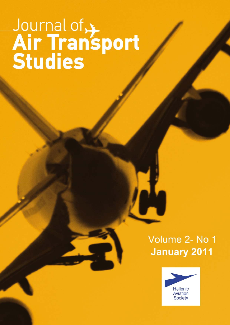# Journal of Air Transport

# Volume 2- No 1 **January 2011**

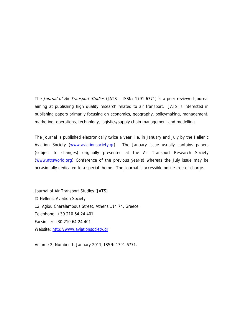The Journal of Air Transport Studies (JATS - ISSN: 1791-6771) is a peer reviewed journal aiming at publishing high quality research related to air transport. JATS is interested in publishing papers primarily focusing on economics, geography, policymaking, management, marketing, operations, technology, logistics/supply chain management and modelling.

The Journal is published electronically twice a year, i.e. in January and July by the Hellenic Aviation Society (www.aviationsociety.gr). The January issue usually contains papers (subject to changes) originally presented at the Air Transport Research Society (www.atrsworld.org) Conference of the previous year(s) whereas the July issue may be occasionally dedicated to a special theme. The Journal is accessible online free-of-charge.

Journal of Air Transport Studies (JATS) © Hellenic Aviation Society 12, Agiou Charalambous Street, Athens 114 74, Greece. Telephone: +30 210 64 24 401 Facsimile: +30 210 64 24 401 Website: http://www.aviationsociety.gr

Volume 2, Number 1, January 2011, ISSN: 1791-6771.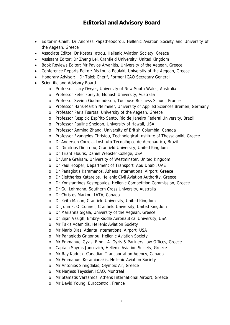# **Editorial and Advisory Board**

- Editor-in-Chief: Dr Andreas Papatheodorou, Hellenic Aviation Society and University of the Aegean, Greece
- Associate Editor: Dr Kostas Iatrou, Hellenic Aviation Society, Greece
- Assistant Editor: Dr Zheng Lei, Cranfield University, United Kingdom
- Book Reviews Editor: Mr Pavlos Arvanitis, University of the Aegean, Greece
- Conference Reports Editor: Ms Ioulia Poulaki, University of the Aegean, Greece
- Honorary Advisor: Dr Taieb Cherif, Former ICAO Secretary General
- Scientific and Advisory Board
	- o Professor Larry Dwyer, University of New South Wales, Australia
	- o Professor Peter Forsyth, Monash University, Australia
	- o Professor Sveinn Gudmundsson, Toulouse Business School, France
	- o Professor Hans-Martin Neimeier, University of Applied Sciences Bremen, Germany
	- o Professor Paris Tsartas, University of the Aegean, Greece
	- o Professor Respicio Espírito Santo, Rio de Janeiro Federal University, Brazil
	- o Professor Pauline Sheldon, University of Hawaii, USA
	- o Professor Anming Zhang, University of British Columbia, Canada
	- o Professor Evangelos Christou, Technological Institute of Thessaloniki, Greece
	- o Dr Anderson Correia, Instituto Tecnológico de Aeronáutica, Brazil
	- o Dr Dimitrios Dimitriou, Cranfield University, United Kingdom
	- o Dr Triant Flouris, Daniel Webster College, USA
	- o Dr Anne Graham, University of Westminster, United Kingdom
	- o Dr Paul Hooper, Department of Transport, Abu Dhabi, UAE
	- o Dr Panagiotis Karamanos, Athens International Airport, Greece
	- o Dr Eleftherios Katarelos, Hellenic Civil Aviation Authority, Greece
	- o Dr Konstantinos Kostopoulos, Hellenic Competition Commission, Greece
	- o Dr Gui Lohmann, Southern Cross University, Australia
	- o Dr Christos Markou, IATA, Canada
	- o Dr Keith Mason, Cranfield University, United Kingdom
	- o Dr John F. O' Connell, Cranfield University, United Kingdom
	- o Dr Marianna Sigala, University of the Aegean, Greece
	- o Dr Bijan Vasigh, Embry-Riddle Aeronautical University, USA
	- o Mr Takis Adamidis, Hellenic Aviation Society
	- o Mr Mario Diaz, Atlanta International Airport, USA
	- o Mr Panagiotis Grigoriou, Hellenic Aviation Society
	- o Mr Emmanuel Gyzis, Emm. A. Gyzis & Partners Law Offices, Greece
	- o Captain Spyros Jancovich, Hellenic Aviation Society, Greece
	- o Mr Ray Kaduck, Canadian Transportation Agency, Canada
	- o Mr Emmanuel Keramianakis, Hellenic Aviation Society
	- o Mr Antonios Simigdalas, Olympic Air, Greece
	- o Ms Narjess Teyssier, ICAO, Montreal
	- o Mr Stamatis Varsamos, Athens International Airport, Greece
	- o Mr David Young, Eurocontrol, France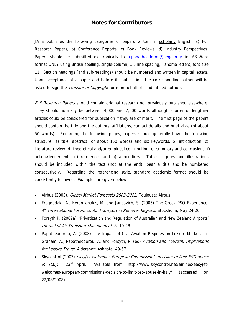#### **Notes for Contributors**

JATS publishes the following categories of papers written in scholarly English: a) Full Research Papers, b) Conference Reports, c) Book Reviews, d) Industry Perspectives. Papers should be submitted electronically to a.papatheodorou@aegean.gr in MS-Word format ONLY using British spelling, single-column, 1.5 line spacing, Tahoma letters, font size 11. Section headings (and sub-headings) should be numbered and written in capital letters. Upon acceptance of a paper and before its publication, the corresponding author will be asked to sign the *Transfer of Copyright* form on behalf of all identified authors.

Full Research Papers should contain original research not previously published elsewhere. They should normally be between 4,000 and 7,000 words although shorter or lengthier articles could be considered for publication if they are of merit. The first page of the papers should contain the title and the authors' affiliations, contact details and brief vitae (of about 50 words). Regarding the following pages, papers should generally have the following structure: a) title, abstract (of about 150 words) and six keywords, b) introduction, c) literature review, d) theoretical and/or empirical contribution, e) summary and conclusions, f) acknowledgements, g) references and h) appendices. Tables, figures and illustrations should be included within the text (not at the end), bear a title and be numbered consecutively. Regarding the referencing style, standard academic format should be consistently followed. Examples are given below:

- Airbus (2003), Global Market Forecasts 2003-2022, Toulouse: Airbus.
- Fragoudaki, A., Keramianakis, M. and Jancovich, S. (2005) The Greek PSO Experience. 4<sup>th</sup> International Forum on Air Transport in Remoter Regions. Stockholm, May 24-26.
- Forsyth P. (2002a), 'Privatization and Regulation of Australian and New Zealand Airports', Journal of Air Transport Management, 8, 19-28.
- Papatheodorou, A. (2008) The Impact of Civil Aviation Regimes on Leisure Market. In Graham, A., Papatheodorou, A. and Forsyth, P. (ed) Aviation and Tourism: Implications for Leisure Travel, Aldershot: Ashgate, 49-57.
- Skycontrol (2007) easyJet welcomes European Commission's decision to limit PSO abuse in Italy. 23<sup>rd</sup> April. Available from: http://www.skycontrol.net/airlines/easyjetwelcomes-european-commissions-decision-to-limit-pso-abuse-in-italy/ (accessed on 22/08/2008).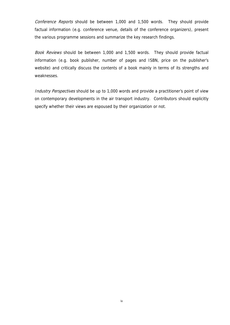Conference Reports should be between 1,000 and 1,500 words. They should provide factual information (e.g. conference venue, details of the conference organizers), present the various programme sessions and summarize the key research findings.

Book Reviews should be between 1,000 and 1,500 words. They should provide factual information (e.g. book publisher, number of pages and ISBN, price on the publisher's website) and critically discuss the contents of a book mainly in terms of its strengths and weaknesses.

Industry Perspectives should be up to 1,000 words and provide a practitioner's point of view on contemporary developments in the air transport industry. Contributors should explicitly specify whether their views are espoused by their organization or not.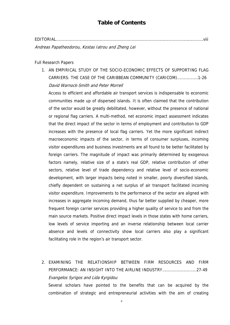### **Table of Contents**

EDITORIAL……………………………………………………………………………………………………………….viii

Andreas Papatheodorou, Kostas Iatrou and Zheng Lei

Full Research Papers

1. AN EMPIRICAL STUDY OF THE SOCIO-ECONOMIC EFFECTS OF SUPPORTING FLAG CARRIERS: THE CASE OF THE CARIBBEAN COMMUNITY (CARICOM)………………1-26 David Warnock-Smith and Peter Morrell

Access to efficient and affordable air transport services is indispensable to economic communities made up of dispersed islands. It is often claimed that the contribution of the sector would be greatly debilitated, however, without the presence of national or regional flag carriers. A multi-method, net economic impact assessment indicates that the direct impact of the sector in terms of employment and contribution to GDP increases with the presence of local flag carriers. Yet the more significant indirect macroeconomic impacts of the sector, in terms of consumer surpluses, incoming visitor expenditures and business investments are all found to be better facilitated by foreign carriers. The magnitude of impact was primarily determined by exogenous factors namely, relative size of a state's real GDP, relative contribution of other sectors, relative level of trade dependency and relative level of socio-economic development, with larger impacts being noted in smaller, poorly diversified islands, chiefly dependent on sustaining a net surplus of air transport facilitated incoming visitor expenditure. Improvements to the performance of the sector are aligned with increases in aggregate incoming demand, thus far better supplied by cheaper, more frequent foreign carrier services providing a higher quality of service to and from the main source markets. Positive direct impact levels in those states with home carriers, low levels of service importing and an inverse relationship between local carrier absence and levels of connectivity show local carriers also play a significant facilitating role in the region's air transport sector.

2. EXAMINING THE RELATIONSHIP BETWEEN FIRM RESOURCES AND FIRM PERFORMANCE: AN INSIGHT INTO THE AIRLINE INDUSTRY…….……………..…..27-49 Evangelos Syrigos and Lida Kyrgidou

Several scholars have pointed to the benefits that can be acquired by the combination of strategic and entrepreneurial activities with the aim of creating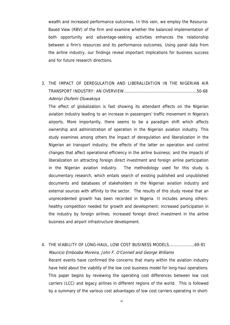wealth and increased performance outcomes. In this vein, we employ the Resource-Based View (RBV) of the firm and examine whether the balanced implementation of both opportunity and advantage-seeking activities enhances the relationship between a firm's resources and its performance outcomes. Using panel data from the airline industry, our findings reveal important implications for business success and for future research directions.

# 3. THE IMPACT OF DEREGULATION AND LIBERALIZATION IN THE NIGERIAN AIR TRANSPORT INDUSTRY: AN OVERVIEW………………………………………………………50-68 Adeniyi Olufemi Oluwakoya

The effect of globalization is fast showing its attendant effects on the Nigerian aviation industry leading to an increase in passengers' traffic movement in Nigeria's airports. More importantly, there seems to be a paradigm shift which affects ownership and administration of operation in the Nigerian aviation industry. This study examines among others the impact of deregulation and liberalization in the Nigerian air transport industry; the effects of the latter on operation and control changes that affect operational efficiency in the airline business; and the impacts of liberalization on attracting foreign direct investment and foreign airline participation in the Nigerian aviation industry. The methodology used for this study is documentary research, which entails search of existing published and unpublished documents and databases of stakeholders in the Nigerian aviation industry and external sources with affinity to the sector. The results of this study reveal that an unprecedented growth has been recorded in Nigeria. It includes among others: healthy competition needed for growth and development; increased participation in the industry by foreign airlines; increased foreign direct investment in the airline business and airport infrastructure development.

# 4. THE VIABILITY OF LONG-HAUL, LOW COST BUSINESS MODELS………………….69-91 Mauricio Emboaba Moreira, John F. O'Connell and George Williams Recent events have confirmed the concerns that many within the aviation industry have held about the viability of the low cost business model for long-haul operations. This paper begins by reviewing the operating cost differences between low cost carriers (LCC) and legacy airlines in different regions of the world. This is followed by a summary of the various cost advantages of low cost carriers operating in short-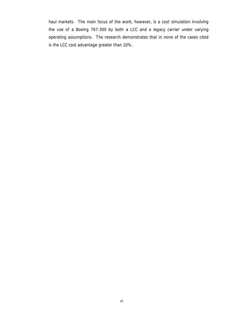haul markets. The main focus of the work, however, is a cost simulation involving the use of a Boeing 767-300 by both a LCC and a legacy carrier under varying operating assumptions. The research demonstrates that in none of the cases cited is the LCC cost advantage greater than 10%.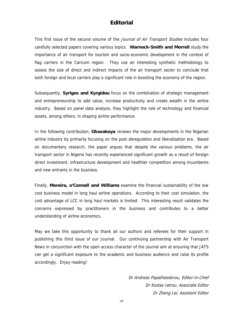#### **Editorial**

This first issue of the second volume of the Journal of Air Transport Studies includes four carefully selected papers covering various topics. **Warnock-Smith and Morrell** study the importance of air transport for tourism and socio-economic development in the context of flag carriers in the Caricom region. They use an interesting synthetic methodology to assess the size of direct and indirect impacts of the air transport sector to conclude that both foreign and local carriers play a significant role in boosting the economy of the region.

Subsequently, **Syrigos and Kyrgidou** focus on the combination of strategic management and entrepreneurship to add value, increase productivity and create wealth in the airline industry. Based on panel data analysis, they highlight the role of technology and financial assets, among others, in shaping airline performance.

In the following contribution, **Oluwakoya** reviews the major developments in the Nigerian airline industry by primarily focusing on the post deregulation and liberalization era. Based on documentary research, the paper argues that despite the various problems, the air transport sector in Nigeria has recently experienced significant growth as a result of foreign direct investment, infrastructure development and healthier competition among incumbents and new entrants in the business.

Finally, **Moreira, o'Connell and Williams** examine the financial sustainability of the low cost business model in long haul airline operations. According to their cost simulation, the cost advantage of LCC in long haul markets is limited. This interesting result validates the concerns expressed by practitioners in the business and contributes to a better understanding of airline economics.

May we take this opportunity to thank all our authors and referees for their support in publishing this third issue of our Journal. Our continuing partnership with Air Transport News in conjunction with the open access character of the journal aim at ensuring that JATS can get a significant exposure to the academic and business audience and raise its profile accordingly. Enjoy reading!

> Dr Andreas Papatheodorou, Editor-in-Chief Dr Kostas Iatrou, Associate Editor Dr Zheng Lei, Assistant Editor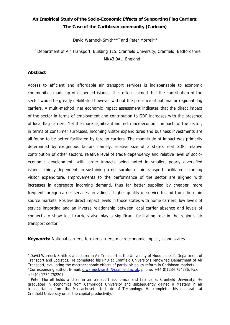# **An Empirical Study of the Socio-Economic Effects of Supporting Flag Carriers: The Case of the Caribbean community (Caricom)**

David Warnock-Smith<sup>1,a,\*</sup> and Peter Morrell<sup>1,b</sup>

<sup>1</sup> Department of Air Transport, Building 115, Cranfield University, Cranfield, Bedfordshire MK43 0AL, England

#### **Abstract**

Access to efficient and affordable air transport services is indispensable to economic communities made up of dispersed islands. It is often claimed that the contribution of the sector would be greatly debilitated however without the presence of national or regional flag carriers. A multi-method, net economic impact assessment indicates that the direct impact of the sector in terms of employment and contribution to GDP increases with the presence of local flag carriers. Yet the more significant indirect macroeconomic impacts of the sector, in terms of consumer surpluses, incoming visitor expenditures and business investments are all found to be better facilitated by foreign carriers. The magnitude of impact was primarily determined by exogenous factors namely, relative size of a state's real GDP, relative contribution of other sectors, relative level of trade dependency and relative level of socioeconomic development, with larger impacts being noted in smaller, poorly diversified islands, chiefly dependent on sustaining a net surplus of air transport facilitated incoming visitor expenditure. Improvements to the performance of the sector are aligned with increases in aggregate incoming demand, thus far better supplied by cheaper, more frequent foreign carrier services providing a higher quality of service to and from the main source markets. Positive direct impact levels in those states with home carriers, low levels of service importing and an inverse relationship between local carrier absence and levels of connectivity show local carriers also play a significant facilitating role in the region's air transport sector.

**Keywords:** National carriers, foreign carriers, macroeconomic impact, island states.

 $\overline{a}$ <sup>a</sup> David Warnock-Smith is a Lecturer in Air Transport at the University of Huddersfield's Department of Transport and Logistics. He completed his PhD at Cranfield University's renowned Department of Air Transport, evaluating the macroeconomic effects of partial air policy reform in Caribbean markets. \* Corresponding author. E-mail: d.warnock-smith@cranfield.ac.uk, phone: +44(0)1234 754236, Fax:

<sup>+44(0) 1234 752207</sup> 

b Peter Morrell holds a chair in air transport economics and finance at Cranfield University. He graduated in economics from Cambridge University and subsequently gained a Masters in air transportation from the Massachusetts Institute of Technology. He completed his doctorate at Cranfield University on airline capital productivity.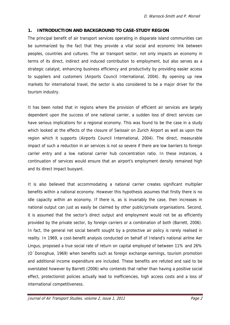#### **1. INTRODUCTION AND BACKGROUND TO CASE-STUDY REGION**

The principal benefit of air transport services operating in disparate island communities can be summarized by the fact that they provide a vital social and economic link between peoples, countries and cultures. The air transport sector, not only impacts an economy in terms of its direct, indirect and induced contribution to employment, but also serves as a strategic catalyst, enhancing business efficiency and productivity by providing easier access to suppliers and customers (Airports Council International, 2004). By opening up new markets for international travel, the sector is also considered to be a major driver for the tourism industry.

It has been noted that in regions where the provision of efficient air services are largely dependent upon the success of one national carrier, a sudden loss of direct services can have serious implications for a regional economy. This was found to be the case in a study which looked at the effects of the closure of Swissair on Zurich Airport as well as upon the region which it supports (Airports Council International, 2004). The direct, measurable impact of such a reduction in air services is not so severe if there are low barriers to foreign carrier entry and a low national carrier hub concentration ratio. In these instances, a continuation of services would ensure that an airport's employment density remained high and its direct impact buoyant.

It is also believed that accommodating a national carrier creates significant multiplier benefits within a national economy. However this hypothesis assumes that firstly there is no idle capacity within an economy. If there is, as is invariably the case, then increases in national output can just as easily be claimed by other public/private organisations. Second, it is assumed that the sector's direct output and employment would not be as efficiently provided by the private sector, by foreign carriers or a combination of both (Barrett, 2006). In fact, the general net social benefit sought by a protective air policy is rarely realised in reality. In 1969, a cost-benefit analysis conducted on behalf of Ireland's national airline Aer Lingus, proposed a true social rate of return on capital employed of between 11% and 26% (O´Donoghue, 1969) when benefits such as foreign exchange earnings, tourism promotion and additional income expenditure are included. These benefits are refuted and said to be overstated however by Barrett (2006) who contends that rather than having a positive social effect, protectionist policies actually lead to inefficiencies, high access costs and a loss of international competitiveness.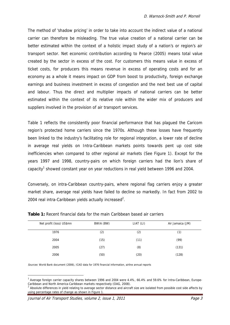The method of 'shadow pricing' in order to take into account the indirect value of a national carrier can therefore be misleading. The true value creation of a national carrier can be better estimated within the context of a holistic impact study of a nation's or region's air transport sector. Net economic contribution according to Pearce (2005) means total value created by the sector in excess of the cost. For customers this means value in excess of ticket costs, for producers this means revenue in excess of operating costs and for an economy as a whole it means impact on GDP from boost to productivity, foreign exchange earnings and business investment in excess of congestion and the next best use of capital and labour. Thus the direct and multiplier impacts of national carriers can be better estimated within the context of its relative role within the wider mix of producers and suppliers involved in the provision of air transport services.

Table 1 reflects the consistently poor financial performance that has plagued the Caricom region's protected home carriers since the 1970s. Although these losses have frequently been linked to the industry's facilitating role for regional integration, a lower rate of decline in average real yields on Intra-Caribbean markets points towards pent up cost side inefficiencies when compared to other regional air markets (See Figure 1). Except for the years 1997 and 1998, country-pairs on which foreign carriers had the lion's share of capacity<sup>1</sup> showed constant year on year reductions in real yield between 1996 and 2004.

Conversely, on intra-Caribbean country-pairs, where regional flag carriers enjoy a greater market share, average real yields have failed to decline so markedly. In fact from 2002 to 2004 real intra-Caribbean yields actually increased<sup>2</sup>.

| Net profit (loss) US\$mn | BWIA (BW) | LIAT (LI) | Air Jamaica (JM) |
|--------------------------|-----------|-----------|------------------|
| 1976                     | (2)       | (2)       | (1)              |
| 2004                     | (15)      | (11)      | (99)             |
| 2005                     | (27)      | (8)       | (131)            |
| 2006                     | (50)      | (20)      | (128)            |

|  |  |  |  | <b>Table 1:</b> Recent financial data for the main Caribbean based air carriers |
|--|--|--|--|---------------------------------------------------------------------------------|
|--|--|--|--|---------------------------------------------------------------------------------|

Sources: World Bank document (2006), ICAO data for 1976 financial information, airline annual reports

Average foreign carrier capacity shares between 1996 and 2004 were 4.4%, 66.4% and 59.6% for Intra-Caribbean, Europe-Caribbean and North America-Caribbean markets respectively (OAG, 2008).

Absolute differences in yield relating to average sector distance and aircraft size are isolated from possible cost side affects by using percentage rates of change as shown in Figure 1.

Journal of Air Transport Studies, volume 2, issue 1, 2011 **Page 3** Page 3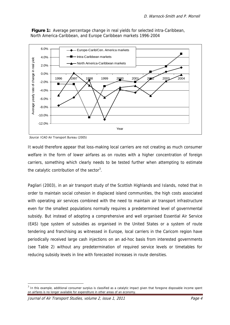

**Figure 1:** Average percentage change in real yields for selected intra-Caribbean, North America-Caribbean, and Europe Caribbean markets 1996-2004

It would therefore appear that loss-making local carriers are not creating as much consumer welfare in the form of lower airfares as on routes with a higher concentration of foreign carriers, something which clearly needs to be tested further when attempting to estimate the catalytic contribution of the sector<sup>3</sup>.

Pagliari (2003), in an air transport study of the Scottish Highlands and Islands, noted that in order to maintain social cohesion in displaced island communities, the high costs associated with operating air services combined with the need to maintain air transport infrastructure even for the smallest populations normally requires a predetermined level of governmental subsidy. But instead of adopting a comprehensive and well organised Essential Air Service (EAS) type system of subsidies as organised in the United States or a system of route tendering and franchising as witnessed in Europe, local carriers in the Caricom region have periodically received large cash injections on an ad-hoc basis from interested governments (see Table 2) without any predetermination of required service levels or timetables for reducing subsidy levels in line with forecasted increases in route densities.

Source: ICAO Air Transport Bureau (2005)

 $3$  In this example, additional consumer surplus is classified as a catalytic impact given that foregone disposable income spent on airfares is no longer available for expenditure in other areas of an economy.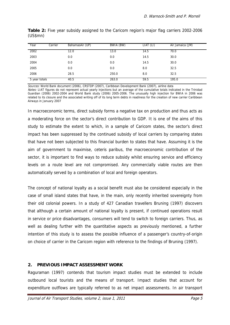| Year          | Carrier | BahamasAir (UP) | BWIA (BW) | LIAT (LI) | Air Jamaica (JM) |
|---------------|---------|-----------------|-----------|-----------|------------------|
| 2002          |         | 12.0            | 13.0      | 14.5      | 70.0             |
| 2003          |         | 0.0             | 0.0       | 14.5      | 30.0             |
| 2004          |         | 0.0             | 0.0       | 14.5      | 30.0             |
| 2005          |         | 0.0             | 0.0       | 8.0       | 32.5             |
| 2006          |         | 28.5            | 250.0     | 8.0       | 32.5             |
| 5 year totals |         | 40.5            | 263.0     | 59.5      | 195.0            |

**Table 2:** Five year subsidy assigned to the Caricom region's major flag carriers 2002-2006 (US\$mn)

Sources: World Bank document (2006), CRSTDP (2007), Caribbean Development Bank (2007), airline data

Notes: LIAT figures do not represent actual yearly injections but an average of the cumulative totals indicated in the Trinidad Guardian (2006) 2002-2004 and World Bank study (2006) 2005-2006. The unusually high injection for BWIA in 2006 was related to its closure and the associated writing off of its long term debts in readiness for the creation of new carrier Caribbean Airways in January 2007

In macroeconomic terms, direct subsidy forms a negative tax on production and thus acts as a moderating force on the sector's direct contribution to GDP. It is one of the aims of this study to estimate the extent to which, in a sample of Caricom states, the sector's direct impact has been suppressed by the continued subsidy of local carriers by comparing states that have not been subjected to this financial burden to states that have. Assuming it is the aim of government to maximise, ceteris paribus, the macroeconomic contribution of the sector, it is important to find ways to reduce subsidy whilst ensuring service and efficiency levels on a route level are not compromised. Any commercially viable routes are then automatically served by a combination of local and foreign operators.

The concept of national loyalty as a social benefit must also be considered especially in the case of small island states that have, in the main, only recently inherited sovereignty from their old colonial powers. In a study of 427 Canadian travellers Bruning (1997) discovers that although a certain amount of national loyalty is present, if continued operations result in service or price disadvantages, consumers will tend to switch to foreign carriers. Thus, as well as dealing further with the quantitative aspects as previously mentioned, a further intention of this study is to assess the possible influence of a passenger's country-of-origin on choice of carrier in the Caricom region with reference to the findings of Bruning (1997).

#### **2. PREVIOUS IMPACT ASSESSMENT WORK**

Raguraman (1997) contends that tourism impact studies must be extended to include outbound local tourists and the means of transport. Impact studies that account for expenditure outflows are typically referred to as net impact assessments. In air transport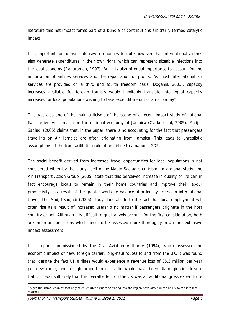literature this net impact forms part of a bundle of contributions arbitrarily termed catalytic impact.

It is important for tourism intensive economies to note however that international airlines also generate expenditures in their own right, which can represent sizeable injections into the local economy (Raguraman, 1997). But it is also of equal importance to account for the importation of airlines services and the repatriation of profits. As most international air services are provided on a third and fourth freedom basis (Doganis, 2003), capacity increases available for foreign tourists would inevitably translate into equal capacity increases for local populations wishing to take expenditure out of an economy<sup>4</sup>.

This was also one of the main criticisms of the scope of a recent impact study of national flag carrier, Air Jamaica on the national economy of Jamaica (Clarke et al, 2005). Madjd-Sadjadi (2005) claims that, in the paper, there is no accounting for the fact that passengers travelling on Air Jamaica are often originating from Jamaica. This leads to unrealistic assumptions of the true facilitating role of an airline to a nation's GDP.

The social benefit derived from increased travel opportunities for local populations is not considered either by the study itself or by Madjd-Sadjadi's criticism. In a global study, the Air Transport Action Group (2005) state that this perceived increase in quality of life can in fact encourage locals to remain in their home countries and improve their labour productivity as a result of the greater work/life balance afforded by access to international travel. The Madjd-Sadjadi (2005) study does allude to the fact that local employment will often rise as a result of increased usership no matter if passengers originate in the host country or not. Although it is difficult to qualitatively account for the first consideration, both are important omissions which need to be assessed more thoroughly in a more extensive impact assessment.

In a report commissioned by the Civil Aviation Authority (1994), which assessed the economic impact of new, foreign carrier, long-haul routes to and from the UK, it was found that, despite the fact UK airlines would experience a revenue loss of £5.5 million per year per new route, and a high proportion of traffic would have been UK originating leisure traffic, it was still likely that the overall effect on the UK was an additional gross expenditure

Journal of Air Transport Studies, volume 2, issue 1, 2011 **Page 6** 

 $^4$  Since the introduction of seat only sales, charter carriers operating into the region have also had the ability to tap into local markets.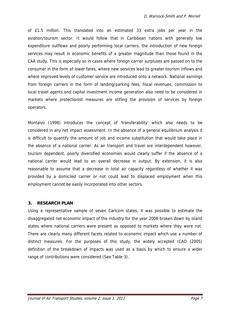of £1.5 million. This translated into an estimated 33 extra jobs per year in the aviation/tourism sector. It would follow that in Caribbean nations with generally low expenditure outflows and poorly performing local carriers, the introduction of new foreign services may result in economic benefits of a greater magnitude than those found in the CAA study. This is especially so in cases where foreign carrier surpluses are passed on to the consumer in the form of lower fares, where new services lead to greater tourism inflows and where improved levels of customer service are introduced onto a network. National earnings from foreign carriers in the form of landing/parking fees, fiscal revenues, commission to local travel agents and capital investment income generation also need to be considered in markets where protectionist measures are stifling the provision of services by foreign operators.

Montalvo (1998) introduces the concept of 'transferability' which also needs to be considered in any net impact assessment. In the absence of a general equilibrium analysis it is difficult to quantify the amount of job and income substitution that would take place in the absence of a national carrier. As air transport and travel are interdependent however, tourism dependent, poorly diversified economies would clearly suffer if the absence of a national carrier would lead to an overall decrease in output. By extension, it is also reasonable to assume that a decrease in total air capacity regardless of whether it was provided by a domiciled carrier or not could lead to displaced employment when this employment cannot be easily incorporated into other sectors.

#### **3. RESEARCH PLAN**

Using a representative sample of seven Caricom states, it was possible to estimate the disaggregated net economic impact of the industry for the year 2006 broken down by island states where national carriers were present as opposed to markets where they were not. There are clearly many different facets related to economic impact which use a number of distinct measures. For the purposes of this study, the widely accepted ICAO (2005) definition of the breakdown of impacts was used as a basis by which to ensure a wider range of contributions were considered (See Table 3).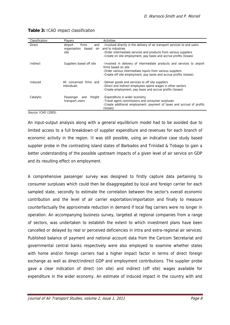| Classification | Players                                                        | <b>Activities</b>                                                                                                                                                                                                                       |
|----------------|----------------------------------------------------------------|-----------------------------------------------------------------------------------------------------------------------------------------------------------------------------------------------------------------------------------------|
| Direct         | Airport<br>firms<br>and<br>organisation<br>based<br>on<br>site | -Involved directly in the delivery of air transport services to end users<br>and to industries<br>-Order intermediate services and products from various suppliers<br>-Create on site employment, pay taxes and accrue profits (losses) |
| Indirect       | Suppliers based off site                                       | -Involved in delivery of intermediate products and services to airport<br>firms based on site<br>-Order various intermediate inputs from various suppliers<br>-Create off site employment, pay taxes and accrue profits (losses)        |
| Induced        | All concerned firms and<br>individuals                         | -Deliver goods and services to off site suppliers<br>-Direct and indirect employees spend wages in other sectors<br>-Create employment, pay taxes and accrue profits (losses)                                                           |
| Catalytic      | freight<br>Passenger<br>and<br>transport users                 | -Expenditure in wider economy<br>-Travel agent commissions and consumer surpluses<br>-Create additional employment, payment of taxes and accrual of profits<br>(losses)                                                                 |

#### **Table 3:** ICAO impact classification

Source: ICAO (2005)

An input-output analysis along with a general equilibrium model had to be avoided due to limited access to a full breakdown of supplier expenditure and revenues for each branch of economic activity in the region. It was still possible, using an indicative case study based supplier probe in the contrasting island states of Barbados and Trinidad & Tobago to gain a better understanding of the possible upstream impacts of a given level of air service on GDP and its resulting effect on employment.

A comprehensive passenger survey was designed to firstly capture data pertaining to consumer surpluses which could then be disaggregated by local and foreign carrier for each sampled state, secondly to estimate the correlation between the sector's overall economic contribution and the level of air carrier exportation/importation and finally to measure counterfactually the approximate reduction in demand if local flag carriers were no longer in operation. An accompanying business survey, targeted at regional companies from a range of sectors, was undertaken to establish the extent to which investment plans have been cancelled or delayed by real or perceived deficiencies in intra and extra-regional air services. Published balance of payment and national account data from the Caricom Secretariat and governmental central banks respectively were also employed to examine whether states with home and/or foreign carriers had a higher impact factor in terms of direct foreign exchange as well as direct/indirect GDP and employment contributions. The supplier probe gave a clear indication of direct (on site) and indirect (off site) wages available for expenditure in the wider economy. An estimate of induced impact in the country with and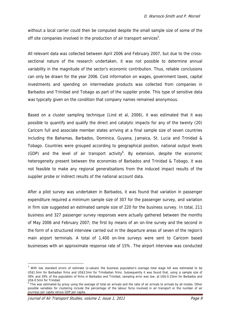without a local carrier could then be computed despite the small sample size of some of the off site companies involved in the production of air transport services<sup>5</sup>.

All relevant data was collected between April 2006 and February 2007, but due to the crosssectional nature of the research undertaken, it was not possible to determine annual variability in the magnitude of the sector's economic contribution. Thus, reliable conclusions can only be drawn for the year 2006. Cost information on wages, government taxes, capital investments and spending on intermediate products was collected from companies in Barbados and Trinidad and Tobago as part of the supplier probe. This type of sensitive data was typically given on the condition that company names remained anonymous.

Based on a cluster sampling technique (Lind et al, 2006), it was estimated that it was possible to quantify and qualify the direct and catalytic impacts for any of the twenty (20) Caricom full and associate member states arriving at a final sample size of seven countries including the Bahamas, Barbados, Dominica, Guyana, Jamaica, St. Lucia and Trinidad & Tobago. Countries were grouped according to geographical position, national output levels  $(GDP)$  and the level of air transport activity<sup>6</sup>. By extension, despite the economic heterogeneity present between the economies of Barbados and Trinidad & Tobago, it was not feasible to make any regional generalisations from the induced impact results of the supplier probe or indirect results of the national account data.

After a pilot survey was undertaken in Barbados, it was found that variation in passenger expenditure required a minimum sample size of 307 for the passenger survey, and variation in firm size suggested an estimated sample size of 220 for the business survey. In total, 211 business and 327 passenger survey responses were actually gathered between the months of May 2006 and February 2007; the first by means of an on-line survey and the second in the form of a structured interview carried out in the departure areas of seven of the region's main airport terminals. A total of 1,400 on-line surveys were sent to Caricom based businesses with an approximate response rate of 15%. The airport interview was conducted

Journal of Air Transport Studies, volume 2, issue 1, 2011 **Page 9** Page 9

<sup>&</sup>lt;sup>5</sup> With low standard errors of estimate (z-values) the business population's average total wage bill was estimated to be US\$1.5mn for Barbadian firms and US\$3.5mn for Trinidadian firms. Subsequently it was found that, using a sample size of 39% and 29% of the population of firms in Barbados and Trinidad, sampling error was low, at US\$-0.15mn for Barbados and US\$-0.5mn for Trinidad.

<sup>&</sup>lt;sup>6</sup> This was estimated by proxy using the average of total air arrivals and the ratio of air arrivals to arrivals by all modes. Other possible variables for clustering include the percentage of the labour force involved in air transport or the number of air journeys per capita versus GDP per capita.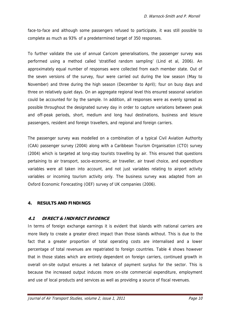face-to-face and although some passengers refused to participate, it was still possible to complete as much as 93% of a predetermined target of 350 responses.

To further validate the use of annual Caricom generalisations, the passenger survey was performed using a method called 'stratified random sampling' (Lind et al, 2006). An approximately equal number of responses were collected from each member state. Out of the seven versions of the survey, four were carried out during the low season (May to November) and three during the high season (December to April); four on busy days and three on relatively quiet days. On an aggregate regional level this ensured seasonal variation could be accounted for by the sample. In addition, all responses were as evenly spread as possible throughout the designated survey day in order to capture variations between peak and off-peak periods, short, medium and long haul destinations, business and leisure passengers, resident and foreign travellers, and regional and foreign carriers.

The passenger survey was modelled on a combination of a typical Civil Aviation Authority (CAA) passenger survey (2004) along with a Caribbean Tourism Organisation (CTO) survey (2004) which is targeted at long-stay tourists travelling by air. This ensured that questions pertaining to air transport, socio-economic, air traveller, air travel choice, and expenditure variables were all taken into account, and not just variables relating to airport activity variables or incoming tourism activity only. The business survey was adapted from an Oxford Economic Forecasting (OEF) survey of UK companies (2006).

#### **4. RESULTS AND FINDINGS**

#### **4.1 DIRECT & INDIRECT EVIDENCE**

In terms of foreign exchange earnings it is evident that islands with national carriers are more likely to create a greater direct impact than those islands without. This is due to the fact that a greater proportion of total operating costs are internalised and a lower percentage of total revenues are repatriated to foreign countries. Table 4 shows however that in those states which are entirely dependent on foreign carriers, continued growth in overall on-site output ensures a net balance of payment surplus for the sector. This is because the increased output induces more on-site commercial expenditure, employment and use of local products and services as well as providing a source of fiscal revenues.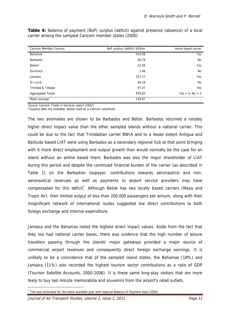| Caricom Member Country   | BoP surplus (deficit) \$USmn | Home based carrier |
|--------------------------|------------------------------|--------------------|
| <b>Bahamas</b>           | 419.08                       | Yes                |
| <b>Barbados</b>          | 58.78                        | No                 |
| Belize*                  | 22.09                        | Yes                |
| Dominica                 | 1.46                         | No                 |
| Jamaica                  | 337.17                       | Yes                |
| St. Lucia                | 44.18                        | No                 |
| Trinidad & Tobago        | 97.07                        | <b>Yes</b>         |
| <b>Aggregated Totals</b> | 979.83                       | $Yes = 4. No = 3$  |
| Mean average             | 139.97                       |                    |

**Table 4:** Balance of payment (BoP) surplus (deficit) against presence (absence) of a local carrier among the sampled Caricom member states (2000)

Source: Caricom Trade in Services report (2002)

\*Guyana data not available. Belize used as a Caricom substitute.

The two anomalies are shown to be Barbados and Belize. Barbados returned a notably higher direct impact value than the other sampled islands without a national carrier. This could be due to the fact that Trinidadian carrier BWIA and to a lesser extent Antigua and Barbuda based LIAT were using Barbados as a secondary regional hub at that point bringing with it more direct employment and output growth than would normally be the case for an island without an airline based there. Barbados was also the major shareholder of LIAT during this period and despite the continued financial burden of the carrier (as described in Table 1) on the Barbadian taxpayer, contributions towards aeronautical and nonaeronautical revenues as well as payments to airport service providers may have compensated for this deficit<sup>7</sup>. Although Belize has two locally based carriers (Maya and Tropic Air), their limited output of less than 200,000 passengers per annum, along with their insignificant network of international routes suggested low direct contributions to both foreign exchange and internal expenditure.

Jamaica and the Bahamas noted the highest direct impact values. Aside from the fact that they too had national carrier bases, there was evidence that the high number of leisure travellers passing through the islands' major gateways provided a major source of commercial airport revenues and consequently direct foreign exchange earnings. It is unlikely to be a coincidence that of the sampled island states, the Bahamas (18%) and Jamaica (11%) also recorded the highest tourism sector contributions as a ratio of GDP (Tourism Satellite Accounts, 2000-2006). It is these same long-stay visitors that are more likely to buy last minute memorabilia and souvenirs from the airport's retail outlets.

Journal of Air Transport Studies, volume 2, issue 1, 2011 Page 11

 $<sup>7</sup>$  This was estimated for the latest available year with regional Balance of Payment data (2000).</sup>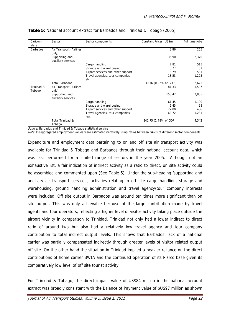| Caricom<br>state     | Sector                               | Sector components                       | Constant Prices (US\$mn) | Full time jobs |
|----------------------|--------------------------------------|-----------------------------------------|--------------------------|----------------|
| <b>Barbados</b>      | Air Transport (Airlines<br>only)     |                                         | 3.86                     | 255            |
|                      | Supporting and<br>auxiliary services |                                         | 35.90                    | 2,370          |
|                      |                                      | Cargo handling                          | 7.81                     | 515            |
|                      |                                      | Storage and warehousing                 | 0.77                     | 51             |
|                      |                                      | Airport services and other support      | 8.79                     | 581            |
|                      |                                      | Travel agencies, tour companies<br>etc. | 18.53                    | 1,223          |
|                      | <b>Total Barbados</b>                |                                         | 39.76 (0.92% of GDP)     | 2,625          |
| Trinidad &<br>Tobago | Air Transport (Airlines<br>only)     |                                         | 84.33                    | 1,507          |
|                      | Supporting and<br>auxiliary services |                                         | 158.42                   | 2,835          |
|                      |                                      | Cargo handling                          | 61.45                    | 1,100          |
|                      |                                      | Storage and warehousing                 | 5.45                     | 98             |
|                      |                                      | Airport services and other support      | 22.80                    | 406            |
|                      |                                      | Travel agencies, tour companies<br>etc. | 68.72                    | 1,231          |
|                      | Total Trinidad &<br>Tobago           |                                         | 242.75 (1.78% of GDP)    | 4,342          |

#### **Table 5:** National account extract for Barbados and Trinidad & Tobago (2005)

Source: Barbados and Trinidad & Tobago statistical service

Note: Disaggregated employment values were estimated iteratively using ratios between GAV's of different sector components

Expenditure and employment data pertaining to on and off site air transport activity was available for Trinidad & Tobago and Barbados through their national account data, which was last performed for a limited range of sectors in the year 2005. Although not an exhaustive list, a fair indication of indirect activity as a ratio to direct, on site activity could be assembled and commented upon (See Table 5). Under the sub-heading 'supporting and ancillary air transport services', activities relating to off site cargo handling, storage and warehousing, ground handling administration and travel agency/tour company interests were included. Off site output in Barbados was around ten times more significant than on site output. This was only achievable because of the large contribution made by travel agents and tour operators, reflecting a higher level of visitor activity taking place outside the airport vicinity in comparison to Trinidad. Trinidad not only had a lower indirect to direct ratio of around two but also had a relatively low travel agency and tour company contribution to total indirect output levels. This shows that Barbados' lack of a national carrier was partially compensated indirectly through greater levels of visitor related output off site. On the other hand the situation in Trinidad implied a heavier reliance on the direct contributions of home carrier BWIA and the continued operation of its Piarco base given its comparatively low level of off site tourist activity.

For Trinidad & Tobago, the direct impact value of US\$84 million in the national account extract was broadly consistent with the Balance of Payment value of \$US97 million as shown

Journal of Air Transport Studies, volume 2, issue 1, 2011 **Page 12** Page 12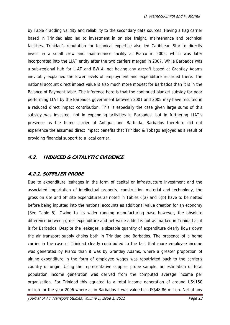by Table 4 adding validity and reliability to the secondary data sources. Having a flag carrier based in Trinidad also led to investment in on site freight, maintenance and technical facilities. Trinidad's reputation for technical expertise also led Caribbean Star to directly invest in a small crew and maintenance facility at Piarco in 2005, which was later incorporated into the LIAT entity after the two carriers merged in 2007. While Barbados was a sub-regional hub for LIAT and BWIA, not having any aircraft based at Grantley Adams inevitably explained the lower levels of employment and expenditure recorded there. The national account direct impact value is also much more modest for Barbados than it is in the Balance of Payment table. The inference here is that the continued blanket subsidy for poor performing LIAT by the Barbados government between 2001 and 2005 may have resulted in a reduced direct impact contribution. This is especially the case given large sums of this subsidy was invested, not in expanding activities in Barbados, but in furthering LIAT's presence as the home carrier of Antigua and Barbuda. Barbados therefore did not experience the assumed direct impact benefits that Trinidad & Tobago enjoyed as a result of providing financial support to a local carrier.

#### **4.2. INDUCED & CATALYTIC EVIDENCE**

#### **4.2.1. SUPPLIER PROBE**

Due to expenditure leakages in the form of capital or infrastructure investment and the associated importation of intellectual property, construction material and technology, the gross on site and off site expenditures as noted in Tables 6(a) and 6(b) have to be netted before being inputted into the national accounts as additional value creation for an economy (See Table 5). Owing to its wider ranging manufacturing base however, the absolute difference between gross expenditure and net value added is not as marked in Trinidad as it is for Barbados. Despite the leakages, a sizeable quantity of expenditure clearly flows down the air transport supply chains both in Trinidad and Barbados. The presence of a home carrier in the case of Trinidad clearly contributed to the fact that more employee income was generated by Piarco than it was by Grantley Adams, where a greater proportion of airline expenditure in the form of employee wages was repatriated back to the carrier's country of origin. Using the representative supplier probe sample, an estimation of total population income generation was derived from the computed average income per organisation. For Trinidad this equated to a total income generation of around US\$150 million for the year 2006 where as in Barbados it was valued at US\$48.86 million. Net of any

Journal of Air Transport Studies, volume 2, issue 1, 2011 entitled and the Page 13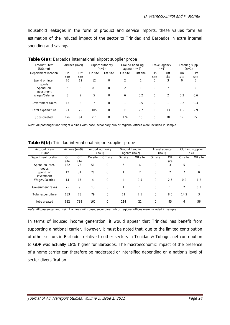household leakages in the form of product and service imports, these values form an estimation of the induced impact of the sector to Trinidad and Barbados in extra internal spending and savings.

| Account item<br>(US\$mm) | Airlines $(n=9)$ |             |         | Airport authority<br>$(n=1)$ | Ground handling<br>agents $(n=2)$ |          |                   | Travel agency<br>$(n=1)$ |            | Catering supp.<br>$(n=1)$ |
|--------------------------|------------------|-------------|---------|------------------------------|-----------------------------------|----------|-------------------|--------------------------|------------|---------------------------|
| Department location      | On<br>site       | Off<br>site | On site | Off site                     | On site                           | Off site | <b>On</b><br>site | Off<br>site              | On<br>site | Off<br>site               |
| Spend on inter.<br>goods | 70               | 12          | 12      | 0                            | $\overline{2}$                    | 1        | 0                 | 3                        | 0          | 2                         |
| Spend. on<br>investment  | 5                | 8           | 81      | 0                            | 2                                 |          | 0                 |                          |            | 0                         |
| Wages/Salaries           | 3                | 2           | 5       | $\mathbf 0$                  | 6                                 | 0.2      | 0                 | 2                        | 0.3        | 0.6                       |
| Government taxes         | 13               | 3           | 7       | 0                            | 1                                 | 0.5      | 0                 |                          | 0.2        | 0.3                       |
| Total expenditure        | 91               | 25          | 105     | $\mathbf 0$                  | 11                                | 2.7      | 0                 | 13                       | 1.5        | 2.9                       |
| Jobs created             | 126              | 84          | 211     | $\mathbf 0$                  | 174                               | 15       | 0                 | 78                       | 12         | 22                        |

**Table 6(a):** Barbados international airport supplier probe

Note: All passenger and freight airlines with base, secondary hub or regional offices were included in sample

**Table 6(b):** Trinidad international airport supplier probe

| Account item<br>(US\$mn) |      | Airlines $(n=9)$ | Airport authority<br>$(n=1)$ |             | Ground handling<br>agents $(n=2)$ |          | Travel agency<br>$(n=1)$ |      | Clothing supplier<br>$(n=1)$ |             |
|--------------------------|------|------------------|------------------------------|-------------|-----------------------------------|----------|--------------------------|------|------------------------------|-------------|
| Department location      | On   | Off              | On site                      | Off site    | On site                           | Off site | On site                  | Off  | On site                      | Off site    |
|                          | site | site             |                              |             |                                   |          |                          | site |                              |             |
| Spend on inter.<br>goods | 132  | 23               | 51                           | $\mathbf 0$ | 5                                 | 4        | $\mathbf 0$              | 3    | 5                            | 1           |
| Spend. on<br>investment  | 12   | 31               | 28                           | $\mathbf 0$ | 1                                 | 2        | $\mathbf 0$              | 2    | 7                            | $\mathbf 0$ |
| Wages/Salaries           | 14   | 15               | 4                            | $\mathbf 0$ | 4                                 | 0.5      | $\mathbf 0$              | 2.5  | 0.2                          | 1.8         |
| Government taxes         | 25   | 9                | 13                           | $\mathbf 0$ |                                   |          | $\Omega$                 |      | 2                            | 0.2         |
| Total expenditure        | 183  | 78               | 79                           | $\mathbf 0$ | 11                                | 7.5      | $\mathbf 0$              | 8.5  | 14.2                         | 3           |
| Jobs created             | 682  | 738              | 160                          | $\mathbf 0$ | 214                               | 22       | 0                        | 95   | 6                            | 56          |

Note: All passenger and freight airlines with base, secondary hub or regional offices were included in sample

In terms of induced income generation, it would appear that Trinidad has benefit from supporting a national carrier. However, it must be noted that, due to the limited contribution of other sectors in Barbados relative to other sectors in Trinidad & Tobago, net contribution to GDP was actually 18% higher for Barbados. The macroeconomic impact of the presence of a home carrier can therefore be moderated or intensified depending on a nation's level of sector diversification.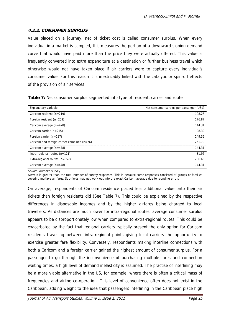#### **4.2.2. CONSUMER SURPLUS**

Value placed on a journey, net of ticket cost is called consumer surplus. When every individual in a market is sampled, this measures the portion of a downward sloping demand curve that would have paid more than the price they were actually offered. This value is frequently converted into extra expenditure at a destination or further business travel which otherwise would not have taken place if air carriers were to capture every individual's consumer value. For this reason it is inextricably linked with the catalytic or spin-off effects of the provision of air services.

**Table 7:** Net consumer surplus segmented into type of resident, carrier and route

| Explanatory variable                          | Net consumer surplus per passenger (US\$) |
|-----------------------------------------------|-------------------------------------------|
| Caricom resident $(n=219)$                    | 108.26                                    |
| Foreign resident $(n=259)$                    | 176.87                                    |
| Caricom average $(n=478)$                     | 144.31                                    |
| Caricom carrier $(n=215)$                     | 98.39                                     |
| Foreign carrier $(n=187)$                     | 149.36                                    |
| Caricom and foreign carrier combined $(n=76)$ | 261.79                                    |
| Caricom average (n=478)                       | 144.31                                    |
| Intra-regional routes $(n=121)$               | 81.96                                     |
| Extra-regional routes $(n=357)$               | 206.66                                    |
| Caricom average (n=478)                       | 144.31                                    |

Source: Author's survey

Note: n is greater than the total number of survey responses. This is because some responses consisted of groups or families covering multiple air fares. Sub-fields may not work out into the exact Caricom average due to rounding errors

On average, respondents of Caricom residence placed less additional value onto their air tickets than foreign residents did (See Table 7). This could be explained by the respective differences in disposable incomes and by the higher airfares being charged to local travellers. As distances are much lower for intra-regional routes, average consumer surplus appears to be disproportionately low when compared to extra-regional routes. This could be exacerbated by the fact that regional carriers typically present the only option for Caricom residents travelling between intra-regional points giving local carriers the opportunity to exercise greater fare flexibility. Conversely, respondents making interline connections with both a Caricom and a foreign carrier gained the highest amount of consumer surplus. For a passenger to go through the inconvenience of purchasing multiple fares and connection waiting times, a high level of demand inelasticity is assumed. The practise of interlining may be a more viable alternative in the US, for example, where there is often a critical mass of frequencies and airline co-operation. This level of convenience often does not exist in the Caribbean, adding weight to the idea that passengers interlining in the Caribbean place high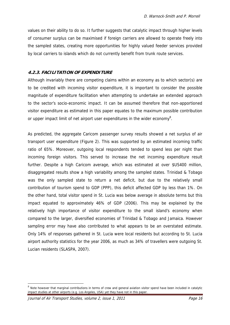values on their ability to do so. It further suggests that catalytic impact through higher levels of consumer surplus can be maximised if foreign carriers are allowed to operate freely into the sampled states, creating more opportunities for highly valued feeder services provided by local carriers to islands which do not currently benefit from trunk route services.

#### **4.2.3. FACILITATION OF EXPENDITURE**

Although invariably there are competing claims within an economy as to which sector(s) are to be credited with incoming visitor expenditure, it is important to consider the possible magnitude of expenditure facilitation when attempting to undertake an extended approach to the sector's socio-economic impact. It can be assumed therefore that non-apportioned visitor expenditure as estimated in this paper equates to the maximum possible contribution or upper impact limit of net airport user expenditures in the wider economy<sup>8</sup>.

As predicted, the aggregate Caricom passenger survey results showed a net surplus of air transport user expenditure (Figure 2). This was supported by an estimated incoming traffic ratio of 65%. Moreover, outgoing local respondents tended to spend less per night than incoming foreign visitors. This served to increase the net incoming expenditure result further. Despite a high Caricom average, which was estimated at over \$US400 million, disaggregated results show a high variability among the sampled states. Trinidad & Tobago was the only sampled state to return a net deficit, but due to the relatively small contribution of tourism spend to GDP (PPP), this deficit affected GDP by less than 1%. On the other hand, total visitor spend in St. Lucia was below average in absolute terms but this impact equated to approximately 46% of GDP (2006). This may be explained by the relatively high importance of visitor expenditure to the small island's economy when compared to the larger, diversified economies of Trinidad & Tobago and Jamaica. However sampling error may have also contributed to what appears to be an overstated estimate. Only 14% of responses gathered in St. Lucia were local residents but according to St. Lucia airport authority statistics for the year 2006, as much as 34% of travellers were outgoing St. Lucian residents (SLASPA, 2007).

<sup>&</sup>lt;sup>8</sup> Note however that marginal contributions in terms of crew and general aviation visitor spend have been included in catalytic impact studies at other airports (e.g. Los Angeles, USA) yet they have not in this paper.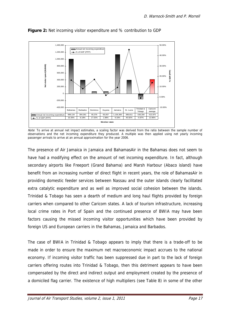

**Figure 2:** Net incoming visitor expenditure and % contribution to GDP

Note: To arrive at annual net impact estimates, a scaling factor was derived from the ratio between the sample number of observations and the net incoming expenditure they produced. A multiple was then applied using net yearly incoming passenger arrivals to arrive at an annual approximation for the year 2006.

The presence of Air Jamaica in Jamaica and BahamasAir in the Bahamas does not seem to have had a modifying effect on the amount of net incoming expenditure. In fact, although secondary airports like Freeport (Grand Bahama) and Marsh Harbour (Abaco island) have benefit from an increasing number of direct flight in recent years, the role of BahamasAir in providing domestic feeder services between Nassau and the outer islands clearly facilitated extra catalytic expenditure and as well as improved social cohesion between the islands. Trinidad & Tobago has seen a dearth of medium and long haul flights provided by foreign carriers when compared to other Caricom states. A lack of tourism infrastructure, increasing local crime rates in Port of Spain and the continued presence of BWIA may have been factors causing the missed incoming visitor opportunities which have been provided by foreign US and European carriers in the Bahamas, Jamaica and Barbados.

The case of BWIA in Trinidad & Tobago appears to imply that there is a trade-off to be made in order to ensure the maximum net macroeconomic impact accrues to the national economy. If incoming visitor traffic has been suppressed due in part to the lack of foreign carriers offering routes into Trinidad & Tobago, then this detriment appears to have been compensated by the direct and indirect output and employment created by the presence of a domiciled flag carrier. The existence of high multipliers (see Table 8) in some of the other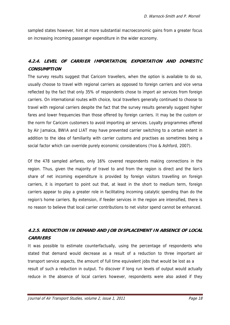sampled states however, hint at more substantial macroeconomic gains from a greater focus on increasing incoming passenger expenditure in the wider economy.

# **4.2.4. LEVEL OF CARRIER IMPORTATION, EXPORTATION AND DOMESTIC CONSUMPTION**

The survey results suggest that Caricom travellers, when the option is available to do so, usually choose to travel with regional carriers as opposed to foreign carriers and vice versa reflected by the fact that only 35% of respondents chose to import air services from foreign carriers. On international routes with choice, local travellers generally continued to choose to travel with regional carriers despite the fact that the survey results generally suggest higher fares and lower frequencies than those offered by foreign carriers. It may be the custom or the norm for Caricom customers to avoid importing air services. Loyalty programmes offered by Air Jamaica, BWIA and LIAT may have prevented carrier switching to a certain extent in addition to the idea of familiarity with carrier customs and practises as sometimes being a social factor which can override purely economic considerations (Yoo & Ashford, 2007).

Of the 478 sampled airfares, only 16% covered respondents making connections in the region. Thus, given the majority of travel to and from the region is direct and the lion's share of net incoming expenditure is provided by foreign visitors travelling on foreign carriers, it is important to point out that, at least in the short to medium term, foreign carriers appear to play a greater role in facilitating incoming catalytic spending than do the region's home carriers. By extension, if feeder services in the region are intensified, there is no reason to believe that local carrier contributions to net visitor spend cannot be enhanced.

# **4.2.5. REDUCTION IN DEMAND AND JOB DISPLACEMENT IN ABSENCE OF LOCAL CARRIERS**

It was possible to estimate counterfactually, using the percentage of respondents who stated that demand would decrease as a result of a reduction to three important air transport service aspects, the amount of full time equivalent jobs that would be lost as a result of such a reduction in output. To discover if long run levels of output would actually reduce in the absence of local carriers however, respondents were also asked if they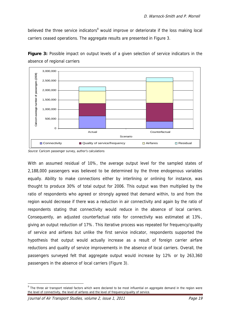believed the three service indicators<sup>9</sup> would improve or deteriorate if the loss making local carriers ceased operations. The aggregate results are presented in Figure 3.



**Figure 3:** Possible impact on output levels of a given selection of service indicators in the absence of regional carriers

With an assumed residual of 10%, the average output level for the sampled states of 2,188,000 passengers was believed to be determined by the three endogenous variables equally. Ability to make connections either by interlining or onlining for instance, was thought to produce 30% of total output for 2006. This output was then multiplied by the ratio of respondents who agreed or strongly agreed that demand within, to and from the region would decrease if there was a reduction in air connectivity and again by the ratio of respondents stating that connectivity would reduce in the absence of local carriers. Consequently, an adjusted counterfactual ratio for connectivity was estimated at 13%, giving an output reduction of 17%. This iterative process was repeated for frequency/quality of service and airfares but unlike the first service indicator, respondents supported the hypothesis that output would actually increase as a result of foreign carrier airfare reductions and quality of service improvements in the absence of local carriers. Overall, the passengers surveyed felt that aggregate output would increase by 12% or by 263,360 passengers in the absence of local carriers (Figure 3).

Source: Caricom passenger survey, author's calculations

 $9$  The three air transport related factors which were declared to be most influential on aggregate demand in the region were the level of connectivity, the level of airfares and the level of frequency/quality of service.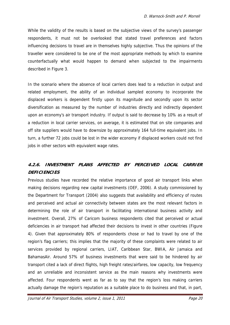While the validity of the results is based on the subjective views of the survey's passenger respondents, it must not be overlooked that stated travel preferences and factors influencing decisions to travel are in themselves highly subjective. Thus the opinions of the traveller were considered to be one of the most appropriate methods by which to examine counterfactually what would happen to demand when subjected to the impairments described in Figure 3.

In the scenario where the absence of local carriers does lead to a reduction in output and related employment, the ability of an individual sampled economy to incorporate the displaced workers is dependent firstly upon its magnitude and secondly upon its sector diversification as measured by the number of industries directly and indirectly dependent upon an economy's air transport industry. If output is said to decrease by 10% as a result of a reduction in local carrier services, on average, it is estimated that on site companies and off site suppliers would have to downsize by approximately 164 full-time equivalent jobs. In turn, a further 72 jobs could be lost in the wider economy if displaced workers could not find jobs in other sectors with equivalent wage rates.

# **4.2.6. INVESTMENT PLANS AFFECTED BY PERCEIVED LOCAL CARRIER DEFICIENCIES**

Previous studies have recorded the relative importance of good air transport links when making decisions regarding new capital investments (OEF, 2006). A study commissioned by the Department for Transport (2004) also suggests that availability and efficiency of routes and perceived and actual air connectivity between states are the most relevant factors in determining the role of air transport in facilitating international business activity and investment. Overall, 27% of Caricom business respondents cited that perceived or actual deficiencies in air transport had affected their decisions to invest in other countries (Figure 4). Given that approximately 80% of respondents chose or had to travel by one of the region's flag carriers; this implies that the majority of these complaints were related to air services provided by regional carriers, LIAT, Caribbean Star, BWIA, Air Jamaica and BahamasAir. Around 57% of business investments that were said to be hindered by air transport cited a lack of direct flights, high freight rates/airfares, low capacity, low frequency and an unreliable and inconsistent service as the main reasons why investments were affected. Four respondents went as far as to say that the region's loss making carriers actually damage the region's reputation as a suitable place to do business and that, in part,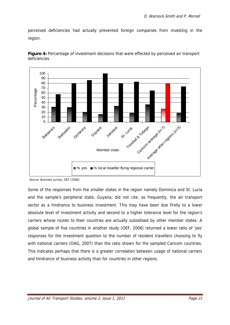perceived deficiencies had actually prevented foreign companies from investing in the region.



Figure 4: Percentage of investment decisions that were effected by perceived air transport deficiencies

Some of the responses from the smaller states in the region namely Dominica and St. Lucia and the sample's peripheral state, Guyana, did not cite, as frequently, the air transport sector as a hindrance to business investment. This may have been due firstly to a lower absolute level of investment activity and second to a higher tolerance level for the region's carriers whose routes to their countries are actually subsidised by other member states. A global sample of five countries in another study (OEF, 2006) returned a lower ratio of 'yes' responses for the investment question to the number of resident travellers choosing to fly with national carriers (OAG, 2007) than the ratio shown for the sampled Caricom countries. This indicates perhaps that there is a greater correlation between usage of national carriers and hindrance of business activity than for countries in other regions.

Source: Business survey, OEF (2006)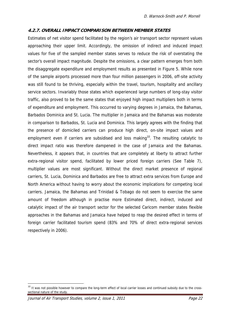#### **4.2.7. OVERALL IMPACT COMPARISON BETWEEN MEMBER STATES**

Estimates of net visitor spend facilitated by the region's air transport sector represent values approaching their upper limit. Accordingly, the omission of indirect and induced impact values for five of the sampled member states serves to reduce the risk of overstating the sector's overall impact magnitude. Despite the omissions, a clear pattern emerges from both the disaggregate expenditure and employment results as presented in Figure 5. While none of the sample airports processed more than four million passengers in 2006, off-site activity was still found to be thriving, especially within the travel, tourism, hospitality and ancillary service sectors. Invariably those states which experienced large numbers of long-stay visitor traffic, also proved to be the same states that enjoyed high impact multipliers both in terms of expenditure and employment. This occurred to varying degrees in Jamaica, the Bahamas, Barbados Dominica and St. Lucia. The multiplier in Jamaica and the Bahamas was moderate in comparison to Barbados, St. Lucia and Dominica. This largely agrees with the finding that the presence of domiciled carriers can produce high direct, on-site impact values and employment even if carriers are subsidised and loss making<sup>10</sup>. The resulting catalytic to direct impact ratio was therefore dampened in the case of Jamaica and the Bahamas. Nevertheless, it appears that, in countries that are completely at liberty to attract further extra-regional visitor spend, facilitated by lower priced foreign carriers (See Table 7), multiplier values are most significant. Without the direct market presence of regional carriers, St. Lucia, Dominica and Barbados are free to attract extra services from Europe and North America without having to worry about the economic implications for competing local carriers. Jamaica, the Bahamas and Trinidad & Tobago do not seem to exercise the same amount of freedom although in practise more Estimated direct, indirect, induced and catalytic impact of the air transport sector for the selected Caricom member states flexible approaches in the Bahamas and Jamaica have helped to reap the desired effect in terms of foreign carrier facilitated tourism spend (83% and 70% of direct extra-regional services respectively in 2006).

 $10$  It was not possible however to compare the long-term effect of local carrier losses and continued subsidy due to the crosssectional nature of the study.

Journal of Air Transport Studies, volume 2, issue 1, 2011 Page 22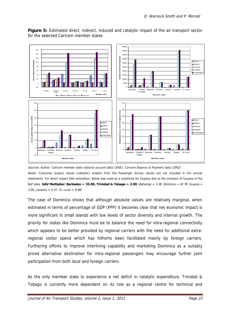

**Figure 5:** Estimated direct, indirect, induced and catalytic impact of the air transport sector for the selected Caricom member states

The case of Dominica shows that although absolute values are relatively marginal, when estimated in terms of percentage of GDP (PPP) it becomes clear that net economic impact is more significant in small islands with low levels of sector diversity and internal growth. The priority for states like Dominica must be to balance the need for intra-regional connectivity which appears to be better provided by regional carriers with the need for additional extraregional visitor spend which has hitherto been facilitated mainly by foreign carriers. Furthering efforts to improve interlining capability and marketing Dominica as a suitably priced alternative destination for intra-regional passengers may encourage further joint participation from both local and foreign carriers.

As the only member state to experience a net deficit in catalytic expenditure, Trinidad & Tobago is currently more dependent on its role as a regional centre for technical and

Sources: Author, Caricom member state national account data (2005), Caricom Balance of Payment data (2002) Notes: Consumer surplus values (catalytic) evident from the Passenger Survey results are not included in the annual statements. For direct impact GAV estimation, Belize was used as a substitute for Guyana due to the omission of Guyana in the BoP data. **GAV Multiplier: Barbados = 35.98, Trinidad & Tobago = 2.08** (Bahamas = 3.38, Dominica = 45.78, Guyana = 3.94, Jamaica = 4.37, St. Lucia = 9.98)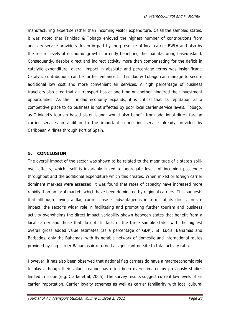manufacturing expertise rather than incoming visitor expenditure. Of all the sampled states, it was noted that Trinidad & Tobago enjoyed the highest number of contributions from ancillary service providers driven in part by the presence of local carrier BWIA and also by the record levels of economic growth currently benefiting the manufacturing based island. Consequently, despite direct and indirect activity more than compensating for the deficit in catalytic expenditure, overall impact in absolute and percentage terms was insignificant. Catalytic contributions can be further enhanced if Trinidad & Tobago can manage to secure additional low cost and more convenient air services. A high percentage of business travellers also cited that air transport has at one time or another hindered their investment opportunities. As the Trinidad economy expands, it is critical that its reputation as a competitive place to do business is not affected by poor local carrier service levels. Tobago, as Trinidad's tourism based sister island, would also benefit from additional direct foreign carrier services in addition to the important connecting service already provided by Caribbean Airlines through Port of Spain.

#### **5. CONCLUSION**

The overall impact of the sector was shown to be related to the magnitude of a state's spillover effects, which itself is invariably linked to aggregate levels of incoming passenger throughput and the additional expenditure which this creates. When mixed or foreign carrier dominant markets were assessed, it was found that rates of capacity have increased more rapidly than on local markets which have been dominated by regional carriers. This suggests that although having a flag carrier base is advantageous in terms of its direct, on-site impact, the sector's wider role in facilitating and promoting further tourism and business activity overwhelms the direct impact variability shown between states that benefit from a local carrier and those that do not. In fact, of the three sample states with the highest overall gross added value estimates (as a percentage of GDP): St. Lucia, Bahamas and Barbados, only the Bahamas, with its notable network of domestic and international routes provided by flag carrier Bahamasair returned a significant on-site to total activity ratio.

However, it has also been observed that national flag carriers do have a macroeconomic role to play although their value creation has often been overestimated by previously studies limited in scope (e.g. Clarke et al, 2005). The survey results suggest current low levels of air carrier importation. Carrier loyalty schemes as well as carrier familiarity with local cultural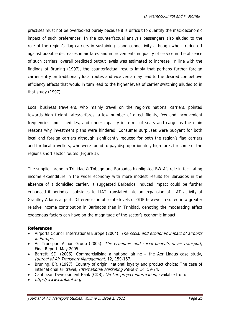practises must not be overlooked purely because it is difficult to quantify the macroeconomic impact of such preferences. In the counterfactual analysis passengers also eluded to the role of the region's flag carriers in sustaining island connectivity although when traded-off against possible decreases in air fares and improvements in quality of service in the absence of such carriers, overall predicted output levels was estimated to increase. In line with the findings of Bruning (1997), the counterfactual results imply that perhaps further foreign carrier entry on traditionally local routes and vice versa may lead to the desired competitive efficiency effects that would in turn lead to the higher levels of carrier switching alluded to in that study (1997).

Local business travellers, who mainly travel on the region's national carriers, pointed towards high freight rates/airfares, a low number of direct flights, few and inconvenient frequencies and schedules, and under-capacity in terms of seats and cargo as the main reasons why investment plans were hindered. Consumer surpluses were buoyant for both local and foreign carriers although significantly reduced for both the region's flag carriers and for local travellers, who were found to pay disproportionately high fares for some of the regions short sector routes (Figure 1).

The supplier probe in Trinidad & Tobago and Barbados highlighted BWIA's role in facilitating income expenditure in the wider economy with more modest results for Barbados in the absence of a domiciled carrier. It suggested Barbados' induced impact could be further enhanced if periodical subsidies to LIAT translated into an expansion of LIAT activity at Grantley Adams airport. Differences in absolute levels of GDP however resulted in a greater relative income contribution in Barbados than in Trinidad, denoting the moderating effect exogenous factors can have on the magnitude of the sector's economic impact.

#### **References**

- Airports Council International Europe (2004), The social and economic impact of airports in Europe.
- Air Transport Action Group (2005), The economic and social benefits of air transport, Final Report, May 2005.
- Barrett, SD. (2006), Commercialising a national airline the Aer Lingus case study, Journal of Air Transport Management, 12, 159-167.
- Bruning, ER. (1997), Country of origin, national loyalty and product choice: The case of international air travel, *International Marketing Review*, 14, 59-74.
- Caribbean Development Bank (CDB), On-line project information, available from:
- http://www.caribank.org.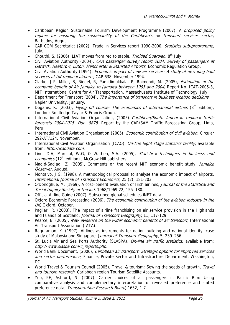- Caribbean Region Sustainable Tourism Development Programme (2007), A proposed policy regime for ensuring the sustainability of the Caribbean's air transport services sector, Barbados, August.
- CARICOM Secretariat (2002), Trade in Services report 1990-2000, Statistics sub-programme, July.
- Chouthi, S. (2006), LIAT moves from red to stable, *Trinidad Guardian*, 8<sup>th</sup> July
- Civil Aviation Authority (2004), CAA passenger survey report 2004: Survey of passengers at Gatwick, Heathrow, Luton, Manchester & Stansted Airports, Economic Regulation Group.
- Civil Aviation Authority (1994), *Economic impact of new air services: A study of new long haul* services at UK regional airports, CAP 638, November 1994.
- Clarke, J-P, Miller, B, Riedel, R, Pamidimukkala, P, Raimondi, M. (2005), *Estimation of the* economic benefit of Air Jamaica to Jamaica between 1995 and 2004, Report No. ICAT-2005-3, MIT International Centre for Air Transportation, Massachusetts Institute of Technology, July.
- Department for Transport (2004), The importance of transport in business location decisions, Napier University, January.
- Doganis, R. (2003), Flying off course: The economics of international airlines (3<sup>rd</sup> Edition). London: Routledge Taylor & Francis Group.
- International Civil Aviation Organisation, (2005). Caribbean/South American regional traffic forecasts 2004-2015. Doc. 9878. Report by the CAR/SAM Traffic Forecasting Group, Lima, Peru.
- International Civil Aviation Organisation (2005), *Economic contribution of civil aviation*, Circular 292-AT/124, November.
- International Civil Aviation Organisation (ICAO), On-line flight stage statistics facility, available from: http://icaodata.com.
- Lind, D.A, Marchal, W.G, & Wathen, S.A. (2005), Statistical techniques in business and economics (12<sup>th</sup> edition), McGraw Hill publishers.
- Madid-Sadiadi, Z. (2005), Comments on the recent MIT economic benefit study, Jamaica Observer, August.
- Montalvo, J.G. (1998), A methodological proposal to analyse the economic impact of airports, International Journal of Transport Economics, 25 (2), 181-203.
- O'Donoghue, M. (1969), A cost–benefit evaluation of Irish airlines, *Journal of the Statistical and* Social Inquiry Society of Ireland, 1968/1969 22, 155–180.
- Official Airline Guide (2007), Subscribed global schedules iNET data.
- Oxford Economic Forecasting (2006), The economic contribution of the aviation industry in the UK, Oxford, October.
- Pagliari, R. (2003), The impact of airline franchising on air service provision in the Highlands and Islands of Scotland, Journal of Transport Geography, 11, 117-129.
- Pearce, B. (2005), New evidence on the wider economic benefits of air transport, International Air Transport Association (IATA).
- Raguraman, K. (1997), Airlines as instruments for nation building and national identity: case study of Malaysia and Singapore, Journal of Transport Geography, 5, 239-256.
- St. Lucia Air and Sea Ports Authority (SLASPA). On-line air traffic statistics, available from: http://www.slaspa.com/c\_reports.php.
- World Bank Document, (2006), *Caribbean air transport: Strategic options for improved services* and sector performance, Finance, Private Sector and Infrastructure Department, Washington, DC.
- World Travel & Tourism Council (2005), Travel & tourism: Sewing the seeds of growth, Travel and tourism research, Caribbean region Tourism Satellite Accounts.
- Yoo, KE, Ashford, N. (2007), Carrier choices of air passengers in Pacific Rim: Using comparative analysis and complementary interpretation of revealed preference and stated preference data, Transportation Research Board, 1652, 1-7.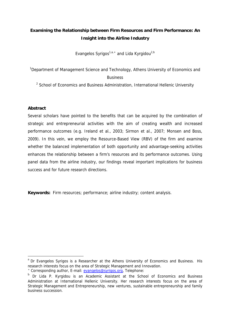# **Examining the Relationship between Firm Resources and Firm Performance: An Insight into the Airline Industry**

Evangelos Syrigos<sup>1,a,\*</sup> and Lida Kyrgidou<sup>2,b</sup>

<sup>1</sup>Department of Management Science and Technology, Athens University of Economics and

#### Business

<sup>2</sup> School of Economics and Business Administration, International Hellenic University

#### **Abstract**

 $\overline{a}$ 

Several scholars have pointed to the benefits that can be acquired by the combination of strategic and entrepreneurial activities with the aim of creating wealth and increased performance outcomes (e.g. Ireland et al., 2003; Sirmon et al., 2007; Monsen and Boss, 2009). In this vein, we employ the Resource-Based View (RBV) of the firm and examine whether the balanced implementation of both opportunity and advantage-seeking activities enhances the relationship between a firm's resources and its performance outcomes. Using panel data from the airline industry, our findings reveal important implications for business success and for future research directions.

**Keywords:** Firm resources; performance; airline industry; content analysis.

<sup>&</sup>lt;sup>a</sup> Dr Evangelos Syrigos is a Researcher at the Athens University of Economics and Business. His research interests focus on the area of Strategic Management and Innovation.

<sup>\*</sup> Corresponding author, E-mail: evangelos@syrigos.org, Telephone:

b Dr Lida P. Kyrgidou is an Academic Assistant at the School of Economics and Business Administration at International Hellenic University. Her research interests focus on the area of Strategic Management and Entrepreneurship, new ventures, sustainable entrepreneurship and family business succession.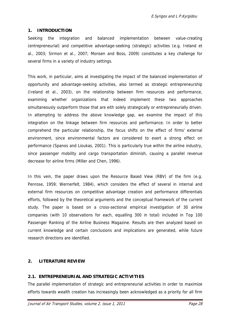### **1. INTRODUCTION**

Seeking the integration and balanced implementation between value-creating (entrepreneurial) and competitive advantage-seeking (strategic) activities (e.g. Ireland et al., 2003; Sirmon et al., 2007; Monsen and Boss, 2009) constitutes a key challenge for several firms in a variety of industry settings.

This work, in particular, aims at investigating the impact of the balanced implementation of opportunity and advantage-seeking activities, also termed as strategic entrepreneurship (Ireland et al., 2003), on the relationship between firm resources and performance, examining whether organizations that indeed implement these two approaches simultaneously outperform those that are eith solely strategically or entrepreneurially driven. In attempting to address the above knowledge gap, we examine the impact of this integration on the linkage between firm resources and performance. In order to better comprehend the particular relationship, the focus shifts on the effect of firms' external environment, since environmental factors are considered to exert a strong effect on performance (Spanos and Lioukas, 2001). This is particularly true within the airline industry, since passenger mobility and cargo transportation diminish, causing a parallel revenue decrease for airline firms (Miller and Chen, 1996).

In this vein, the paper draws upon the Resource Based View (RBV) of the firm (e.g. Penrose, 1959; Wernerfelt, 1984), which considers the effect of several in internal and external firm resources on competitive advantage creation and performance differentials efforts, followed by the theoretical arguments and the conceptual framework of the current study. The paper is based on a cross-sectional empirical investigation of 30 airline companies (with 10 observations for each, equalling 300 in total) included in Top 100 Passenger Ranking of the Airline Business Magazine. Results are then analyzed based on current knowledge and certain conclusions and implications are generated, while future research directions are identified.

## **2. LITERATURE REVIEW**

## **2.1. ENTREPRENEURIAL AND STRATEGIC ACTIVITIES**

The parallel implementation of strategic and entrepreneurial activities in order to maximize efforts towards wealth creation has increasingly been acknowledged as a priority for all firm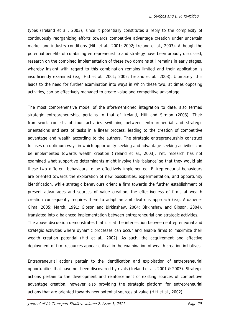types (Ireland et al., 2003), since it potentially constitutes a reply to the complexity of continuously reorganizing efforts towards competitive advantage creation under uncertain market and industry conditions (Hitt et al., 2001; 2002; Ireland et al., 2003). Although the potential benefits of combining entrepreneurship and strategy have been broadly discussed, research on the combined implementation of these two domains still remains in early stages, whereby insight with regard to this combination remains limited and their application is insufficiently examined (e.g. Hitt et al., 2001; 2002; Ireland et al., 2003). Ultimately, this leads to the need for further examination into ways in which these two, at times opposing activities, can be effectively managed to create value and competitive advantage.

The most comprehensive model of the aforementioned integration to date, also termed strategic entrepreneurship, pertains to that of Ireland, Hitt and Sirmon (2003). Their framework consists of four activities switching between entrepreneurial and strategic orientations and sets of tasks in a linear process, leading to the creation of competitive advantage and wealth according to the authors. The strategic entrepreneurship construct focuses on optimum ways in which opportunity-seeking and advantage-seeking activities can be implemented towards wealth creation (Ireland et al., 2003). Yet, research has not examined what supportive determinants might involve this 'balance' so that they would aid these two different behaviours to be effectively implemented. Entrepreneurial behaviours are oriented towards the exploration of new possibilities, experimentation, and opportunity identification, while strategic behaviours orient a firm towards the further establishment of present advantages and sources of value creation, the effectiveness of firms at wealth creation consequently requires them to adapt an ambidextrous approach (e.g. Atuahene-Gima, 2005; March, 1991; Gibson and Birkinshaw, 2004; Birkinshaw and Gibson, 2004), translated into a balanced implementation between entrepreneurial and strategic activities. The above discussion demonstrates that it is at the intersection between entrepreneurial and strategic activities where dynamic processes can occur and enable firms to maximize their wealth creation potential (Hitt et al., 2002). As such, the acquirement and effective deployment of firm resources appear critical in the examination of wealth creation initiatives.

Entrepreneurial actions pertain to the identification and exploitation of entrepreneurial opportunities that have not been discovered by rivals (Ireland et al., 2001 & 2003). Strategic actions pertain to the development and reinforcement of existing sources of competitive advantage creation, however also providing the strategic platform for entrepreneurial actions that are oriented towards new potential sources of value (Hitt et al., 2002).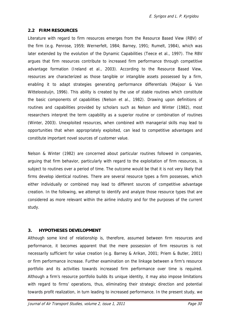## **2.2 FIRM RESOURCES**

Literature with regard to firm resources emerges from the Resource Based View (RBV) of the firm (e.g. Penrose, 1959; Wernerfelt, 1984; Barney, 1991; Rumelt, 1984), which was later extended by the evolution of the Dynamic Capabilities (Teece et al., 1997). The RBV argues that firm resources contribute to increased firm performance through competitive advantage formation (Ireland et al., 2003). According to the Resource Based View, resources are characterized as those tangible or intangible assets possessed by a firm, enabling it to adapt strategies generating performance differentials (Maijoor & Van Witteloostuijn, 1996). This ability is created by the use of stable routines which constitute the basic components of capabilities (Nelson et al., 1982). Drawing upon definitions of routines and capabilities provided by scholars such as Nelson and Winter (1982), most researchers interpret the term capability as a superior routine or combination of routines (Winter, 2003). Unexploited resources, when combined with managerial skills may lead to opportunities that when appropriately exploited, can lead to competitive advantages and constitute important novel sources of customer value.

Nelson & Winter (1982) are concerned about particular routines followed in companies, arguing that firm behavior, particularly with regard to the exploitation of firm resources, is subject to routines over a period of time. The outcome would be that it is not very likely that firms develop identical routines. There are several resource types a firm possesses, which either individually or combined may lead to different sources of competitive advantage creation. In the following, we attempt to identify and analyze those resource types that are considered as more relevant within the airline industry and for the purposes of the current study.

# **3. HYPOTHESES DEVELOPMENT**

Although some kind of relationship is, therefore, assumed between firm resources and performance, it becomes apparent that the mere possession of firm resources is not necessarily sufficient for value creation (e.g. Barney & Arikan, 2001; Priem & Butler, 2001) or firm performance increase. Further examination on the linkage between a firm's resource portfolio and its activities towards increased firm performance over time is required. Although a firm's resource portfolio builds its unique identity, it may also impose limitations with regard to firms' operations, thus, eliminating their strategic direction and potential towards profit realization, in turn leading to increased performance. In the present study, we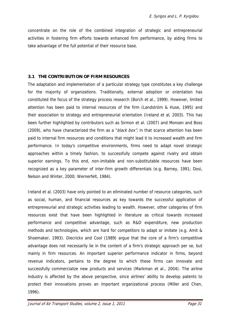concentrate on the role of the combined integration of strategic and entrepreneurial activities in fostering firm efforts towards enhanced firm performance, by aiding firms to take advantage of the full potential of their resource base.

## **3.1 THE CONTRIBUTION OF FIRM RESOURCES**

The adaptation and implementation of a particular strategy type constitutes a key challenge for the majority of organizations. Traditionally, external adoption or orientation has constituted the focus of the strategy process research (Borch et al., 1999). However, limited attention has been paid to internal resources of the firm (Landström & Huse, 1995) and their association to strategy and entrepreneurial orientation (Ireland et al, 2003). This has been further highlighted by contributors such as Sirmon et al. (2007) and Monsen and Boss (2009), who have characterized the firm as a "black box", in that scarce attention has been paid to internal firm resources and conditions that might lead it to increased wealth and firm performance. In today's competitive environments, firms need to adapt novel strategic approaches within a timely fashion, to successfully compete against rivalry and obtain superior earnings. To this end, non-imitable and non-substitutable resources have been recognized as a key parameter of inter-firm growth differentials (e.g. Barney, 1991; Dosi, Nelson and Winter, 2000; Wernerfelt, 1984).

Ireland et al. (2003) have only pointed to an eliminated number of resource categories, such as social, human, and financial resources as key towards the successful application of entrepreneurial and strategic activities leading to wealth. However, other categories of firm resources exist that have been highlighted in literature as critical towards increased performance and competitive advantage, such as R&D expenditure, new production methods and technologies, which are hard for competitors to adapt or imitate (e.g. Amit & Shoemaker, 1993). Diecrickx and Cool (1989) argue that the core of a firm's competitive advantage does not necessarily lie in the content of a firm's strategic approach per se, but mainly in firm resources. An important superior performance indicator in firms, beyond revenue indicators, pertains to the degree to which these firms can innovate and successfully commercialize new products and services (Markman et al., 2004). The airline industry is affected by the above perspective, since airlines' ability to develop patents to protect their innovations proves an important organizational process (Miller and Chen, 1996).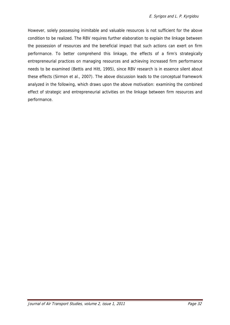However, solely possessing inimitable and valuable resources is not sufficient for the above condition to be realized. The RBV requires further elaboration to explain the linkage between the possession of resources and the beneficial impact that such actions can exert on firm performance. To better comprehend this linkage, the effects of a firm's strategically entrepreneurial practices on managing resources and achieving increased firm performance needs to be examined (Bettis and Hitt, 1995), since RBV research is in essence silent about these effects (Sirmon et al., 2007). The above discussion leads to the conceptual framework analyzed in the following, which draws upon the above motivation: examining the combined effect of strategic and entrepreneurial activities on the linkage between firm resources and performance.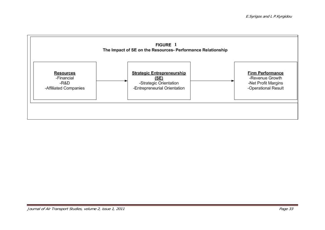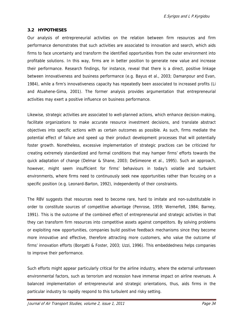E.Syrigos and L P.Kyrgidou

### **3.2 HYPOTHESES**

Our analysis of entrepreneurial activities on the relation between firm resources and firm performance demonstrates that such activities are associated to innovation and search, which aids firms to face uncertainty and transform the identified opportunities from the outer environment into profitable solutions. In this way, firms are in better position to generate new value and increase their performance. Research findings, for instance, reveal that there is a direct, positive linkage between innovativeness and business performance (e.g. Bayus et al., 2003; Damanpour and Evan, 1984), while a firm's innovativeness capacity has repeatedly been associated to increased profits (Li and Atuahene-Gima, 2001). The former analysis provides argumentation that entrepreneurial activities may exert a positive influence on business performance.

Likewise, strategic activities are associated to well-planned actions, which enhance decision-making, facilitate organizations to make accurate resource investment decisions, and translate abstract objectives into specific actions with as certain outcomes as possible. As such, firms mediate the potential effect of failure and speed up their product development processes that will potentially foster growth. Nonetheless, excessive implementation of strategic practices can be criticized for creating extremely standardized and formal conditions that may hamper firms' efforts towards the quick adaptation of change (Delmar & Shane, 2003; DeSimeone et al., 1995). Such an approach, however, might seem insufficient for firms' behaviours in today's volatile and turbulent environments, where firms need to continuously seek new opportunities rather than focusing on a specific position (e.g. Leonard-Barton, 1992), independently of their constraints.

The RBV suggests that resources need to become rare, hard to imitate and non-substitutable in order to constitute sources of competitive advantage (Penrose, 1959; Wernerfelt, 1984; Barney, 1991). This is the outcome of the combined effect of entrepreneurial and strategic activities in that they can transform firm resources into competitive assets against competitors. By solving problems or exploiting new opportunities, companies build positive feedback mechanisms since they become more innovative and effective, therefore attracting more customers, who value the outcome of firms' innovation efforts (Borgatti & Foster, 2003; Uzzi, 1996). This embeddedness helps companies to improve their performance.

Such efforts might appear particularly critical for the airline industry, where the external unforeseen environmental factors, such as terrorism and recession have immense impact on airline revenues. A balanced implementation of entrepreneurial and strategic orientations, thus, aids firms in the particular industry to rapidly respond to this turbulent and risky setting.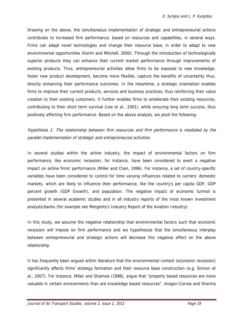Drawing on the above, the simultaneous implementation of strategic and entrepreneurial actions contributes to increased firm performance, based on resources and capabilities, in several ways. Firms can adapt novel technologies and change their resource base, in order to adapt to new environmental opportunities (Karim and Mitchell, 2000). Through the introduction of technologically superior products they can enhance their current market performance through improvements of existing products. Thus, entrepreneurial activities allow firms to be exposed to new knowledge, foster new product development, become more flexible, capture the benefits of uncertainty thus, directly enhancing their performance outcomes. In the meantime, a strategic orientation enables firms to improve their current products, services and business practices, thus reinforcing their value creation to their existing customers. It further enables firms to ameliorate their existing resources, contributing to their short term survival (Lee et al., 2001), while ensuring long term success, thus positively affecting firm performance. Based on the above analysis, we posit the following:

Hypothesis 1: The relationship between firm resources and firm performance is mediated by the parallel implementation of strategic and entrepreneurial activities.

In several studies within the airline industry, the impact of environmental factors on firm performance, like economic recession, for instance, have been considered to exert a negative impact on airline firms' performance (Miller and Chen, 1996). For instance, a set of country-specific variables have been considered to control for time varying influences related to carriers' domestic markets, which are likely to influence their performance, like the country's per capita GDP, GDP percent growth (GDP Growth), and population. The negative impact of economic turmoil is presented in several academic studies and in all industry reports of the most known investment analysts/banks (for example see Mergents's Industry Report of the Aviation Industry).

In this study, we assume the negative relationship that environmental factors such that economic recession will impose on firm performance and we hypothesize that the simultaneous interplay between entrepreneurial and strategic actions will decrease this negative effect on the above relationship.

It has frequently been argued within literature that the environmental context (economic recession) significantly affects firms' strategy formation and their resource base construction (e.g. Sirmon et al., 2007). For instance, Miller and Shamsie (1996), argue that "property based resources are more valuable in certain environments than are knowledge based resources". Aragon-Correa and Sharma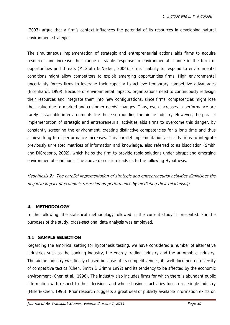(2003) argue that a firm's context influences the potential of its resources in developing natural environment strategies.

The simultaneous implementation of strategic and entrepreneurial actions aids firms to acquire resources and increase their range of viable response to environmental change in the form of opportunities and threats (McGrath & Nerker, 2004). Firms' inability to respond to environmental conditions might allow competitors to exploit emerging opportunities firms. High environmental uncertainty forces firms to leverage their capacity to achieve temporary competitive advantages (Eisenhardt, 1999). Because of environmental impacts, organizations need to continuously redesign their resources and integrate them into new configurations, since firms' competencies might lose their value due to marked and customer needs' changes. Thus, even increases in performance are rarely sustainable in environments like those surrounding the airline industry. However, the parallel implementation of strategic and entrepreneurial activities aids firms to overcome this danger, by constantly screening the environment, creating distinctive competencies for a long time and thus achieve long term performance increases. This parallel implementation also aids firms to integrate previously unrelated matrices of information and knowledge, also referred to as bisociation (Smith and DiGregorio, 2002), which helps the firm to provide rapid solutions under abrupt and emerging environmental conditions. The above discussion leads us to the following Hypothesis.

Hypothesis 2**:** The parallel implementation of strategic and entrepreneurial activities diminishes the negative impact of economic recession on performance by mediating their relationship.

## **4. METHODOLOGY**

In the following, the statistical methodology followed in the current study is presented. For the purposes of the study, cross-sectional data analysis was employed.

## **4.1 SAMPLE SELECTION**

Regarding the empirical setting for hypothesis testing, we have considered a number of alternative industries such as the banking industry, the energy trading industry and the automobile industry. The airline industry was finally chosen because of its competitiveness, its well documented diversity of competitive tactics (Chen, Smith & Grimm 1992) and its tendency to be affected by the economic environment (Chen et al., 1996). The industry also includes firms for which there is abundant public information with respect to their decisions and whose business activities focus on a single industry (Miller& Chen, 1996). Prior research suggests a great deal of publicly available information exists on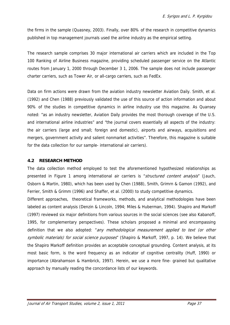the firms in the sample (Quasney, 2003). Finally, over 80% of the research in competitive dynamics published in top management journals used the airline industry as the empirical setting.

The research sample comprises 30 major international air carriers which are included in the Top 100 Ranking of Airline Business magazine, providing scheduled passenger service on the Atlantic routes from January 1, 2000 through December 3 1, 2006. The sample does not include passenger charter carriers, such as Tower Air, or all-cargo carriers, such as FedEx.

Data on firm actions were drawn from the aviation industry newsletter Aviation Daily. Smith, et al. (1992) and Chen (1988) previously validated the use of this source of action information and about 90% of the studies in competitive dynamics in airline industry use this magazine. As Quansey noted: "as an industry newsletter, Aviation Daily provides the most thorough coverage of the U.S. and international airline industries" and "the journal covers essentially all aspects of the industry: the air carriers (large and small; foreign and domestic), airports and airways, acquisitions and mergers, government activity and salient nonmarket activities". Therefore, this magazine is suitable for the data collection for our sample- international air carriers).

## **4.2 RESEARCH METHOD**

The data collection method employed to test the aforementioned hypothesized relationships as presented in Figure 1 among international air carriers is "structured content analysis" (Jauch, Osborn & Martin, 1980), which has been used by Chen (1988), Smith, Grimrn & Gamon (1992), and Ferrier, Smith & Grimm (1996) and Shaffer, et al. (2000) to study competitive dynamics.

Different approaches, theoretical frameworks, methods, and analytical methodologies have been labeled as content analysis (Denzin & Lincoln, 1994; Miles & Huberman, 1994). Shapiro and Markoff (1997) reviewed six major definitions from various sources in the social sciences (see also Kabanoff, 1995, for complementary perspectives). These scholars proposed a minimal and encompassing definition that we also adopted: "any methodological measurement applied to text (or other symbolic materials) for social science purposes" (Shapiro & Markoff, 1997, p. 14). We believe that the Shapiro Markoff definition provides an acceptable conceptual grounding. Content analysis, at its most basic form, is the word frequency as an indicator of cognitive centrality (Huff, 1990) or importance (Abrahamson & Hambrick, 1997). Herein, we use a more fine- grained but qualitative approach by manually reading the concordance lists of our keywords.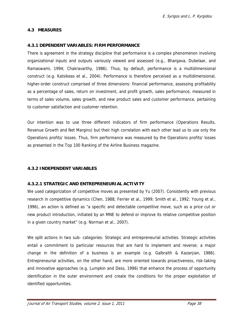## **4.3 MEASURES**

### **4.3.1 DEPENDENT VARIABLES: FIRM PERFORMANCE**

There is agreement in the strategy discipline that performance is a complex phenomenon involving organizational inputs and outputs variously viewed and assessed (e.g., Bhargava, Dubelaar, and Ramaswami, 1994; Chakravarthy, 1986). Thus, by default, performance is a multidimensional construct (e.g. Katsikeas et al., 2004). Performance is therefore perceived as a multidimensional, higher-order construct comprised of three dimensions: financial performance, assessing profitability as a percentage of sales, return on investment, and profit growth, sales performance, measured in terms of sales volume, sales growth, and new product sales and customer performance, pertaining to customer satisfaction and customer retention.

Our intention was to use three different indicators of firm performance (Operations Results, Revenue Growth and Net Margins) but their high correlation with each other lead us to use only the Operations profits/ losses. Thus, firm performance was measured by the Operations profits/ losses as presented in the Top 100 Ranking of the Airline Business magazine.

## **4.3.2 INDEPENDENT VARIABLES**

## **4.3.2.1 STRATEGIC AND ENTREPRENEURIAL ACTIVITY**

We used categorization of competitive moves as presented by Yu (2007). Consistently with previous research in competitive dynamics (Chen, 1988; Ferrier et al., 1999; Smith et al., 1992; Young et al., 1996), an action is defined as "a specific and detectable competitive move, such as a price cut or new product introduction, initiated by an MNE to defend or improve its relative competitive position in a given country market" (e.g. Norman et al., 2007).

We split actions in two sub- categories: Strategic and entrepreneurial activities. Strategic activities entail a commitment to particular resources that are hard to implement and reverse; a major change in the definition of a business is an example (e.g. Galbraith & Kazanjian, 1986). Entrepreneurial activities, on the other hand, are more oriented towards proactiveness, risk-taking and innovative approaches (e.g. Lumpkin and Dess, 1996) that enhance the process of opportunity identification in the outer environment and create the conditions for the proper exploitation of identified opportunities.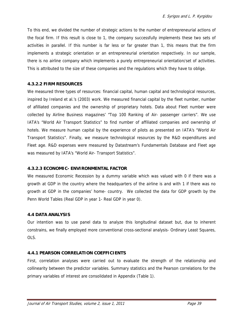To this end, we divided the number of strategic actions to the number of entrepreneurial actions of the focal firm. If this result is close to 1, the company successfully implements these two sets of activities in parallel. If this number is far less or far greater than 1, this means that the firm implements a strategic orientation or an entrepreneurial orientation respectively. In our sample, there is no airline company which implements a purely entrepreneurial orientation/set of activities. This is attributed to the size of these companies and the regulations which they have to oblige.

## **4.3.2.2 FIRM RESOURCES**

We measured three types of resources: financial capital, human capital and technological resources, inspired by Ireland et al.'s (2003) work. We measured financial capital by the fleet number, number of afilliated companies and the ownership of proprietary hotels. Data about Fleet number were collected by Airline Business magazines' "Top 100 Ranking of Air- passenger carriers". We use IATA's "World Air Transport Statistics" to find number of affiliated companies and ownership of hotels. We measure human capital by the experience of pilots as presented on IATA's "World Air Transport Statistics". Finally, we measure technological resources by the R&D expenditures and Fleet age. R&D expenses were measured by Datastream's Fundamentals Database and Fleet age was measured by IATA's "World Air- Transport Statistics".

## **4.3.2.3 ECONOMIC- ENVIRONMENTAL FACTOR**

We measured Economic Recession by a dummy variable which was valued with 0 if there was a growth at GDP in the country where the headquarters of the airline is and with 1 if there was no growth at GDP in the companies' home- country. We collected the data for GDP growth by the Penn World Tables (Real GDP in year 1- Real GDP in year 0).

## **4.4 DATA ANALYSIS**

Our intention was to use panel data to analyze this longitudinal dataset but, due to inherent constrains, we finally employed more conventional cross-sectional analysis- Ordinary Least Squares, OLS.

# **4.4.1 PEARSON CORRELATION COEFFICIENTS**

First, correlation analyses were carried out to evaluate the strength of the relationship and collinearity between the predictor variables. Summary statistics and the Pearson correlations for the primary variables of interest are consolidated in Appendix (Table 1).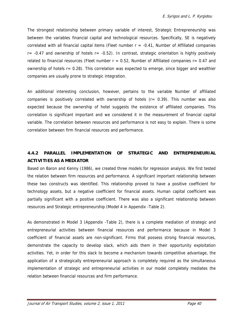The strongest relationship between primary variable of interest, Strategic Entrepreneurship was between the variables financial capital and technological resources. Specifically, SE is negatively correlated with all financial capital items (Fleet number  $r = -0.41$ , Number of Affiliated companies  $r= -0.47$  and ownership of hotels  $r=-0.52$ ). In contrast, strategic orientation is highly positively related to financial resources (Fleet number  $r = 0.52$ , Number of Affiliated companies  $r = 0.47$  and ownership of hotels r= 0.28). This correlation was expected to emerge, since bigger and wealthier companies are usually prone to strategic integration.

An additional interesting conclusion, however, pertains to the variable Number of affiliated companies is positively correlated with ownership of hotels (r= 0.39). This number was also expected because the ownership of hotel suggests the existence of affiliated companies. This correlation is significant important and we considered it in the measurement of financial capital variable. The correlation between resources and performance is not easy to explain. There is some correlation between firm financial resources and performance.

# **4.4.2 PARALLEL IMPLEMENTATION OF STRATEGIC AND ENTREPRENEURIAL ACTIVITIES AS A MEDIATOR**

Based on Baron and Kenny (1986), we created three models for regression analysis. We first tested the relation between firm resources and performance. A significant important relationship between these two constructs was identified. This relationship proved to have a positive coefficient for technology assets, but a negative coefficient for financial assets. Human capital coefficient was partially significant with a positive coefficient. There was also a significant relationship between resources and Strategic entrepreneurship (Model 4 in Appendix -Table 2).

As demonstrated in Model 3 (Appendix -Table 2), there is a complete mediation of strategic and entrepreneurial activities between financial resources and performance because in Model 3 coefficient of financial assets are non-significant. Firms that possess strong financial resources, demonstrate the capacity to develop slack, which aids them in their opportunity exploitation activities. Yet, in order for this slack to become a mechanism towards competitive advantage, the application of a strategically entrepreneurial approach is completely required as the simultaneous implementation of strategic and entrepreneurial activities in our model completely mediates the relation between financial resources and firm performance.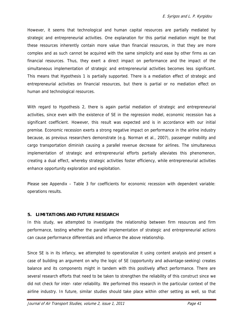However, it seems that technological and human capital resources are partially mediated by strategic and entrepreneurial activities. One explanation for this partial mediation might be that these resources inherently contain more value than financial resources, in that they are more complex and as such cannot be acquired with the same simplicity and ease by other firms as can financial resources. Thus, they exert a direct impact on performance and the impact of the simultaneous implementation of strategic and entrepreneurial activities becomes less significant. This means that Hypothesis 1 is partially supported. There is a mediation effect of strategic and entrepreneurial activities on financial resources, but there is partial or no mediation effect on human and technological resources.

With regard to Hypothesis 2, there is again partial mediation of strategic and entrepreneurial activities, since even with the existence of SE in the regression model, economic recession has a significant coefficient. However, this result was expected and is in accordance with our initial premise. Economic recession exerts a strong negative impact on performance in the airline industry because, as previous researchers demonstrate (e.g. Norman et al., 2007), passenger mobility and cargo transportation diminish causing a parallel revenue decrease for airlines. The simultaneous implementation of strategic and entrepreneurial efforts partially alleviates this phenomenon, creating a dual effect, whereby strategic activities foster efficiency, while entrepreneurial activities enhance opportunity exploration and exploitation.

Please see Appendix – Table 3 for coefficients for economic recession with dependent variable: operations results.

## **5. LIMITATIONS AND FUTURE RESEARCH**

In this study, we attempted to investigate the relationship between firm resources and firm performance, testing whether the parallel implementation of strategic and entrepreneurial actions can cause performance differentials and influence the above relationship.

Since SE is in its infancy, we attempted to operationalize it using content analysis and present a case of building an argument on why the logic of SE (opportunity and advantage-seeking) creates balance and its components might in tandem with this positively affect performance. There are several research efforts that need to be taken to strengthen the reliability of this construct since we did not check for inter- rater reliability. We performed this research in the particular context of the airline industry. In future, similar studies should take place within other setting as well, so that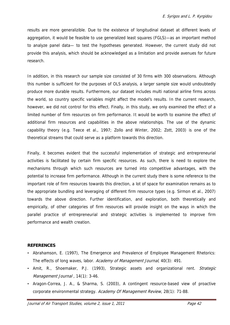results are more generalizible. Due to the existence of longitudinal dataset at different levels of aggregation, it would be feasible to use generalized least squares (FGLS)—as an important method to analyze panel data— to test the hypotheses generated. However, the current study did not provide this analysis, which should be acknowledged as a limitation and provide avenues for future research.

In addition, in this research our sample size consisted of 30 firms with 300 observations. Although this number is sufficient for the purposes of OLS analysis, a larger sample size would undoubtedly produce more durable results. Furthermore, our dataset includes multi national airline firms across the world, so country specific variables might affect the model's results. In the current research, however, we did not control for this effect. Finally, in this study, we only examined the effect of a limited number of firm resources on firm performance. It would be worth to examine the effect of additional firm resources and capabilities in the above relationships. The use of the dynamic capability theory (e.g. Teece et al., 1997; Zollo and Winter, 2002; Zott, 2003) is one of the theoretical streams that could serve as a platform towards this direction.

Finally, it becomes evident that the successful implementation of strategic and entrepreneurial activities is facilitated by certain firm specific resources. As such, there is need to explore the mechanisms through which such resources are turned into competitive advantages, with the potential to increase firm performance. Although in the current study there is some reference to the important role of firm resources towards this direction, a lot of space for examination remains as to the appropriate bundling and leveraging of different firm resource types (e.g. Sirmon et al., 2007) towards the above direction. Further identification, and exploration, both theoretically and empirically, of other categories of firm resources will provide insight on the ways in which the parallel practice of entrepreneurial and strategic activities is implemented to improve firm performance and wealth creation.

## **REFERENCES**

- Abrahamson, E. (1997), The Emergence and Prevalence of Employee Management Rhetorics: The effects of long waves, labor. Academy of Management Journal, 40(3): 491.
- Amit, R., Shoemaker, P.J. (1993), Strategic assets and organizational rent. Strategic Management Journal, 14(1): 3-46.
- Aragon-Correa, J. A., & Sharma, S. (2003), A contingent resource-based view of proactive corporate environmental strategy. Academy Of Management Review, 28(1): 71-88.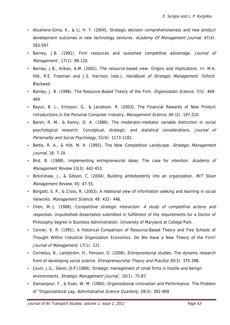- Atuahene-Gima, K., & Li, H. Y. (2004), Strategic decision comprehensiveness and new product development outcomes in new technology ventures. Academy Of Management Journal, 47(4): 583-597.
- Barney, J.B. (1991), Firm resources and sustained competitive advantage. Journal of Management , 17(1): 99-120.
- Barney, J.B., Arikan, A.M. (2001), The resource-based view: Origins and implications. In: M.A. Hitt, R.E. Freeman and J.S. Harrison (eds.), Handbook of Strategic Management. Oxford: Blackwell.
- Barney, J. B. (1996), The Resource-Based Theory of the Firm. *Organization Science*, 7(5): 469-469.
- Bayus, B. L., Erickson, G., & Jacobson, R. (2003), The Financial Rewards of New Product Introductions in the Personal Computer Industry. Management Science, 49 (2): 197-210.
- Baron, R. M., & Kenny, D. A. (1986), The moderator-mediator variable distinction in social psychological research: Conceptual, strategic, and statistical considerations. Journal of Personality and Social Psychology, 51(6): 1173-1182.
- Bettis, R. A., & Hitt, M. A. (1995), The New Competitive Landscape. Strategic Management Journal, 16: 7-19.
- Bird, B. (1988), Implementing entrepreneurial ideas: The case for intention. Academy of Management Review 13(3): 442-453.
- Birkinshaw, J., & Gibson, C. (2004), Building ambidexterity into an organization. MIT Sloan Management Review, 45: 47-55.
- Borgatti, S. P., & Cross, R. (2003), A relational view of information seeking and learning in social networks. Management Science, 49: 432-446.
- Chen, M.-J. (1988), Competitive strategic interaction: A study of competitive actions and responses. Unpublished dissertation submitted in fulfillment of the requirements for a Doctor of Philosophy degree in Business Administration. University of Maryland at College Park.
- Conner, K. R. (1991), A Historical Comparison of Resource-Based Theory and Five Schools of Thought Within Industrial Organization Economics: Do We Have a New Theory of the Firm? Journal of Management, 17(1): 121
- Cornelius, B., Landström, H., Persson, O. (2006), Entrepreneurial studies: The dynamic research front of developing social science. *Entrepreneurship Theory and Practice* 30(3): 375-398.
- Covin, J.G., Slevin, D.P.(1989), Strategic management of small firms in hostile and benign environments. Strategic Management Journal, 10(1): 75-87.
- Damanpour, F., & Evan, W. M. (1984), Organizational Innovation and Performance: The Problem of "Organizational Lag. Administrative Science Quarterly, 29(3): 392-409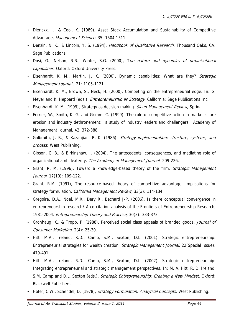- Dierickx, I., & Cool, K. (1989), Asset Stock Accumulation and Sustainability of Competitive Advantage, Management Science. 35: 1504-1511
- Denzin, N. K., & Lincoln, Y. S. (1994), *Handbook of Qualitative Research*. Thousand Oaks, CA: Sage Publications
- Dosi, G., Nelson, R.R., Winter, S.G. (2000), The nature and dynamics of organizational capabilities. Oxford: Oxford University Press.
- Eisenhardt, K. M., Martin, J. K. (2000), Dynamic capabilities: What are they? Strategic Management Journal , 21: 1105-1121.
- Eisenhardt, K. M., Brown, S., Neck, H. (2000), Competing on the entrepreneurial edge. In: G. Meyer and K. Heppard (eds.), *Entrepreneurship as Strategy*. California: Sage Publications Inc.
- Eisenhardt, K. M. (1999), Strategy as decision making. Sloan Management Review, Spring.
- Ferrier, W., Smith, K. G. and Grimm, C. (1999), The role of competitive action in market share erosion and industry dethronement: a study of industry leaders and challengers. Academy of Management Journal, 42, 372-388.
- Galbraith, J. R., & Kazanjian, R. K. (1986), *Strategy implementation: structure, systems, and* process: West Publishing.
- Gibson, C. B., & Birkinshaw, J. (2004), The antecedents, consequences, and mediating role of organizational ambidexterity. The Academy of Management Journal: 209-226.
- Grant, R. M. (1996), Toward a knowledge-based theory of the firm. Strategic Management Journal, 17(10): 109-122.
- Grant, R.M. (1991), The resource-based theory of competitive advantage: implications for strategy formulation. California Management Review, 33(3): 114-134.
- Gregoire, D.A., Noel, M.X., Dery R., Bechard J-P. (2006), Is there conceptual convergence in entrepreneurship research? A co-citation analysis of the Frontiers of Entrepreneurship Research, 1981-2004. Entrepreneurship Theory and Practice, 30(3): 333-373.
- Gronhaug, K., & Tropp, P. (1988), Perceived social class appeals of branded goods. *Journal of* Consumer Marketing, 2(4): 25-30.
- Hitt, M.A., Ireland, R.D., Camp, S.M., Sexton, D.L. (2001), Strategic entrepreneurship: Entrepreneurial strategies for wealth creation. Strategic Management Journal, 22(Special Issue): 479-491.
- Hitt, M.A., Ireland, R.D., Camp, S.M., Sexton, D.L. (2002), Strategic entrepreneurship: Integrating entrepreneurial and strategic management perspectives. In: M. A. Hitt, R. D. Ireland, S.M. Camp and D.L. Sexton (eds.). Strategic Entrepreneurship: Creating a New Mindset, Oxford: Blackwell Publishers.
- Hofer, C.W., Schendel, D. (1978), Strategy Formulation: Analytical Concepts. West Publishing.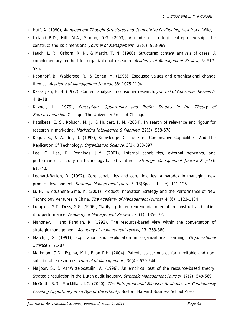- Huff, A. (1990), Management Thought Structures and Competitive Positioning, New York: Wiley.
- Ireland R.D., Hitt, M.A., Sirmon, D.G. (2003), A model of strategic entrepreneurship: the construct and its dimensions. Journal of Management , 29(6): 963-989.
- Jauch, L. R., Osborn, R. N., & Martin, T. N. (1980), Structured content analysis of cases: A complementary method for organizational research. Academy of Management Review, 5: 517-526.
- Kabanoff, B., Waldersee, R., & Cohen, M. (1995), Espoused values and organizational change themes. Academy of Management Journal, 38: 1075-1104.
- Kassariian, H. H. (1977), Content analysis in consumer research. Journal of Consumer Research, 4, 8–18.
- Kirzner, I., (1979), Perception, Opportunity and Profit: Studies in the Theory of Entrepreneurship. Chicago: The University Press of Chicago.
- Katsikeas, C. S., Robson, M. J., & Hulbert, J. M. (2004), In search of relevance and rigour for research in marketing. Marketing Intelligence & Planning, 22(5): 568-578.
- Kogut, B., & Zander, U. (1992), Knowledge Of The Firm, Combinative Capabilities, And The Replication Of Technology. Organization Science, 3(3): 383-397.
- Lee, C., Lee, K., Pennings, J.M. (2001), Internal capabilities, external networks, and performance: a study on technology-based ventures. Strategic Management Journal 22(6/7): 615-40.
- Leonard-Barton, D. (1992), Core capabilities and core rigidities: A paradox in managing new product development. Strategic Management Journal , 13(Special Issue): 111-125.
- Li, H., & Atuahene-Gima, K. (2001). Product Innovation Strategy and the Performance of New Technology Ventures in China. The Academy of Management Journal, 44(6): 1123-1134.
- Lumpkin, G.T., Dess, G.G. (1996), Clarifying the entrepreneurial orientation construct and linking it to performance. Academy of Management Review, 21(1): 135-172.
- Mahoney, J. and Pandian, R. (1992), The resource-based view within the conversation of strategic management. Academy of management review, 13: 363-380.
- March, J.G. (1991), Exploration and exploitation in organizational learning. *Organizational* Science 2: 71-87.
- Markman, G.D., Espina, M.I., Phan P.H. (2004). Patents as surrogates for inimitable and nonsubstitutable resources. Journal of Management, 30(4): 529-544.
- Maijoor, S., & VanWitteloostuijn, A. (1996), An empirical test of the resource-based theory: Strategic regulation in the Dutch audit industry. Strategic Management Journal, 17(7): 549-569.
- McGrath, R.G., MacMillan, I.C. (2000), The Entrepreneurial Mindset: Strategies for Continuously Creating Opportunity in an Age of Uncertainty. Boston: Harvard Business School Press.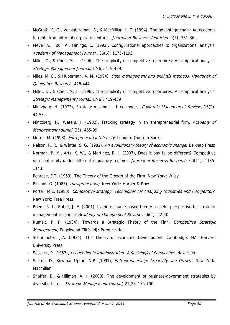- McGrath, R. G., Venkataraman, S., & MacMillan, I. C. (1994). The advantage chain: Antecedents to rents from internal corporate ventures. Journal of Business Venturing, 9(5): 351-369.
- Meyer A., Tsui, A., Hinings, C. (1993). Configurational approaches to organizational analysis. Academy of Management Journal, 36(6): 1175-1195.
- Miller, D., & Chen, M.-J. (1996). The simplicity of competitive repertoires: An empirical analysis. Strategic Management Journal, 17(6): 419-439.
- Miles, M. B., & Huberman, A. M. (1994), Data management and analysis methods. Handbook of Qualitative Research: 428-444.
- Miller, D., & Chen, M. J. (1996), The simplicity of competitive repertoires: An empirical analysis. Strategic Management Journal, 17(6): 419-439
- Mintzberg, H. (1973), Strategy making in three modes. California Management Review, 16(2): 44-53.
- Mintzberg, H., Waters, J. (1982), Tracking strategy in an entrepreneurial firm. Academy of Management Journal (25): 465-99.
- Morris, M. (1998), *Entrepreneurial Intensity*. London: Quorum Books.
- Nelson, R. R., & Winter, S. G. (1982), An evolutionary theory of economic change: Belknap Press
- Norman, P. M., Artz, K. W., & Martinez, R. J. (2007), Does it pay to be different? Competitive non-conformity under different regulatory regimes. Journal of Business Research, 60(11): 1135-1143.
- Penrose, E.T. (1959), The Theory of the Growth of the Firm. New York: Wiley.
- Pinchot, G. (1985), *Intrapreneuring*. New York: Harper & Row.
- Porter, M.E. (1980), *Competitive strategy: Techniques for Analyzing Industries and Competitors.* New York: Free Press.
- Priem, R. L., Butler, J. E. (2001), Is the resource-based theory a useful perspective for strategic management research? Academy of Management Review, 26(1): 22-40.
- Rumelt, P. P. (1984), Towards a Strategic Theory of the Finn. Competitive Strategic Management, Engelwood Cliffs, NJ: Prentice-Hall.
- Schumpeter, J.A. (1934), The Theory of Economic Development. Cambridge, MA: Harvard University Press.
- Selznick, P. (1957), Leadership in Administration: A Sociological Perspective. New York.
- Sexton, D., Bowman-Upton, N.B. (1991), *Entrepreneurship: Creativity and Growth*. New York: Macmillan.
- Shaffer, B., & Hillman, A. J. (2000), The development of business-government strategies by diversified firms. Strategic Management Journal, 21(2): 175-190.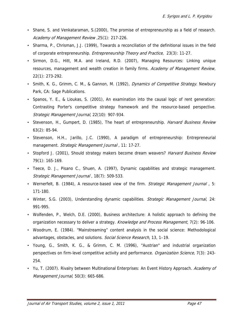- Shane, S. and Venkataraman, S.(2000), The promise of entrepreneurship as a field of research. Academy of Management Review ,25(1): 217-226.
- Sharma, P., Chrisman, J.J. (1999), Towards a reconciliation of the definitional issues in the field of corporate entrepreneurship. Entrepreneurship Theory and Practice, 23(3): 11-27.
- Sirmon, D.G., Hitt, M.A. and Ireland, R.D. (2007), Managing Resources: Linking unique resources, management and wealth creation in family firms. Academy of Management Review, 22(1): 273-292.
- Smith, K. G., Grimm, C. M., & Gannon, M. (1992), *Dynamics of Competitive Strategy*. Newbury Park, CA: Sage Publications.
- Spanos, Y. E., & Lioukas, S. (2001), An examination into the causal logic of rent generation: Contrasting Porter's competitive strategy framework and the resource-based perspective. Strategic Management Journal, 22(10): 907-934.
- Stevenson, H., Gumpert, D. (1985), The heart of entrepreneurship. *Harvard Business Review* 63(2): 85-94.
- Stevenson, H.H., Jarillo, J.C. (1990), A paradigm of entrepreneurship: Entrepreneurial management. Strategic Management Journal, 11: 17-27.
- Stopford J. (2001), Should strategy makers become dream weavers? Harvard Business Review 79(1): 165-169.
- Teece, D. J., Pisano C., Shuen, A. (1997), Dynamic capabilities and strategic management. Strategic Management Journal , 18(7): 509-533.
- Wernerfelt, B. (1984), A resource-based view of the firm. Strategic Management Journal, 5: 171-180.
- Winter, S.G. (2003), Understanding dynamic capabilities. Strategic Management Journal, 24: 991-995.
- Wolfenden, P., Welch, D.E. (2000), Business architecture: A holistic approach to defining the organization necessary to deliver a strategy. Knowledge and Process Management, 7(2): 96-106.
- Woodrum, E. (1984). "Mainstreaming" content analysis in the social science: Methodological advantages, obstacles, and solutions. Social Science Research, 13, 1-19.
- Young, G., Smith, K. G., & Grimm, C. M. (1996), "Austrian" and industrial organization perspectives on firm-level competitive activity and performance. *Organization Science*, 7(3): 243-254.
- Yu, T. (2007). Rivalry between Multinational Enterprises: An Event History Approach. Academy of Management Journal, 50(3): 665-686.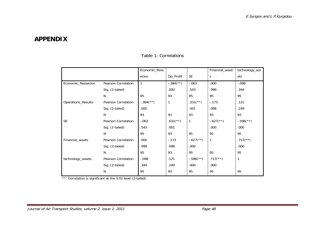# **APPENDIX**

|                           |                            | Economic_Ress             |                          |                          | Financial_asset          | technology_ass          |
|---------------------------|----------------------------|---------------------------|--------------------------|--------------------------|--------------------------|-------------------------|
|                           |                            | ecion                     | Op_Profit                | <b>SE</b>                | S.                       | ets                     |
| Economic_Ressecion        | <b>Pearson Correlation</b> | 1                         | $-.384$ <sup>(**</sup> ) | $-.063$                  | .000                     | $-.098$                 |
|                           | Sig. (2-tailed)            |                           | .000                     | .543                     | .999                     | .344                    |
|                           | N                          | 95                        | 93                       | 95                       | 95                       | 95                      |
| <b>Operations_Results</b> | <b>Pearson Correlation</b> | $-.384$ <sup>(**)</sup> ) | $\mathbf{1}$             | $.331$ (**)              | $-.173$                  | .121                    |
|                           | Sig. (2-tailed)            | .000                      |                          | .001                     | .098                     | .249                    |
|                           | N                          | 93                        | 93                       | 93                       | 93                       | 93                      |
| <b>SE</b>                 | <b>Pearson Correlation</b> | $-.063$                   | $.631$ <sup>(**)</sup> ) | $\mathbf{1}$             | $-.627$ <sup>**</sup> )  | $-.596$ <sup>**</sup> ) |
|                           | Sig. (2-tailed)            | .543                      | .001                     |                          | .000                     | .000                    |
|                           | N                          | 95                        | 93                       | 95                       | 95                       | 95                      |
| Financial_assets          | Pearson Correlation        | .000                      | $-.173$                  | $-.627$ <sup>**</sup> )  | $\mathbf{1}$             | $.717$ (**)             |
|                           | Sig. (2-tailed)            | .999                      | .098                     | .000                     |                          | .000                    |
|                           | N                          | 95                        | 93                       | 95                       | 95                       | 95                      |
| technology_assets         | Pearson Correlation        | $-.098$                   | .121                     | $-.596$ <sup>(**</sup> ) | $.717$ <sup>(**)</sup> ) | 1                       |
|                           | Sig. (2-tailed)            | .344                      | .249                     | .000                     | .000                     |                         |
|                           | N                          | 95                        | 93                       | 95                       | 95                       | 95                      |

### Table 1: Correlations

\*\* Correlation is significant at the 0.01 level (2-tailed).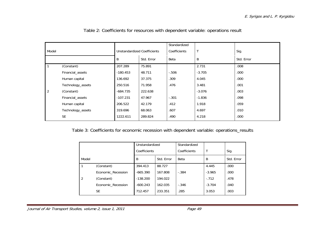|                |                   |                             |            | Standardized |              |            |
|----------------|-------------------|-----------------------------|------------|--------------|--------------|------------|
| Model          |                   | Unstandardized Coefficients |            | Coefficients | $\mathsf{T}$ | Sig.       |
|                |                   | B                           | Std. Error | Beta         | B            | Std. Error |
|                | (Constant)        | 207.289                     | 75.891     |              | 2.731        | .008       |
|                | Financial_assets  | $-180.453$                  | 48.711     | $-.506$      | $-3.705$     | .000       |
|                | Human capital     | 136.692                     | 37.375     | .309         | 4.045        | .000       |
|                | Technology_assets | 250.516                     | 71.958     | .476         | 3.481        | .001       |
| $\overline{2}$ | (Constant)        | $-684.735$                  | 222.638    |              | $-3.076$     | .003       |
|                | Financial_assets  | $-107.231$                  | 47.967     | $-.301$      | $-1.836$     | .098       |
|                | Human capital     | 206.522                     | 42.179     | .412         | 1.918        | .059       |
|                | Technology_assets | 319.696                     | 68.063     | .607         | 4.697        | .010       |
|                | <b>SE</b>         | 1222.611                    | 289.824    | .490         | 4.218        | .000       |

Table 2: Coefficients for resources with dependent variable: operations result

Table 3: Coefficients for economic recession with dependent variable: operations\_results

|                |                    | Unstandardized |            | Standardized |          |            |
|----------------|--------------------|----------------|------------|--------------|----------|------------|
|                |                    | Coefficients   |            | Coefficients |          | Sig.       |
| Model          |                    | B              | Std. Error | Beta         | B        | Std. Error |
| l 1            | (Constant)         | 394.413        | 88.727     |              | 4.445    | .000       |
|                | Economic Recession | $-665.390$     | 167.808    | $-.384$      | $-3.965$ | .000       |
| $\overline{2}$ | (Constant)         | $-138.200$     | 194.022    |              | $-.712$  | .478       |
|                | Economic Recession | $-600.243$     | 162.035    | $-.346$      | $-3.704$ | .040       |
|                | <b>SE</b>          | 712.457        | 233.351    | .285         | 3.053    | .003       |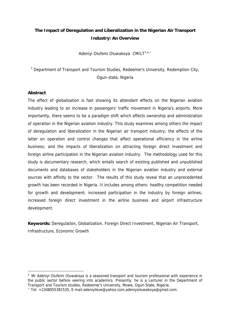# **The Impact of Deregulation and Liberalization in the Nigerian Air Transport Industry: An Overview**

Adeniyi Olufemi Oluwakoya CMILT<sup>1,a,\*</sup>

<sup>1</sup> Department of Transport and Tourism Studies, Redeemer's University, Redemption City, Ogun-state, Nigeria

#### **Abstract**

 $\overline{a}$ 

The effect of globalization is fast showing its attendant effects on the Nigerian aviation industry leading to an increase in passengers' traffic movement in Nigeria's airports. More importantly, there seems to be a paradigm shift which affects ownership and administration of operation in the Nigerian aviation industry. This study examines among others the impact of deregulation and liberalization in the Nigerian air transport industry; the effects of the latter on operation and control changes that affect operational efficiency in the airline business; and the impacts of liberalization on attracting foreign direct investment and foreign airline participation in the Nigerian aviation industry. The methodology used for this study is documentary research, which entails search of existing published and unpublished documents and databases of stakeholders in the Nigerian aviation industry and external sources with affinity to the sector. The results of this study reveal that an unprecedented growth has been recorded in Nigeria. It includes among others: healthy competition needed for growth and development; increased participation in the industry by foreign airlines; increased foreign direct investment in the airline business and airport infrastructure development.

**Keywords:** Deregulation, Globalization, Foreign Direct Investment, Nigerian Air Transport, Infrastructure, Economic Growth

<sup>&</sup>lt;sup>a</sup> Mr Adeniyi Olufemi Oluwakoya is a seasoned transport and tourism professional with experience in the public sector before veering into academics. Presently, he is a Lecturer in the Department of Transport and Tourism studies, Redeemer's University, Mowe, Ogun-State, Nigeria.

<sup>\*</sup> Tel: +2348055381535, E-mail:adeniyilove@yahoo.com,adeniyioluwakoya@gmail.com.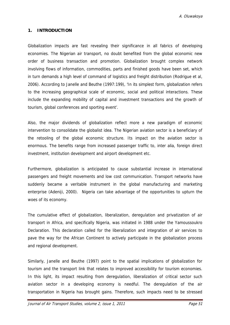### **1. INTRODUCTION**

Globalization impacts are fast revealing their significance in all fabrics of developing economies. The Nigerian air transport, no doubt benefited from the global economic new order of business transaction and promotion. Globalization brought complex network involving flows of information, commodities, parts and finished goods have been set, which in turn demands a high level of command of logistics and freight distribution (Rodrigue et al, 2006). According to Janelle and Beuthe (1997:199), 'In its simplest form, globalization refers to the increasing geographical scale of economic, social and political interactions. These include the expanding mobility of capital and investment transactions and the growth of tourism, global conferences and sporting event'.

Also, the major dividends of globalization reflect more a new paradigm of economic intervention to consolidate the globalist idea. The Nigerian aviation sector is a beneficiary of the retooling of the global economic structure. Its impact on the aviation sector is enormous. The benefits range from increased passenger traffic to, inter alia, foreign direct investment, institution development and airport development etc.

Furthermore, globalization is anticipated to cause substantial increase in international passengers and freight movements and low cost communication. Transport networks have suddenly became a veritable instrument in the global manufacturing and marketing enterprise (Adeniji, 2000). Nigeria can take advantage of the opportunities to upturn the woes of its economy.

The cumulative effect of globalization, liberalization, deregulation and privatization of air transport in Africa, and specifically Nigeria, was initiated in 1988 under the Yamoussoukro Declaration. This declaration called for the liberalization and integration of air services to pave the way for the African Continent to actively participate in the globalization process and regional development.

Similarly, Janelle and Beuthe (1997) point to the spatial implications of globalization for tourism and the transport link that relates to improved accessibility for tourism economies. In this light, its impact resulting from deregulation, liberalization of critical sector such aviation sector in a developing economy is needful. The deregulation of the air transportation in Nigeria has brought gains. Therefore, such impacts need to be stressed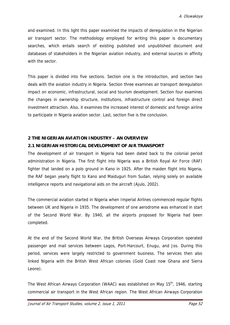and examined. In this light this paper examined the impacts of deregulation in the Nigerian air transport sector. The methodology employed for writing this paper is documentary searches, which entails search of existing published and unpublished document and databases of stakeholders in the Nigerian aviation industry, and external sources in affinity with the sector.

This paper is divided into five sections. Section one is the introduction, and section two deals with the aviation industry in Nigeria. Section three examines air transport deregulation impact on economic, infrastructural, social and tourism development. Section four examines the changes in ownership structure, institutions, infrastructure control and foreign direct investment attraction. Also, it examines the increased interest of domestic and foreign airline to participate in Nigeria aviation sector. Last, section five is the conclusion.

### **2 THE NIGERIAN AVIATION INDUSTRY – AN OVERVIEW**

### **2.1 NIGERIAN HISTORICAL DEVELOPMENT OF AIR TRANSPORT**

The development of air transport in Nigeria had been dated back to the colonial period administration in Nigeria. The first flight into Nigeria was a British Royal Air Force (RAF) fighter that landed on a polo ground in Kano in 1925. After the maiden flight into Nigeria, the RAF began yearly flight to Kano and Maiduguri from Sudan, relying solely on available intelligence reports and navigational aids on the aircraft (Ajulo, 2002).

The commercial aviation started in Nigeria when Imperial Airlines commenced regular flights between UK and Nigeria in 1935. The development of one aerodrome was enhanced in start of the Second World War. By 1940, all the airports proposed for Nigeria had been completed.

At the end of the Second World War, the British Overseas Airways Corporation operated passenger and mail services between Lagos, Port-Harcourt, Enugu, and Jos. During this period, services were largely restricted to government business. The services then also linked Nigeria with the British West African colonies (Gold Coast now Ghana and Sierra Leone).

The West African Airways Corporation (WAAC) was established on May 15<sup>th</sup>, 1946, starting commercial air transport in the West African region. The West African Airways Corporation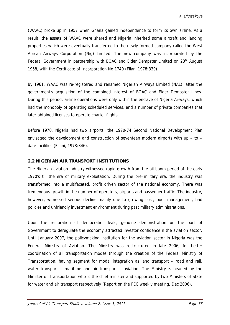(WAAC) broke up in 1957 when Ghana gained independence to form its own airline. As a result, the assets of WAAC were shared and Nigeria inherited some aircraft and landing properties which were eventually transferred to the newly formed company called the West African Airways Corporation (Nig) Limited. The new company was incorporated by the Federal Government in partnership with BOAC and Elder Dempster Limited on 23<sup>rd</sup> August 1958, with the Certificate of Incorporation No 1740 (Filani 1978:339).

By 1961, WAAC was re-registered and renamed Nigerian Airways Limited (NAL), after the government's acquisition of the combined interest of BOAC and Elder Dempster Lines. During this period, airline operations were only within the enclave of Nigeria Airways, which had the monopoly of operating scheduled services, and a number of private companies that later obtained licenses to operate charter flights.

Before 1970, Nigeria had two airports; the 1970-74 Second National Development Plan envisaged the development and construction of seventeen modern airports with up  $-$  to  $$ date facilities (Filani, 1978:346).

#### **2.2 NIGERIAN AIR TRANSPORT INSTITUTIONS**

The Nigerian aviation industry witnessed rapid growth from the oil boom period of the early 1970's till the era of military exploitation. During the pre–military era, the industry was transformed into a multifaceted, profit driven sector of the national economy. There was tremendous growth in the number of operators, airports and passenger traffic. The industry, however, witnessed serious decline mainly due to growing cost, poor management, bad policies and unfriendly investment environment during past military administrations.

Upon the restoration of democratic ideals, genuine demonstration on the part of Government to deregulate the economy attracted investor confidence n the aviation sector. Until January 2007, the policymaking institution for the aviation sector in Nigeria was the Federal Ministry of Aviation. The Ministry was restructured in late 2006, for better coordination of all transportation modes through the creation of the Federal Ministry of Transportation, having segment for modal integration as land transport – road and rail, water transport – maritime and air transport – aviation. The Ministry is headed by the Minister of Transportation who is the chief minister and supported by two Ministers of State for water and air transport respectively (Report on the FEC weekly meeting, Dec 2006).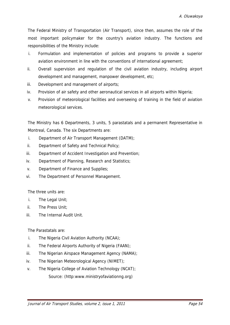The Federal Ministry of Transportation (Air Transport), since then, assumes the role of the most important policymaker for the country's aviation industry. The functions and responsibilities of the Ministry include:

- i. Formulation and implementation of policies and programs to provide a superior aviation environment in line with the conventions of international agreement;
- ii. Overall supervision and regulation of the civil aviation industry, including airport development and management, manpower development, etc;
- iii. Development and management of airports;
- iv. Provision of air safety and other aeronautical services in all airports within Nigeria;
- v. Provision of meteorological facilities and overseeing of training in the field of aviation meteorological services.

The Ministry has 6 Departments, 3 units, 5 parastatals and a permanent Representative in Montreal, Canada. The six Departments are:

- i. Department of Air Transport Management (DATM);
- ii. Department of Safety and Technical Policy;
- iii. Department of Accident Investigation and Prevention;
- iv. Department of Planning, Research and Statistics;
- v. Department of Finance and Supplies;
- vi. The Department of Personnel Management.

The three units are:

- i. The Legal Unit;
- ii. The Press Unit;
- iii. The Internal Audit Unit.

The Parastatals are:

- i. The Nigeria Civil Aviation Authority (NCAA);
- ii. The Federal Airports Authority of Nigeria (FAAN);
- iii. The Nigerian Airspace Management Agency (NAMA);
- iv. The Nigerian Meteorological Agency (NIMET);
- v. The Nigeria College of Aviation Technology (NCAT); Source: (http:www.ministryofaviationng.org)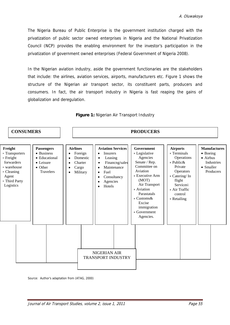The Nigeria Bureau of Public Enterprise is the government institution charged with the privatization of public sector owned enterprises in Nigeria and the National Privatization Council (NCP) provides the enabling environment for the investor's participation in the privatization of government owned enterprises (Federal Government of Nigeria 2008).

In the Nigerian aviation industry, aside the government functionaries are the stakeholders that include: the airlines, aviation services, airports, manufacturers etc. Figure 1 shows the structure of the Nigerian air transport sector, its constituent parts, producers and consumers. In fact, the air transport industry in Nigeria is fast reaping the gains of globalization and deregulation.



**Figure 1:** Nigerian Air Transport Industry

Source: Author's adaptation from (ATAG, 2000)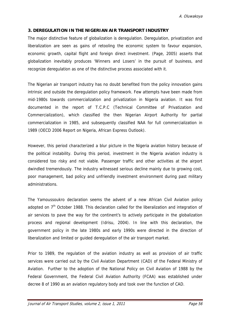#### **3. DEREGULATION IN THE NIGERIAN AIR TRANSPORT INDUSTRY**

The major distinctive feature of globalization is deregulation. Deregulation, privatization and liberalization are seen as gains of retooling the economic system to favour expansion, economic growth, capital flight and foreign direct investment. (Page, 2005) asserts that globalization inevitably produces 'Winners and Losers' in the pursuit of business, and recognize deregulation as one of the distinctive process associated with it.

The Nigerian air transport industry has no doubt benefited from the policy innovation gains intrinsic and outside the deregulation policy framework. Few attempts have been made from mid-1980s towards commercialization and privatization in Nigeria aviation. It was first documented in the report of T.C.P.C (Technical Committee of Privatization and Commercialization), which classified the then Nigerian Airport Authority for partial commercialization in 1985, and subsequently classified NAA for full commercialization in 1989 (OECD 2006 Report on Nigeria, African Express Outlook).

However, this period characterized a blur picture in the Nigeria aviation history because of the political instability. During this period, investment in the Nigeria aviation industry is considered too risky and not viable. Passenger traffic and other activities at the airport dwindled tremendously. The industry witnessed serious decline mainly due to growing cost, poor management, bad policy and unfriendly investment environment during past military administrations.

The Yamoussoukro declaration seems the advent of a new African Civil Aviation policy adopted on  $7<sup>th</sup>$  October 1988. This declaration called for the liberalization and integration of air services to pave the way for the continent's to actively participate in the globalization process and regional development (Idrisu, 2004). In line with this declaration, the government policy in the late 1980s and early 1990s were directed in the direction of liberalization and limited or guided deregulation of the air transport market.

Prior to 1989, the regulation of the aviation industry as well as provision of air traffic services were carried out by the Civil Aviation Department (CAD) of the Federal Ministry of Aviation. Further to the adoption of the National Policy on Civil Aviation of 1988 by the Federal Government, the Federal Civil Aviation Authority (FCAA) was established under decree 8 of 1990 as an aviation regulatory body and took over the function of CAD.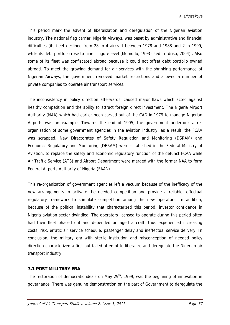This period mark the advent of liberalization and deregulation of the Nigerian aviation industry. The national flag carrier, Nigeria Airways, was beset by administrative and financial difficulties (its fleet declined from 28 to 4 aircraft between 1978 and 1988 and 2 in 1999, while its debt portfolio rose to nine – figure level (Momodu, 1993 cited in Idrisu, 2004) . Also some of its fleet was confiscated abroad because it could not offset debt portfolio owned abroad. To meet the growing demand for air services with the shrinking performance of Nigerian Airways, the government removed market restrictions and allowed a number of private companies to operate air transport services.

The inconsistency in policy direction afterwards, caused major flaws which acted against healthy competition and the ability to attract foreign direct investment. The Nigeria Airport Authority (NAA) which had earlier been carved out of the CAD in 1979 to manage Nigerian Airports was an example. Towards the end of 1995, the government undertook a reorganization of some government agencies in the aviation industry; as a result, the FCAA was scrapped. New Directorates of Safety Regulation and Monitoring (DSRAM) and Economic Regulatory and Monitoring (DERAM) were established in the Federal Ministry of Aviation, to replace the safety and economic regulatory function of the defunct FCAA while Air Traffic Service (ATS) and Airport Department were merged with the former NAA to form Federal Airports Authority of Nigeria (FAAN).

This re-organization of government agencies left a vacuum because of the inefficacy of the new arrangements to activate the needed competition and provide a reliable, effectual regulatory framework to stimulate competition among the new operators. In addition, because of the political instability that characterized this period, investor confidence in Nigeria aviation sector dwindled. The operators licensed to operate during this period often had their fleet phased out and depended on aged aircraft, thus experienced increasing costs, risk, erratic air service schedule, passenger delay and ineffectual service delivery. In conclusion, the military era with sterile institution and misconception of needed policy direction characterized a first but failed attempt to liberalize and deregulate the Nigerian air transport industry.

#### **3.1 POST MILITARY ERA**

The restoration of democratic ideals on May 29<sup>th</sup>, 1999, was the beginning of innovation in governance. There was genuine demonstration on the part of Government to deregulate the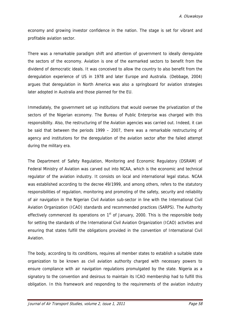economy and growing investor confidence in the nation. The stage is set for vibrant and profitable aviation sector.

There was a remarkable paradigm shift and attention of government to ideally deregulate the sectors of the economy. Aviation is one of the earmarked sectors to benefit from the dividend of democratic ideals. It was conceived to allow the country to also benefit from the deregulation experience of US in 1978 and later Europe and Australia. (Debbage, 2004) argues that deregulation in North America was also a springboard for aviation strategies later adopted in Australia and those planned for the EU.

Immediately, the government set up institutions that would oversee the privatization of the sectors of the Nigerian economy. The Bureau of Public Enterprise was charged with this responsibility. Also, the restructuring of the Aviation agencies was carried out. Indeed, it can be said that between the periods 1999 – 2007, there was a remarkable restructuring of agency and institutions for the deregulation of the aviation sector after the failed attempt during the military era.

The Department of Safety Regulation, Monitoring and Economic Regulatory (DSRAM) of Federal Ministry of Aviation was carved out into NCAA, which is the economic and technical regulator of the aviation industry. It consists on local and international legal status. NCAA was established according to the decree 49/1999, and among others, refers to the statutory responsibilities of regulation, monitoring and promoting of the safety, security and reliability of air navigation in the Nigerian Civil Aviation sub-sector in line with the International Civil Aviation Organization (ICAO) standards and recommended practices (SARPS). The Authority effectively commenced its operations on  $1<sup>st</sup>$  of January, 2000. This is the responsible body for setting the standards of the International Civil Aviation Organization (ICAO) activities and ensuring that states fulfill the obligations provided in the convention of International Civil Aviation.

The body, according to its conditions, requires all member states to establish a suitable state organization to be known as civil aviation authority charged with necessary powers to ensure compliance with air navigation regulations promulgated by the state. Nigeria as a signatory to the convention and desirous to maintain its ICAO membership had to fulfill this obligation. In this framework and responding to the requirements of the aviation industry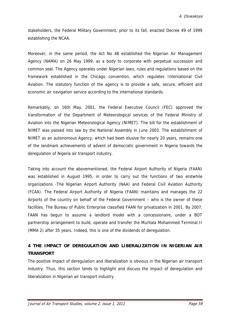stakeholders, the Federal Military Government, prior to its fall, enacted Decree 49 of 1999 establishing the NCAA.

Moreover, in the same period, the Act No 48 established the Nigerian Air Management Agency (NAMA) on 26 May 1999, as a body to corporate with perpetual succession and common seal. The Agency operates under Nigerian laws, rules and regulations based on the framework established in the Chicago convention, which regulates International Civil Aviation. The statutory function of the agency is to provide a safe, secure, efficient and economic air navigation service according to the international standards.

Remarkably, on 16th May, 2001, the Federal Executive Council (FEC) approved the transformation of the Department of Meteorological services of the Federal Ministry of Aviation into the Nigerian Meteorological Agency (NIMET). The bill for the establishment of NIMET was passed into law by the National Assembly in June 2003. The establishment of NIMET as an autonomous Agency, which had been elusive for nearly 20 years, remains one of the landmark achievements of advent of democratic government in Nigeria towards the deregulation of Nigeria air transport industry.

Taking into account the abovementioned, the Federal Airport Authority of Nigeria (FAAN) was established in August 1995, in order to carry out the functions of two erstwhile organizations -The Nigerian Airport Authority (NAA) and Federal Civil Aviation Authority (FCAA). The Federal Airport Authority of Nigeria (FAAN) maintains and manages the 22 Airports of the country on behalf of the Federal Government – who is the owner of these facilities. The Bureau of Public Enterprise classified FAAN for privatization in 2001. By 2007, FAAN has begun to assume a landlord model with a concessionaire, under a BOT partnership arrangement to build, operate and transfer the Muritala Mohammed Terminal II (MMA 2) after 35 years. Indeed, this is one of the dividends of deregulation.

# **4 THE IMPACT OF DEREGULATION AND LIBERALIZATION IN NIGERIAN AIR TRANSPORT**

The positive impact of deregulation and liberalization is obvious in the Nigerian air transport industry. Thus, this section tends to highlight and discuss the impact of deregulation and liberalization in Nigerian air transport industry.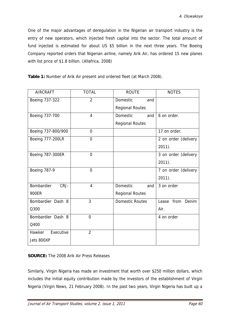One of the major advantages of deregulation in the Nigerian air transport industry is the entry of new operators, which injected fresh capital into the sector. The total amount of fund injected is estimated for about US \$5 billion in the next three years. The Boeing Company reported orders that Nigerian airline, namely Arik Air, has ordered 15 new planes with list price of \$1.8 billion. (Allafrica, 2008)

|  |  |  |  |  | Table 1: Number of Arik Air present and ordered fleet (at March 2008). |
|--|--|--|--|--|------------------------------------------------------------------------|
|  |  |  |  |  |                                                                        |

| <b>AIRCRAFT</b>     | <b>TOTAL</b>   | <b>ROUTE</b>           | <b>NOTES</b>         |
|---------------------|----------------|------------------------|----------------------|
| Boeing 737-322      | $\overline{2}$ | Domestic<br>and        |                      |
|                     |                | <b>Regional Routes</b> |                      |
| Boeing 737-700      | $\overline{4}$ | Domestic<br>and        | 6 on order.          |
|                     |                | <b>Regional Routes</b> |                      |
| Boeing 737-800/900  | $\overline{0}$ |                        | 17 on order.         |
| Boeing 777-200LR    | $\overline{0}$ |                        | 2 on order (delivery |
|                     |                |                        | $2011$ ).            |
| Boeing 787-300ER    | 0              |                        | 3 on order (delivery |
|                     |                |                        | $2011$ ).            |
| <b>Boeing 787-9</b> | $\Omega$       |                        | 7 on order (delivery |
|                     |                |                        | $2011$ ).            |
| Bombardier<br>CRJ-  | $\overline{4}$ | Domestic<br>and        | 3 on order           |
| 900ER               |                | <b>Regional Routes</b> |                      |
| Bombardier Dash 8   | $\overline{3}$ | <b>Domestic Routes</b> | Lease from Denim     |
| Q300                |                |                        | Air.                 |
| Bombardier Dash 8   | $\overline{0}$ |                        | 4 on order           |
| Q400                |                |                        |                      |
| Executive<br>Hawker | $\overline{2}$ |                        |                      |
| Jets 800XP          |                |                        |                      |

## **SOURCE:** The 2008 Arik Air Press Releases

Similarly, Virgin Nigeria has made an investment that worth over \$250 million dollars, which includes the initial equity contribution made by the investors of the establishment of Virgin Nigeria (Virgin News, 21 February 2008). In the past two years, Virgin Nigeria has built up a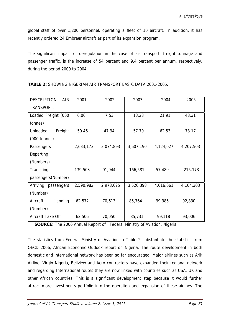global staff of over 1,200 personnel, operating a fleet of 10 aircraft. In addition, it has recently ordered 24 Embraer aircraft as part of its expansion program.

The significant impact of deregulation in the case of air transport, freight tonnage and passenger traffic, is the increase of 54 percent and 9.4 percent per annum, respectively, during the period 2000 to 2004.

| <b>DESCRIPTION</b><br><b>AIR</b> | 2001      | 2002      | 2003      | 2004      | 2005      |
|----------------------------------|-----------|-----------|-----------|-----------|-----------|
| TRANSPORT.                       |           |           |           |           |           |
| Loaded Freight (000              | 6.06      | 7.53      | 13.28     | 21.91     | 48.31     |
| tonnes)                          |           |           |           |           |           |
| Unloaded<br>Freight              | 50.46     | 47.94     | 57.70     | 62.53     | 78.17     |
| $(000 \t{tonnes})$               |           |           |           |           |           |
| Passengers                       | 2,633,173 | 3,074,893 | 3,607,190 | 4,124,027 | 4,207,503 |
| Departing                        |           |           |           |           |           |
| (Numbers)                        |           |           |           |           |           |
| Transiting                       | 139,503   | 91,944    | 166,581   | 57,480    | 215,173   |
| passengers(Number)               |           |           |           |           |           |
| Arriving<br>passengers           | 2,590,982 | 2,978,625 | 3,526,398 | 4,016,061 | 4,104,303 |
| (Number)                         |           |           |           |           |           |
| Landing<br>Aircraft              | 62,572    | 70,613    | 85,764    | 99,385    | 92,830    |
| (Number)                         |           |           |           |           |           |
| Aircraft Take Off                | 62,506    | 70,050    | 85,731    | 99,118    | 93,006.   |

**TABLE 2:** SHOWING NIGERIAN AIR TRANSPORT BASIC DATA 2001-2005.

**SOURCE:** The 2006 Annual Report of Federal Ministry of Aviation, Nigeria

The statistics from Federal Ministry of Aviation in Table 2 substantiate the statistics from OECD 2006, African Economic Outlook report on Nigeria. The route development in both domestic and international network has been so far encouraged. Major airlines such as Arik Airline, Virgin Nigeria, Bellview and Aero contractors have expanded their regional network and regarding International routes they are now linked with countries such as USA, UK and other African countries. This is a significant development step because it would further attract more investments portfolio into the operation and expansion of these airlines. The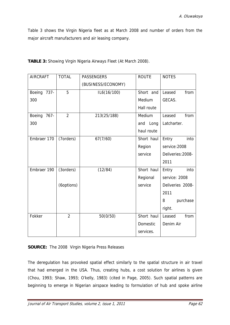Table 3 shows the Virgin Nigeria fleet as at March 2008 and number of orders from the major aircraft manufacturers and air leasing company.

| <b>AIRCRAFT</b>   | <b>TOTAL</b>   | <b>PASSENGERS</b>  | <b>ROUTE</b> | <b>NOTES</b>      |
|-------------------|----------------|--------------------|--------------|-------------------|
|                   |                | (BUSINESS/ECONOMY) |              |                   |
| Boeing 737-       | 5              | IL6(16/100)        | Short and    | Leased<br>from    |
| 300               |                |                    | Medium       | GECAS.            |
|                   |                |                    | Hall route   |                   |
| Boeing<br>$767 -$ | $\overline{2}$ | 213(25/188)        | Medium       | Leased<br>from    |
| 300               |                |                    | Long<br>and  | Latcharter.       |
|                   |                |                    | haul route   |                   |
| Embraer 170       | (7orders)      | 67(7/60)           | Short haul   | Entry<br>into     |
|                   |                |                    | Region       | service: 2008     |
|                   |                |                    | service      | Deliveries: 2008- |
|                   |                |                    |              | 2011              |
| Embraer 190       | (3orders)      | (12/84)            | Short haul   | Entry<br>into     |
|                   |                |                    | Regional     | service: 2008     |
|                   | (6options)     |                    | service      | Deliveries 2008-  |
|                   |                |                    |              | 2011              |
|                   |                |                    |              | purchase<br>8     |
|                   |                |                    |              | right.            |
| Fokker            | $\overline{2}$ | 50(0/50)           | Short haul   | from<br>Leased    |
|                   |                |                    | Domestic     | Denim Air         |
|                   |                |                    | services.    |                   |

**TABLE 3:** Showing Virgin Nigeria Airways Fleet (At March 2008).

## **SOURCE:** The 2008 Virgin Nigeria Press Releases

The deregulation has provoked spatial effect similarly to the spatial structure in air travel that had emerged in the USA. Thus, creating hubs, a cost solution for airlines is given (Chou, 1993; Shaw, 1993; O'kelly, 1983) (cited in Page, 2005). Such spatial patterns are beginning to emerge in Nigerian airspace leading to formulation of hub and spoke airline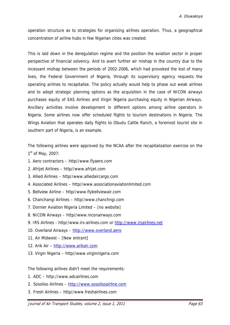operation structure as to strategies for organizing airlines operation. Thus, a geographical concentration of airline hubs in few Nigerian cities was created.

This is laid down in the deregulation regime and the position the aviation sector in proper perspective of financial solvency. And to avert further air mishap in the country due to the incessant mishap between the periods of 2002-2006, which had provoked the lost of many lives, the Federal Government of Nigeria, through its supervisory agency requests the operating airlines to recapitalize. The policy actually would help to phase out weak airlines and to adopt strategic planning options as the acquisition in the case of NICON airways purchases equity of EAS Airlines and Virgin Nigeria purchasing equity in Nigerian Airways. Ancillary activities involve development in different options among airline operators in Nigeria. Some airlines now offer scheduled flights to tourism destinations in Nigeria. The Wings Aviation that operates daily flights to Obudu Cattle Ranch, a foremost tourist site in southern part of Nigeria, is an example.

The following airlines were approved by the NCAA after the recapitalization exercise on the  $1<sup>st</sup>$  of May, 2007:

- 1. Aero contractors http//www.flyaero.com
- 2. Afrijet Airlines http//www.afrijet.com
- 3. Allied Airlines http//www.alliedaircargo.com
- 4. Associated Airlines http//www.associationaviationlimited.com
- 5. Bellview Airline http//www.flybellviewair.com
- 6. Chanchangi Airlines http//www.chanchngi.com
- 7. Dornier Aviation Nigeria Limited [no website]
- 8. NICON Airways http//www.niconairways.com
- 9. IRS Airlines http//www.irs-airlines.com or http://www.irsairlines.net
- 10. Overland Airways http://www.overland.aero
- 11. Air Midwest [New entrant]
- 12. Arik Air http://www.arikair.com
- 13. Virgin Nigeria http//www.virginnigeria.com

The following airlines didn't meet the requirements:

- 1. ADC http://www.adcairlines.com
- 2. Sosoliso Airlines http://www.sosolisoairline.com
- 3. Fresh Airlines http//www.freshairlines.com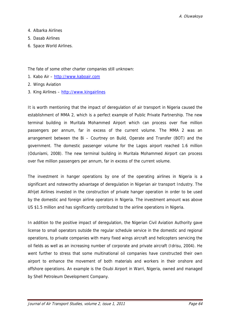- 4. Albarka Airlines
- 5. Dasab Airlines
- 6. Space World Airlines.

The fate of some other charter companies still unknown:

- 1. Kabo Air http://www.kaboair.com
- 2. Wings Aviation
- 3. King Airlines http://www.kingairlines

It is worth mentioning that the impact of deregulation of air transport in Nigeria caused the establishment of MMA 2, which is a perfect example of Public Private Partnership. The new terminal building in Muritala Mohammed Airport which can process over five million passengers per annum, far in excess of the current volume. The MMA 2 was an arrangement between the Bi – Courtney on Build, Operate and Transfer (BOT) and the government. The domestic passenger volume for the Lagos airport reached 1.6 million (Odunlami, 2008). The new terminal building in Muritala Mohammed Airport can process over five million passengers per annum, far in excess of the current volume.

The investment in hanger operations by one of the operating airlines in Nigeria is a significant and noteworthy advantage of deregulation in Nigerian air transport Industry. The Afrijet Airlines invested in the construction of private hanger operation in order to be used by the domestic and foreign airline operators in Nigeria. The investment amount was above US \$1.5 million and has significantly contributed to the airline operations in Nigeria.

In addition to the positive impact of deregulation, the Nigerian Civil Aviation Authority gave license to small operators outside the regular schedule service in the domestic and regional operations, to private companies with many fixed wings aircraft and helicopters servicing the oil fields as well as an increasing number of corporate and private aircraft (Idrisu, 2004). He went further to stress that some multinational oil companies have constructed their own airport to enhance the movement of both materials and workers in their onshore and offshore operations. An example is the Osubi Airport in Warri, Nigeria, owned and managed by Shell Petroleum Development Company.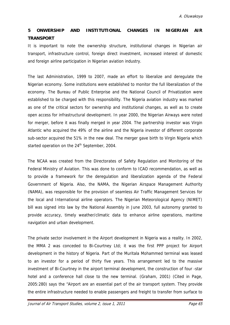# **5 ONWERSHIP AND INSTITUTIONAL CHANGES IN NIGERIAN AIR TRANSPORT**

It is important to note the ownership structure, institutional changes in Nigerian air transport, infrastructure control, foreign direct investment, increased interest of domestic and foreign airline participation in Nigerian aviation industry.

The last Administration, 1999 to 2007, made an effort to liberalize and deregulate the Nigerian economy. Some institutions were established to monitor the full liberalization of the economy. The Bureau of Public Enterprise and the National Council of Privatization were established to be charged with this responsibility. The Nigeria aviation industry was marked as one of the critical sectors for ownership and institutional changes, as well as to create open access for infrastructural development. In year 2000, the Nigerian Airways were noted for merger, before it was finally merged in year 2004. The partnership investor was Virgin Atlantic who acquired the 49% of the airline and the Nigeria investor of different corporate sub-sector acquired the 51% in the new deal. The merger gave birth to Virgin Nigeria which started operation on the 24<sup>th</sup> September, 2004.

The NCAA was created from the Directorates of Safety Regulation and Monitoring of the Federal Ministry of Aviation. This was done to conform to ICAO recommendation, as well as to provide a framework for the deregulation and liberalization agenda of the Federal Government of Nigeria. Also, the NAMA, the Nigerian Airspace Management Authority (NAMA), was responsible for the provision of seamless Air Traffic Management Services for the local and International airline operators. The Nigerian Meteorological Agency (NIMET) bill was signed into law by the National Assembly in June 2003, full autonomy granted to provide accuracy, timely weather/climatic data to enhance airline operations, maritime navigation and urban development.

The private sector involvement in the Airport development in Nigeria was a reality. In 2002, the MMA 2 was conceded to Bi-Courtney Ltd; it was the first PPP project for Airport development in the history of Nigeria. Part of the Muritala Mohammed terminal was leased to an investor for a period of thirty five years. This arrangement led to the massive investment of Bi-Courtney in the airport terminal development, the construction of four -star hotel and a conference hall close to the new terminal. (Graham, 2001) (Cited in Page, 2005:280) says the "Airport are an essential part of the air transport system. They provide the entire infrastructure needed to enable passengers and freight to transfer from surface to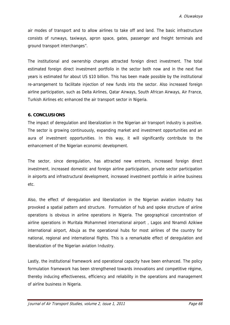air modes of transport and to allow airlines to take off and land. The basic infrastructure consists of runways, taxiways, apron space, gates, passenger and freight terminals and ground transport interchanges".

The institutional and ownership changes attracted foreign direct investment. The total estimated foreign direct investment portfolio in the sector both now and in the next five years is estimated for about US \$10 billion. This has been made possible by the institutional re-arrangement to facilitate injection of new funds into the sector. Also increased foreign airline participation, such as Delta Airlines, Qatar Airways, South African Airways, Air France, Turkish Airlines etc enhanced the air transport sector in Nigeria.

#### **6. CONCLUSIONS**

The impact of deregulation and liberalization in the Nigerian air transport industry is positive. The sector is growing continuously, expanding market and investment opportunities and an aura of investment opportunities. In this way, it will significantly contribute to the enhancement of the Nigerian economic development.

The sector, since deregulation, has attracted new entrants, increased foreign direct investment, increased domestic and foreign airline participation, private sector participation in airports and infrastructural development, increased investment portfolio in airline business etc.

Also, the effect of deregulation and liberalization in the Nigerian aviation industry has provoked a spatial pattern and structure. Formulation of hub and spoke structure of airline operations is obvious in airline operations in Nigeria. The geographical concentration of airline operations in Muritala Mohammed international airport , Lagos and Nnamdi Azikiwe international airport, Abuja as the operational hubs for most airlines of the country for national, regional and international flights. This is a remarkable effect of deregulation and liberalization of the Nigerian aviation Industry.

Lastly, the institutional framework and operational capacity have been enhanced. The policy formulation framework has been strengthened towards innovations and competitive régime, thereby inducing effectiveness, efficiency and reliability in the operations and management of airline business in Nigeria.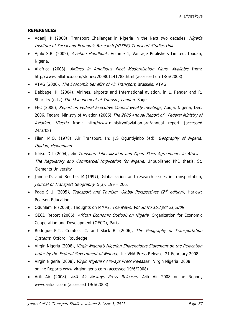## **REFERENCES**

- Adeniji K (2000), Transport Challenges in Nigeria in the Next two decades, Nigeria Institute of Social and Economic Research (NISER) Transport Studies Unit.
- Ajulo S.B. (2002), Aviation Handbook, Volume 1, Vantage Publishers Limited, Ibadan, Nigeria.
- Allafrica (2008), Airlines in Ambitious Fleet Modernisation Plans, Available from: http//www. allafrica.com/stories/200801141788.html (accessed on 18/6/2008)
- ATAG (2000), The Economic Benefits of Air Transport, Brussels: ATAG.
- Debbage, K. (2004), Airlines, airports and International aviation, in L. Pender and R. Sharplry (eds.) The Management of Tourism, London: Sage.
- FEC (2006), Report on Federal Executive Council weekly meetings, Abuja, Nigeria, Dec. 2006. Federal Ministry of Aviation (2006) The 2006 Annual Report of Federal Ministry of Aviation, Nigeria from: http//www.ministryofaviation.org/annual report (accessed 24/3/08)
- Filani M.O. (1978), Air Transport, In: J.S Oguntiyinbo (ed). Geography of Nigeria, Ibadan, Heinemann
- Idrisu D.I (2004), Air Transport Liberalization and Open Skies Agreements in Africa The Regulatory and Commercial Implication for Nigeria. Unpublished PhD thesis, St. Clements University
- Janelle,D. and Beuthe, M.(1997), Globalization and research issues in transportation, Journal of Transport Geography, 5(3): 199 – 206.
- Page S .J (2005), Transport and Tourism, Global Perspectives ( $2^{nd}$  edition), Harlow: Pearson Education.
- Odunlami N (2008), Thoughts on MMA2, The News, Vol 30, No 15, April 21, 2008
- OECD Report (2006), African Economic Outlook on Nigeria, Organization for Economic Cooperation and Development (OECD), Paris.
- Rodrigue P.T., Comtois, C. and Slack B. (2006), The Geography of Transportation Systems, Oxford: Routledge.
- Virgin Nigeria (2008), Virgin Nigeria's Nigerian Shareholders Statement on the Relocation order by the Federal Government of Nigeria, In: VNA Press Release, 21 February 2008.
- Virgin Nigeria (2008), *Virgin Nigeria's Airways Press Releases*, Virgin Nigeria 2008 online Reports www.virginnigeria.com (accessed 19/6/2008)
- Arik Air (2008), Arik Air Airways Press Releases, Arik Air 2008 online Report, www.arikair.com (accessed 19/6/2008).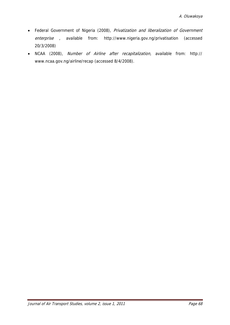- Federal Government of Nigeria (2008), Privatization and liberalization of Government enterprise , available from: http://www.nigeria.gov.ng/privatisation (accessed 20/3/2008)
- NCAA (2008), Number of Airline after recapitalization, available from: http:// www.ncaa.gov.ng/airline/recap (accessed 8/4/2008).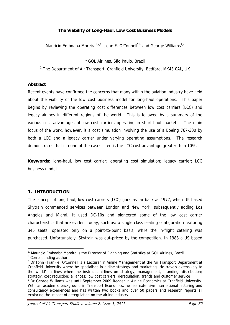#### **The Viability of Long-Haul, Low Cost Business Models**

Mauricio Emboaba Moreira<sup>1,a,\*</sup>, John F. O'Connell<sup>2,b</sup> and George Williams<sup>2,c</sup>

<sup>1</sup> GOL Airlines, São Paulo, Brazil

<sup>2</sup> The Department of Air Transport, Cranfield University, Bedford, MK43 0AL, UK

#### **Abstract**

Recent events have confirmed the concerns that many within the aviation industry have held about the viability of the low cost business model for long-haul operations. This paper begins by reviewing the operating cost differences between low cost carriers (LCC) and legacy airlines in different regions of the world. This is followed by a summary of the various cost advantages of low cost carriers operating in short-haul markets. The main focus of the work, however, is a cost simulation involving the use of a Boeing 767-300 by both a LCC and a legacy carrier under varying operating assumptions. The research demonstrates that in none of the cases cited is the LCC cost advantage greater than 10%.

**Keywords:** long-haul, low cost carrier; operating cost simulation; legacy carrier; LCC business model.

#### **1. INTRODUCTION**

The concept of long-haul, low cost carriers (LCC) goes as far back as 1977, when UK based Skytrain commenced services between London and New York, subsequently adding Los Angeles and Miami. It used DC-10s and pioneered some of the low cost carrier characteristics that are evident today, such as: a single class seating configuration featuring 345 seats; operated only on a point-to-point basis; while the in-flight catering was purchased. Unfortunately, Skytrain was out-priced by the competition. In 1983 a US based

 $\overline{a}$ 

a, Mauricio Emboaba Moreira is the Director of Planning and Statistics at GOL Airlines, Brazil.

Corresponding author.

<sup>&</sup>lt;sup>b</sup> Dr John (Frankie) O'Connell is a Lecturer in Airline Management at the Air Transport Department at Cranfield University where he specialises in airline strategy and marketing. He travels extensively to the world's airlines where he instructs airlines on strategy, management, branding, distribution; strategy, cost reduction; alliances; low cost carriers; deregulation; trends and customer service

c Dr George Williams was until September 2009 Reader in Airline Economics at Cranfield University. With an academic background in Transport Economics, he has extensive international lecturing and consultancy experiences and has written two books and over 50 papers and research reports all exploring the impact of deregulation on the airline industry.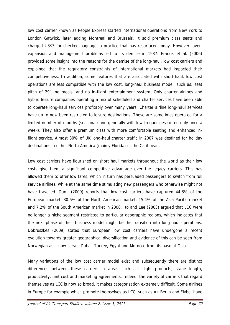low cost carrier known as People Express started international operations from New York to London Gatwick, later adding Montreal and Brussels. It sold premium class seats and charged US\$3 for checked baggage, a practice that has resurfaced today. However, overexpansion and management problems led to its demise in 1987. Francis et al. (2006) provided some insight into the reasons for the demise of the long-haul, low cost carriers and explained that the regulatory constraints of international markets had impacted their competitiveness. In addition, some features that are associated with short-haul, low cost operations are less compatible with the low cost, long-haul business model, such as: seat pitch of 29", no meals, and no in-flight entertainment system. Only charter airlines and hybrid leisure companies operating a mix of scheduled and charter services have been able to operate long-haul services profitably over many years. Charter airline long-haul services have up to now been restricted to leisure destinations. These are sometimes operated for a limited number of months (seasonal) and generally with low frequencies (often only once a week). They also offer a premium class with more comfortable seating and enhanced inflight service. Almost 80% of UK long-haul charter traffic in 2007 was destined for holiday destinations in either North America (mainly Florida) or the Caribbean.

Low cost carriers have flourished on short haul markets throughout the world as their low costs give them a significant competitive advantage over the legacy carriers. This has allowed them to offer low fares, which in turn has persuaded passengers to switch from full service airlines, while at the same time stimulating new passengers who otherwise might not have travelled. Dunn (2009) reports that low cost carriers have captured 44.8% of the European market, 30.6% of the North American market, 15.4% of the Asia Pacific market and 7.2% of the South American market in 2008. Ito and Lee (2003) argued that LCC were no longer a niche segment restricted to particular geographic regions, which indicates that the next phase of their business model might be the transition into long-haul operations. Dobruszkes (2009) stated that European low cost carriers have undergone a recent evolution towards greater geographical diversification and evidence of this can be seen from Norwegian as it now serves Dubai, Turkey, Egypt and Morocco from its base at Oslo.

Many variations of the low cost carrier model exist and subsequently there are distinct differences between these carriers in areas such as: flight products, stage length, productivity, unit cost and marketing agreements. Indeed, the variety of carriers that regard themselves as LCC is now so broad, it makes categorisation extremely difficult. Some airlines in Europe for example which promote themselves as LCC, such as Air Berlin and Flybe, have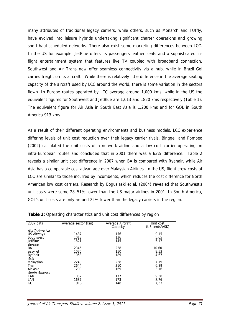many attributes of traditional legacy carriers, while others, such as Monarch and TUIfly, have evolved into leisure hybrids undertaking significant charter operations and growing short-haul scheduled networks. There also exist some marketing differences between LCC. In the US for example, JetBlue offers its passengers leather seats and a sophisticated inflight entertainment system that features live TV coupled with broadband connection. Southwest and Air Trans now offer seamless connectivity via a hub, while in Brazil Gol carries freight on its aircraft. While there is relatively little difference in the average seating capacity of the aircraft used by LCC around the world, there is some variation in the sectors flown. In Europe routes operated by LCC average around 1,000 kms, while in the US the equivalent figures for Southwest and JetBlue are 1,013 and 1820 kms respectively (Table 1). The equivalent figure for Air Asia in South East Asia is 1,200 kms and for GOL in South America 913 kms.

As a result of their different operating environments and business models, LCC experience differing levels of unit cost reduction over their legacy carrier rivals. Binggeli and Pompeo (2002) calculated the unit costs of a network airline and a low cost carrier operating on intra-European routes and concluded that in 2001 there was a 63% difference. Table 2 reveals a similar unit cost difference in 2007 when BA is compared with Ryanair, while Air Asia has a comparable cost advantage over Malaysian Airlines. In the US, flight crew costs of LCC are similar to those incurred by incumbents, which reduces the cost difference for North American low cost carriers. Research by Boguslaski et al. (2004) revealed that Southwest's unit costs were some 28–51% lower than the US major airlines in 2001. In South America, GOL's unit costs are only around 22% lower than the legacy carriers in the region.

| 2007 data      | Average sector (km) | Average Aircraft<br>Capacity | Unit cost<br>(US cents/ASK) |
|----------------|---------------------|------------------------------|-----------------------------|
| North America  |                     |                              |                             |
| US Airways     | 1487                | 156                          | 9.15                        |
| Southwest      | 1013                | 136                          | 5.65                        |
| <b>JetBlue</b> | 1821                | 145                          | 5.17                        |
| Europe         |                     |                              |                             |
| BA             | 2345                | 238                          | 10.60                       |
| easyJet        | 1030                | 150                          | 8.53                        |
| Ryanair        | 1053                | 189                          | 4.67                        |
| Asia           |                     |                              |                             |
| Malaysian      | 2248                | 238                          | 7.19                        |
| Thai           | 2644                | 310                          | 6.89                        |
| Air Asia       | 1200                | 169                          | 3.16                        |
| South America  |                     |                              |                             |
| <b>TAM</b>     | 1057                | 177                          | 9.38                        |
| LAN            | 1687                | 173                          | 8.76                        |
| GOL            | 913                 | 148                          | 7,33                        |
|                |                     |                              |                             |

**Table 1:** Operating characteristics and unit cost differences by region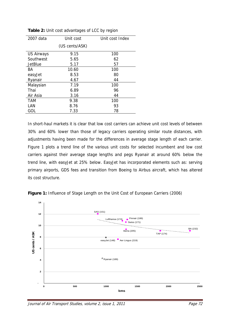| 2007 data      | Unit cost      | Unit cost Index |
|----------------|----------------|-----------------|
|                | (US cents/ASK) |                 |
| US Airways     | 9.15           | 100             |
| Southwest      | 5.65           | 62              |
| <b>JetBlue</b> | 5.17           | 57              |
| ΒA             | 10.60          | 100             |
| easyJet        | 8.53           | 80              |
| Ryanair        | 4.67           | 44              |
| Malaysian      | 7.19           | 100             |
| Thai           | 6.89           | 96              |
| Air Asia       | 3.16           | 44              |
| <b>TAM</b>     | 9.38           | 100             |
| LAN            | 8.76           | 93              |
| GOL            | 7.33           | 78              |

**Table 2:** Unit cost advantages of LCC by region

In short-haul markets it is clear that low cost carriers can achieve unit cost levels of between 30% and 60% lower than those of legacy carriers operating similar route distances, with adjustments having been made for the differences in average stage length of each carrier. Figure 1 plots a trend line of the various unit costs for selected incumbent and low cost carriers against their average stage lengths and pegs Ryanair at around 60% below the trend line, with easyJet at 25% below. EasyJet has incorporated elements such as: serving primary airports, GDS fees and transition from Boeing to Airbus aircraft, which has altered its cost structure.



Figure 1: Influence of Stage Length on the Unit Cost of European Carriers (2006)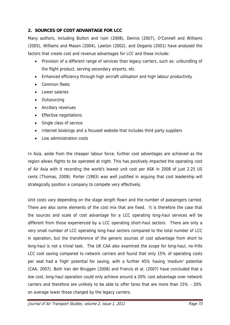## **2. SOURCES OF COST ADVANTAGE FOR LCC**

Many authors, including Button and Ison (2008), Dennis (2007), O'Connell and Williams (2005), Williams and Mason (2004), Lawton (2002), and Doganis (2001) have analysed the factors that create cost and revenue advantages for LCC and these include:

- Provision of a different range of services than legacy carriers, such as: unbundling of the flight product, serving secondary airports, etc.
- Enhanced efficiency through high aircraft utilisation and high labour productivity
- Common fleets
- Lower salaries
- Outsourcing
- Ancillary revenues
- Effective negotiations
- Single class of service
- Internet bookings and a focused website that includes third party suppliers
- Low administration costs

In Asia, aside from the cheaper labour force, further cost advantages are achieved as the region allows flights to be operated at night. This has positively impacted the operating cost of Air Asia with it recording the world's lowest unit cost per ASK in 2008 of just 2.25 US cents (Thomas, 2009). Porter (1983) was well justified in arguing that cost leadership will strategically position a company to compete very effectively.

Unit costs vary depending on the stage length flown and the number of passengers carried. There are also some elements of the cost mix that are fixed. It is therefore the case that the sources and scale of cost advantage for a LCC operating long-haul services will be different from those experienced by a LCC operating short-haul sectors. There are only a very small number of LCC operating long-haul sectors compared to the total number of LCC in operation, but the transference of the generic sources of cost advantage from short to long-haul is not a trivial task. The UK CAA also examined the scope for long-haul, no-frills LCC cost saving compared to network carriers and found that only 15% of operating costs per seat had a 'high' potential for saving, with a further 45% having 'medium' potential (CAA, 2007). Both Van der Bruggen (2008) and Francis et al. (2007) have concluded that a low cost, long-haul operation could only achieve around a 20% cost advantage over network carriers and therefore are unlikely to be able to offer fares that are more than 15% - 20% on average lower those charged by the legacy carriers.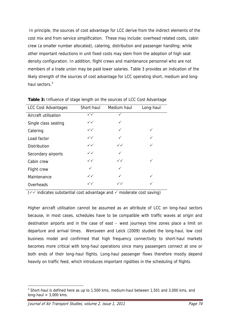In principle, the sources of cost advantage for LCC derive from the indirect elements of the cost mix and from service simplification. These may include: overhead related costs, cabin crew (a smaller number allocated), catering, distribution and passenger handling; while other important reductions in unit fixed costs may stem from the adoption of high seat density configuration. In addition, flight crews and maintenance personnel who are not members of a trade union may be paid lower salaries. Table 3 provides an indication of the likely strength of the sources of cost advantage for LCC operating short, medium and longhaul sectors.<sup>3</sup>

| <b>LCC Cost Advantages</b> | Short-haul   | Medium haul  | Long-haul |
|----------------------------|--------------|--------------|-----------|
| Aircraft utilisation       | $\checkmark$ |              |           |
| Single class seating       | $\checkmark$ | ✓            |           |
| Catering                   | $\checkmark$ | $\checkmark$ | ✓         |
| Load factor                | $\checkmark$ | ✓            | ✓         |
| <b>Distribution</b>        | $\checkmark$ | $\checkmark$ | ✓         |
| Secondary airports         | $\checkmark$ | ✓            |           |
| Cabin crew                 | $\checkmark$ | $\checkmark$ | ✓         |
| Flight crew                | ✓            | ✓            |           |
| Maintenance                | $\checkmark$ | ✓            | ✓         |
| Overheads                  | $\checkmark$ | $\checkmark$ | ✓         |

**Table 3:** Influence of stage length on the sources of LCC Cost Advantage

 $(\sqrt{\sqrt{\pi}})$  indicates substantial cost advantage and  $\sqrt{\pi}$  moderate cost saving)

Higher aircraft utilisation cannot be assumed as an attribute of LCC on long-haul sectors because, in most cases, schedules have to be compatible with traffic waves at origin and destination airports and in the case of east – west journeys time zones place a limit on departure and arrival times. Wensveen and Leick (2009) studied the long-haul, low cost business model and confirmed that high frequency connectivity to short-haul markets becomes more critical with long-haul operations since many passengers connect at one or both ends of their long-haul flights. Long-haul passenger flows therefore mostly depend heavily on traffic feed, which introduces important rigidities in the scheduling of flights.

 $\overline{a}$ 

 $3$  Short-haul is defined here as up to 1,500 kms, medium-haul between 1,501 and 3,000 kms, and long-haul  $> 3,000$  kms.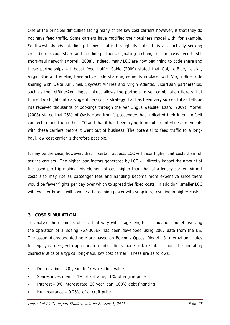One of the principle difficulties facing many of the low cost carriers however, is that they do not have feed traffic. Some carriers have modified their business model with, for example, Southwest already interlining its own traffic through its hubs. It is also actively seeking cross-border code share and interline partners, signalling a change of emphasis over its still short-haul network (Morrell, 2008). Indeed, many LCC are now beginning to code share and these partnerships will boost feed traffic. Sobie (2009) stated that Gol, JetBlue, Jetstar, Virgin Blue and Vueling have active code share agreements in place, with Virgin Blue code sharing with Delta Air Lines, Skywest Airlines and Virgin Atlantic. Bipartisan partnerships, such as the JetBlue/Aer Lingus linkup, allows the partners to sell combination tickets that funnel two flights into a single itinerary – a strategy that has been very successful as JetBlue has received thousands of bookings through the Aer Lingus website (Ezard, 2009). Morrell (2008) stated that 25% of Oasis Hong Kong's passengers had indicated their intent to 'self connect' to and from other LCC and that it had been trying to negotiate interline agreements with these carriers before it went out of business. The potential to feed traffic to a longhaul, low cost carrier is therefore possible.

It may be the case, however, that in certain aspects LCC will incur higher unit costs than full service carriers. The higher load factors generated by LCC will directly impact the amount of fuel used per trip making this element of cost higher than that of a legacy carrier. Airport costs also may rise as passenger fees and handling become more expensive since there would be fewer flights per day over which to spread the fixed costs. In addition, smaller LCC with weaker brands will have less bargaining power with suppliers, resulting in higher costs.

### **3. COST SIMULATION**

To analyse the elements of cost that vary with stage length, a simulation model involving the operation of a Boeing 767-300ER has been developed using 2007 data from the US. The assumptions adopted here are based on Boeing's Opcost Model US International rules for legacy carriers, with appropriate modifications made to take into account the operating characteristics of a typical long-haul, low cost carrier. These are as follows:

- Depreciation 20 years to 10% residual value
- Spares investment 4% of airframe, 16% of engine price
- Interest 9% interest rate, 20 year loan, 100% debt financing
- Hull insurance 0.25% of aircraft price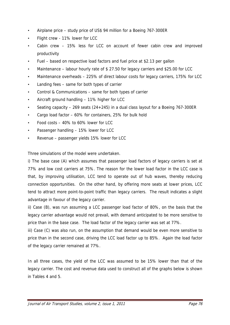- Airplane price study price of US\$ 94 million for a Boeing 767-300ER
- Flight crew 11% lower for LCC
- Cabin crew 15% less for LCC on account of fewer cabin crew and improved productivity
- Fuel based on respective load factors and fuel price at \$2.13 per gallon
- Maintenance labour hourly rate of \$ 27.50 for legacy carriers and \$25.00 for LCC
- Maintenance overheads 225% of direct labour costs for legacy carriers, 175% for LCC
- Landing fees same for both types of carrier
- Control & Communications same for both types of carrier
- Aircraft ground handling 11% higher for LCC
- Seating capacity  $-269$  seats (24+245) in a dual class layout for a Boeing 767-300ER
- Cargo load factor 60% for containers, 25% for bulk hold
- Food costs 40% to 60% lower for LCC
- Passenger handling 15% lower for LCC
- Revenue passenger yields 15% lower for LCC

Three simulations of the model were undertaken.

i) The base case (A) which assumes that passenger load factors of legacy carriers is set at 77% and low cost carriers at 75%. The reason for the lower load factor in the LCC case is that, by improving utilisation, LCC tend to operate out of hub waves, thereby reducing connection opportunities. On the other hand, by offering more seats at lower prices, LCC tend to attract more point-to-point traffic than legacy carriers. The result indicates a slight advantage in favour of the legacy carrier.

ii) Case (B), was run assuming a LCC passenger load factor of 80%, on the basis that the legacy carrier advantage would not prevail, with demand anticipated to be more sensitive to price than in the base case. The load factor of the legacy carrier was set at 77%.

iii) Case (C) was also run, on the assumption that demand would be even more sensitive to price than in the second case, driving the LCC load factor up to 85%. Again the load factor of the legacy carrier remained at 77%.

In all three cases, the yield of the LCC was assumed to be 15% lower than that of the legacy carrier. The cost and revenue data used to construct all of the graphs below is shown in Tables 4 and 5.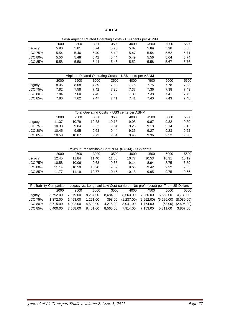**TABLE 4**

|                |                                                                                                             |          |                                                        |          |             | Cash Airplane Related Operating Costs - US\$ cents per ASNM |            |            |
|----------------|-------------------------------------------------------------------------------------------------------------|----------|--------------------------------------------------------|----------|-------------|-------------------------------------------------------------|------------|------------|
|                | 2000                                                                                                        | 2500     | 3000                                                   | 3500     | 4000        | 4500                                                        | 5000       | 5500       |
| Legacy         | 5.90                                                                                                        | 5.81     | 5.74                                                   | 5.76     | 5.82        | 5.89                                                        | 5.98       | 6.08       |
| <b>LCC 75%</b> | 5.54                                                                                                        | 5.46     | 5.40                                                   | 5.42     | 5.47        | 5.54                                                        | 5.62       | 5.71       |
| <b>LCC 80%</b> | 5.56                                                                                                        | 5.48     | 5.42                                                   | 5.44     | 5.49        | 5.56                                                        | 5.64       | 5.74       |
| <b>LCC 85%</b> | 5.58                                                                                                        | 5.50     | 5.44                                                   | 5.46     | 5.52        | 5.58                                                        | 5.67       | 5.76       |
|                |                                                                                                             |          |                                                        |          |             |                                                             |            |            |
|                |                                                                                                             |          | Airplane Related Operating Costs - US\$ cents per ASNM |          |             |                                                             |            |            |
|                | 2000                                                                                                        | 2500     | 3000                                                   | 3500     | 4000        | 4500                                                        | 5000       | 5500       |
| Legacy         | 8.36                                                                                                        | 8.08     | 7.89                                                   | 7.80     | 7.76        | 7.75                                                        | 7.78       | 7.83       |
| <b>LCC 75%</b> | 7.82                                                                                                        | 7.58     | 7.42                                                   | 7.36     | 7.37        | 7.36                                                        | 7.38       | 7.43       |
| <b>LCC 80%</b> | 7.84                                                                                                        | 7.60     | 7.45                                                   | 7.38     | 7.39        | 7.38                                                        | 7.41       | 7.45       |
| <b>LCC 85%</b> | 7.86                                                                                                        | 7.62     | 7.47                                                   | 7.41     | 7.41        | 7.40                                                        | 7.43       | 7.48       |
|                |                                                                                                             |          |                                                        |          |             |                                                             |            |            |
|                |                                                                                                             |          | Total Operating Costs - US\$ cents per ASNM            |          |             |                                                             |            |            |
|                | 2000                                                                                                        | 2500     | 3000                                                   | 3500     | 4000        | 4500                                                        | 5000       | 5500       |
| Legacy         | 11.37                                                                                                       | 10.79    | 10.38                                                  | 10.13    | 9.98        | 9.87                                                        | 9.82       | 9.80       |
| <b>LCC 75%</b> | 10.33                                                                                                       | 9.84     | 9.52                                                   | 9.34     | 9.26        | 9.18                                                        | 9.14       | 9.13       |
| <b>LCC 80%</b> | 10.45                                                                                                       | 9.95     | 9.63                                                   | 9.44     | 9.35        | 9.27                                                        | 9.23       | 9.22       |
| <b>LCC 85%</b> | 10.58                                                                                                       | 10.07    | 9.73                                                   | 9.54     | 9.45        | 9.36                                                        | 9.32       | 9.30       |
|                |                                                                                                             |          |                                                        |          |             |                                                             |            |            |
|                |                                                                                                             |          | Revenue Per Available Seat-N.M. (RASM) - US\$ cents    |          |             |                                                             |            |            |
|                | 2000                                                                                                        | 2500     | 3000                                                   | 3500     | 4000        | 4500                                                        | 5000       | 5500       |
| Legacy         | 12.45                                                                                                       | 11.84    | 11.40                                                  | 11.06    | 10.77       | 10.53                                                       | 10.31      | 10.12      |
| <b>LCC 75%</b> | 10.58                                                                                                       | 10.06    | 9.68                                                   | 9.38     | 9.14        | 8.94                                                        | 8.75       | 8.59       |
| <b>LCC 80%</b> | 11.14                                                                                                       | 10.59    | 10.20                                                  | 9.89     | 9.63        | 9.42                                                        | 9.22       | 9.05       |
| <b>LCC 85%</b> | 11.77                                                                                                       | 11.19    | 10.77                                                  | 10.45    | 10.18       | 9.95                                                        | 9.75       | 9.56       |
|                |                                                                                                             |          |                                                        |          |             |                                                             |            |            |
|                | Profitability Comparison - Legacy vs. Long-haul Low Cost carriers - Net profit (Loss) per Trip - US Dollars |          |                                                        |          |             |                                                             |            |            |
|                | 2000                                                                                                        | 2500     | 3000                                                   | 3500     | 4000        | 4500                                                        | 5000       | 5500       |
| Legacy         | 5,792.00                                                                                                    | 7,079.00 | 8,237.00                                               | 8,684.00 | 8,563.00    | 7,950.00                                                    | 6,653.00   | 4,739.00   |
| <b>LCC 75%</b> | 1,372.00                                                                                                    | 1,453.00 | 1,251.00                                               | 398.00   | (1, 237.00) | (2,952.00)                                                  | (5,226.00) | (8,080.00) |
| <b>LCC 80%</b> | 3,715.00                                                                                                    | 4,302.00 | 4,590.00                                               | 4,215.00 | 3,041.00    | 1,774.00                                                    | (63.00)    | (2,495.00) |
| <b>LCC 85%</b> | 6,400.00                                                                                                    | 7,558.00 | 8,401.00                                               | 8,565.00 | 7,914.00    | 7,153.00                                                    | 5,811.00   | 3,857.00   |
|                |                                                                                                             |          |                                                        |          |             |                                                             |            |            |
|                |                                                                                                             |          |                                                        |          |             |                                                             |            |            |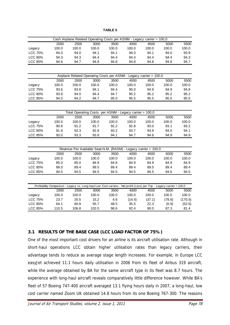**TABLE 5**

|                |                                                                                                                         |       |       |       | Cash Airplane Related Operating Costs per ASNM - Legacy carrier = 100,0 |        |        |         |
|----------------|-------------------------------------------------------------------------------------------------------------------------|-------|-------|-------|-------------------------------------------------------------------------|--------|--------|---------|
|                | 2000                                                                                                                    | 2500  | 3000  | 3500  | 4000                                                                    | 4500   | 5000   | 5500    |
| Legacy         | 100.0                                                                                                                   | 100.0 | 100.0 | 100.0 | 100.0                                                                   | 100.0  | 100.0  | 100.0   |
| <b>LCC 75%</b> | 94.0                                                                                                                    | 94.0  | 94.1  | 94.1  | 94.0                                                                    | 94.1   | 94.0   | 93.9    |
| <b>LCC 80%</b> | 94.3                                                                                                                    | 94.3  | 94.4  | 94.4  | 94.4                                                                    | 94.4   | 94.4   | 94.3    |
| <b>LCC 85%</b> | 94.6                                                                                                                    | 94.7  | 94.8  | 94.8  | 94.8                                                                    | 94.8   | 94.8   | 94.7    |
|                |                                                                                                                         |       |       |       |                                                                         |        |        |         |
|                |                                                                                                                         |       |       |       | Airplane Related Operating Costs per ASNM - Legacy carrier = 100,0      |        |        |         |
|                | 2000                                                                                                                    | 2500  | 3000  | 3500  | 4000                                                                    | 4500   | 5000   | 5500    |
| Legacy         | 100.0                                                                                                                   | 100.0 | 100.0 | 100.0 | 100.0                                                                   | 100.0  | 100.0  | 100.0   |
| <b>LCC 75%</b> | 93.6                                                                                                                    | 93.8  | 94.1  | 94.4  | 95.0                                                                    | 94.9   | 94.9   | 94.9    |
| <b>LCC 80%</b> | 93.8                                                                                                                    | 94.0  | 94.4  | 94.7  | 95.2                                                                    | 95.2   | 95.2   | 95.2    |
| LCC 85%        | 94.0                                                                                                                    | 94.2  | 94.7  | 95.0  | 95.5                                                                    | 95.5   | 95.5   | 95.5    |
|                |                                                                                                                         |       |       |       |                                                                         |        |        |         |
|                |                                                                                                                         |       |       |       | Total Operating Costs per ASNM - Legacy carrier = 100,0                 |        |        |         |
|                | 2000                                                                                                                    | 2500  | 3000  | 3500  | 4000                                                                    | 4500   | 5000   | 5500    |
| Legacy         | 100.0                                                                                                                   | 100.0 | 100.0 | 100.0 | 100.0                                                                   | 100.0  | 100.0  | 100.0   |
| <b>LCC 75%</b> | 90.8                                                                                                                    | 91.2  | 91.7  | 92.2  | 92.8                                                                    | 93.0   | 93.1   | 93.2    |
| <b>LCC 80%</b> | 91.9                                                                                                                    | 92.3  | 92.8  | 93.2  | 93.7                                                                    | 93.9   | 94.0   | 94.1    |
| <b>LCC 85%</b> | 93.0                                                                                                                    | 93.3  | 93.8  | 94.1  | 94.7                                                                    | 94.8   | 94.9   | 94.9    |
|                |                                                                                                                         |       |       |       |                                                                         |        |        |         |
|                |                                                                                                                         |       |       |       | Revenue Per Available Seat-N.M. (RASM) - Legacy carrier = 100,0         |        |        |         |
|                | 2000                                                                                                                    | 2500  | 3000  | 3500  | 4000                                                                    | 4500   | 5000   | 5500    |
| Legacy         | 100.0                                                                                                                   | 100.0 | 100.0 | 100.0 | 100.0                                                                   | 100.0  | 100.0  | 100.0   |
| <b>LCC 75%</b> | 85.0                                                                                                                    | 85.0  | 84.9  | 84.8  | 84.9                                                                    | 84.9   | 84.9   | 84.9    |
| <b>LCC 80%</b> | 89.5                                                                                                                    | 89.4  | 89.5  | 89.4  | 89.4                                                                    | 89.5   | 89.4   | 89.4    |
| <b>LCC 85%</b> | 94.5                                                                                                                    | 94.5  | 94.5  | 94.5  | 94.5                                                                    | 94.5   | 94.6   | 94.5    |
|                |                                                                                                                         |       |       |       |                                                                         |        |        |         |
|                | Profitability Comparison - Legacy vs. Long-haul Low Cost carriers - Net profit (Loss) per Trip - Legacy carrier = 100,0 |       |       |       |                                                                         |        |        |         |
|                | 2000                                                                                                                    | 2500  | 3000  | 3500  | 4000                                                                    | 4500   | 5000   | 5500    |
| Legacy         | 100.0                                                                                                                   | 100.0 | 100.0 | 100.0 | 100.0                                                                   | 100.0  | 100.0  | 100.0   |
| <b>LCC 75%</b> | 23.7                                                                                                                    | 20.5  | 15.2  | 4.6   | (14.4)                                                                  | (37.1) | (78.6) | (170.5) |
| <b>LCC 80%</b> | 64.1                                                                                                                    | 60.8  | 55.7  | 48.5  | 35.5                                                                    | 22.3   | (0.9)  | (52.6)  |
| <b>LCC 85%</b> | 110.5                                                                                                                   | 106.8 | 102.0 | 98.6  | 92.4                                                                    | 90.0   | 87.3   | 81.4    |

### **3.1 RESULTS OF THE BASE CASE (LCC LOAD FACTOR OF 75%)**

One of the most important cost drivers for an airline is its aircraft utilisation rate. Although in short-haul operations LCC obtain higher utilisation rates than legacy carriers, their advantage tends to reduce as average stage length increases. For example, in Europe LCC easyJet achieved 11.1 hours daily utilisation in 2006 from its fleet of Airbus 319 aircraft, while the average obtained by BA for the same aircraft type in its fleet was 8.7 hours. The experience with long-haul aircraft reveals comparatively little difference however. While BA's fleet of 57 Boeing 747-400 aircraft averaged 13.1 flying hours daily in 2007, a long-haul, low cost carrier named Zoom UK obtained 14.8 hours from its one Boeing 767-300. The reasons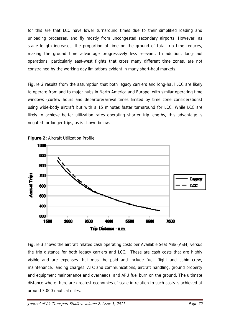for this are that LCC have lower turnaround times due to their simplified loading and unloading processes, and fly mostly from uncongested secondary airports. However, as stage length increases, the proportion of time on the ground of total trip time reduces, making the ground time advantage progressively less relevant. In addition, long-haul operations, particularly east-west flights that cross many different time zones, are not constrained by the working day limitations evident in many short-haul markets.

Figure 2 results from the assumption that both legacy carriers and long-haul LCC are likely to operate from and to major hubs in North America and Europe, with similar operating time windows (curfew hours and departure/arrival times limited by time zone considerations) using wide-body aircraft but with a 15 minutes faster turnaround for LCC. While LCC are likely to achieve better utilization rates operating shorter trip lengths, this advantage is negated for longer trips, as is shown below.





Figure 3 shows the aircraft related cash operating costs per Available Seat Mile (ASM) versus the trip distance for both legacy carriers and LCC. These are cash costs that are highly visible and are expenses that must be paid and include fuel, flight and cabin crew, maintenance, landing charges, ATC and communications, aircraft handling, ground property and equipment maintenance and overheads, and APU fuel burn on the ground. The ultimate distance where there are greatest economies of scale in relation to such costs is achieved at around 3,000 nautical miles.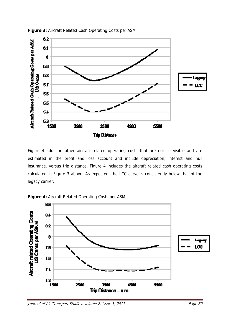

**Figure 3:** Aircraft Related Cash Operating Costs per ASM

Figure 4 adds on other aircraft related operating costs that are not so visible and are estimated in the profit and loss account and include depreciation, interest and hull insurance, versus trip distance. Figure 4 includes the aircraft related cash operating costs calculated in Figure 3 above. As expected, the LCC curve is consistently below that of the legacy carrier.



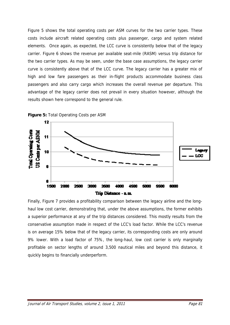Figure 5 shows the total operating costs per ASM curves for the two carrier types. These costs include aircraft related operating costs plus passenger, cargo and system related elements. Once again, as expected, the LCC curve is consistently below that of the legacy carrier. Figure 6 shows the revenue per available seat-mile (RASM) versus trip distance for the two carrier types. As may be seen, under the base case assumptions, the legacy carrier curve is consistently above that of the LCC curve. The legacy carrier has a greater mix of high and low fare passengers as their in-flight products accommodate business class passengers and also carry cargo which increases the overall revenue per departure. This advantage of the legacy carrier does not prevail in every situation however, although the results shown here correspond to the general rule.



Finally, Figure 7 provides a profitability comparison between the legacy airline and the longhaul low cost carrier, demonstrating that, under the above assumptions, the former exhibits a superior performance at any of the trip distances considered. This mostly results from the conservative assumption made in respect of the LCC's load factor. While the LCC's revenue is on average 15% below that of the legacy carrier, its corresponding costs are only around 9% lower. With a load factor of 75%, the long-haul, low cost carrier is only marginally profitable on sector lengths of around 3,500 nautical miles and beyond this distance, it quickly begins to financially underperform.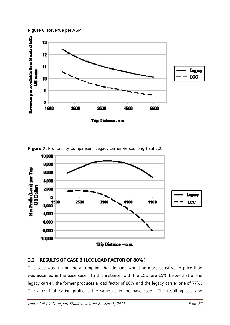



Figure 7: Profitability Comparison: Legacy carrier versus long-haul LCC



# **3.2 RESULTS OF CASE B (LCC LOAD FACTOR OF 80%)**

This case was run on the assumption that demand would be more sensitive to price than was assumed in the base case. In this instance, with the LCC fare 15% below that of the legacy carrier, the former produces a load factor of 80% and the legacy carrier one of 77%. The aircraft utilisation profile is the same as in the base case. The resulting cost and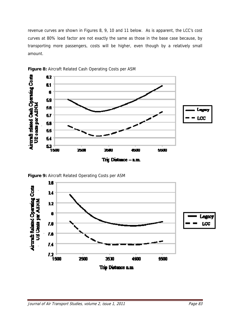revenue curves are shown in Figures 8, 9, 10 and 11 below. As is apparent, the LCC's cost curves at 80% load factor are not exactly the same as those in the base case because, by transporting more passengers, costs will be higher, even though by a relatively small amount.



**Figure 8:** Aircraft Related Cash Operating Costs per ASM



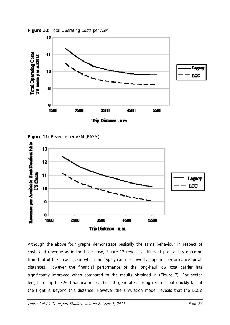

**Figure 10:** Total Operating Costs per ASM

**Figure 11:** Revenue per ASM (RASM)



Although the above four graphs demonstrate basically the same behaviour in respect of costs and revenue as in the base case, Figure 12 reveals a different profitability outcome from that of the base case in which the legacy carrier showed a superior performance for all distances. However the financial performance of the long-haul low cost carrier has significantly improved when compared to the results obtained in (Figure 7). For sector lengths of up to 3,500 nautical miles, the LCC generates strong returns, but quickly falls if the flight is beyond this distance. However the simulation model reveals that the LCC's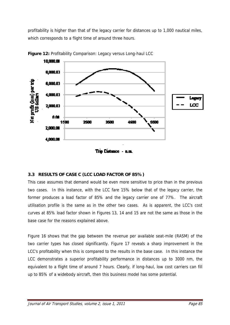profitability is higher than that of the legacy carrier for distances up to 1,000 nautical miles, which corresponds to a flight time of around three hours.





# **3.3 RESULTS OF CASE C (LCC LOAD FACTOR OF 85%)**

This case assumes that demand would be even more sensitive to price than in the previous two cases. In this instance, with the LCC fare 15% below that of the legacy carrier, the former produces a load factor of 85% and the legacy carrier one of 77%. The aircraft utilisation profile is the same as in the other two cases. As is apparent, the LCC's cost curves at 85% load factor shown in Figures 13, 14 and 15 are not the same as those in the base case for the reasons explained above.

Figure 16 shows that the gap between the revenue per available seat-mile (RASM) of the two carrier types has closed significantly. Figure 17 reveals a sharp improvement in the LCC's profitability when this is compared to the results in the base case. In this instance the LCC demonstrates a superior profitability performance in distances up to 3000 nm, the equivalent to a flight time of around 7 hours. Clearly, if long-haul, low cost carriers can fill up to 85% of a widebody aircraft, then this business model has some potential.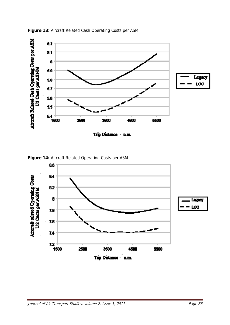

**Figure 13:** Aircraft Related Cash Operating Costs per ASM



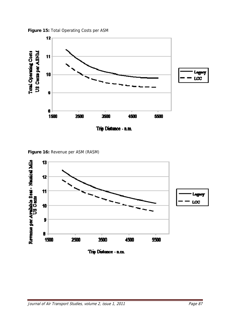

**Figure 15:** Total Operating Costs per ASM





Trip Distance - n.m.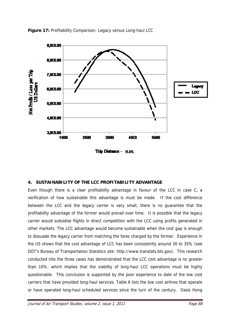

**Figure 17:** Profitability Comparison: Legacy versus Long-haul LCC

Trip Distance - n.m.

# **4. SUSTAINABILITY OF THE LCC PROFITABILITY ADVANTAGE**

Even though there is a clear profitability advantage in favour of the LCC in case C, a verification of how sustainable this advantage is must be made. If the cost difference between the LCC and the legacy carrier is very small, there is no guarantee that the profitability advantage of the former would prevail over time. It is possible that the legacy carrier would subsidise flights in direct competition with the LCC using profits generated in other markets. The LCC advantage would become sustainable when the cost gap is enough to dissuade the legacy carrier from matching the fares charged by the former. Experience in the US shows that the cost advantage of LCC has been consistently around 30 to 35% (see DOT's Bureau of Transportation Statistics site: http://www.transtats.bts.gov). This research conducted into the three cases has demonstrated that the LCC cost advantage is no greater than 10%, which implies that the viability of long-haul LCC operations must be highly questionable. This conclusion is supported by the poor experience to date of the low cost carriers that have provided long-haul services. Table 6 lists the low cost airlines that operate or have operated long-haul scheduled services since the turn of the century. Oasis Hong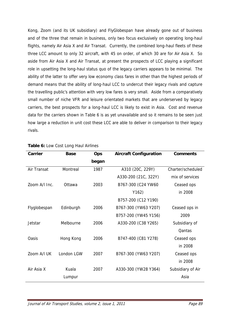Kong, Zoom (and its UK subsidiary) and FlyGlobespan have already gone out of business and of the three that remain in business, only two focus exclusively on operating long-haul flights, namely Air Asia X and Air Transat. Currently, the combined long-haul fleets of these three LCC amount to only 32 aircraft, with 45 on order, of which 30 are for Air Asia X. So aside from Air Asia X and Air Transat, at present the prospects of LCC playing a significant role in upsetting the long-haul status quo of the legacy carriers appears to be minimal. The ability of the latter to offer very low economy class fares in other than the highest periods of demand means that the ability of long-haul LCC to undercut their legacy rivals and capture the travelling public's attention with very low fares is very small. Aside from a comparatively small number of niche VFR and leisure orientated markets that are underserved by legacy carriers, the best prospects for a long-haul LCC is likely to exist in Asia. Cost and revenue data for the carriers shown in Table 6 is as yet unavailable and so it remains to be seen just how large a reduction in unit cost these LCC are able to deliver in comparison to their legacy rivals.

| <b>Carrier</b> | <b>Base</b> | Ops   | <b>Aircraft Configuration</b> | <b>Comments</b>   |  |
|----------------|-------------|-------|-------------------------------|-------------------|--|
|                |             | began |                               |                   |  |
| Air Transat    | Montreal    | 1987  | A310 (20C, 229Y)              | Charter/scheduled |  |
|                |             |       | A330-200 (21C, 322Y)          | mix of services   |  |
| Zoom A/I Inc.  | Ottawa      | 2003  | B767-300 (C24 YW60            | Ceased ops        |  |
|                |             |       | Y162)                         | in 2008           |  |
|                |             |       | B757-200 (C12 Y190)           |                   |  |
| Flyglobespan   | Edinburgh   | 2006  | B767-300 (YW63 Y207)          | Ceased ops in     |  |
|                |             |       | B757-200 (YW45 Y156)          | 2009              |  |
| Jetstar        | Melbourne   | 2006  | A330-200 (C38 Y265)           | Subsidiary of     |  |
|                |             |       |                               | Qantas            |  |
| <b>Oasis</b>   | Hong Kong   | 2006  | B747-400 (C81 Y278)           | Ceased ops        |  |
|                |             |       |                               | in 2008           |  |
| Zoom A/I UK    | London LGW  | 2007  | B767-300 (YW63 Y207)          | Ceased ops        |  |
|                |             |       |                               | in 2008           |  |
| Air Asia X     | Kuala       | 2007  | A330-300 (YW28 Y364)          | Subsidiary of Air |  |
|                | Lumpur      |       |                               | Asia              |  |
|                |             |       |                               |                   |  |

#### **Table 6:** Low Cost Long Haul Airlines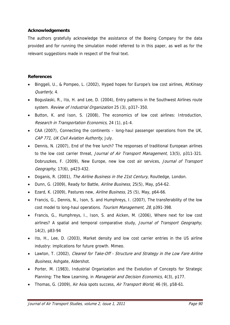### **Acknowledgements**

The authors gratefully acknowledge the assistance of the Boeing Company for the data provided and for running the simulation model referred to in this paper, as well as for the relevant suggestions made in respect of the final text.

#### **References**

- Binggeli, U., & Pompeo, L. (2002), Hyped hopes for Europe's low cost airlines, McKinsey Quarterly, 4.
- Boguslaski, R., Ito, H. and Lee, D. (2004), Entry patterns in the Southwest Airlines route system. Review of Industrial Organization 25 (3), p317-350.
- Button, K. and Ison, S. (2008), The economics of low cost airlines: Introduction, Research in Transportation Economics, 24 (1), p1-4.
- CAA (2007), Connecting the continents long-haul passenger operations from the UK, CAP 771, UK Civil Aviation Authority, July.
- Dennis, N. (2007), End of the free lunch? The responses of traditional European airlines to the low cost carrier threat, Journal of Air Transport Management, 13(5), p311-321. Dobruszkes, F. (2009), New Europe, new low cost air services, Journal of Transport Geography, 17(6), p423-432.
- Doganis, R. (2001), The Airline Business in the 21st Century, Routledge, London.
- Dunn, G. (2009), Ready for Battle, Airline Business, 25(5), May, p54-62.
- Ezard, K. (2009), Pastures new, Airline Business, 25 (5), May, p64-66.
- Francis, G., Dennis, N., Ison, S. and Humphreys, I. (2007), The transferability of the low cost model to long-haul operations. Tourism Management, 28, p391-398.
- Francis, G., Humphreys, I., Ison, S. and Aicken, M. (2006), Where next for low cost airlines? A spatial and temporal comparative study, *Journal of Transport Geography*, 14(2), p83-94
- Ito, H., Lee, D. (2003), Market density and low cost carrier entries in the US airline industry: implications for future growth. Mimeo.
- Lawton, T. (2002), Cleared for Take-Off Structure and Strategy in the Low Fare Airline Business, Ashgate, Aldershot.
- Porter, M. (1983), Industrial Organization and the Evolution of Concepts for Strategic Planning: The New Learning, in *Managerial and Decision Economics*, 4(3), p177.
- Thomas, G. (2009), Air Asia spots success, Air Transport World, 46 (9), p58-61.